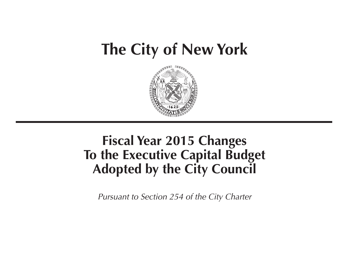# **The City of New York**



## **Fiscal Year 2015 Changes To the Executive Capital Budget Adopted by the City Council**

*Pursuant to Section 254 of the City Charter*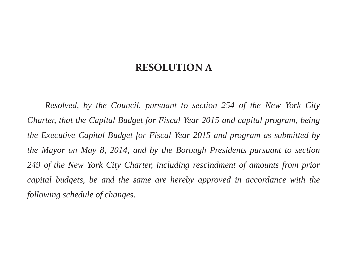### **RESOLUTION A**

*Resolved, by the Council, pursuant to section 254 of the New York City Charter, that the Capital Budget for Fiscal Year 2015 and capital program, being the Executive Capital Budget for Fiscal Year 2015 and program as submitted by the Mayor on May 8, 2014, and by the Borough Presidents pursuant to section 249 of the New York City Charter, including rescindment of amounts from prior capital budgets, be and the same are hereby approved in accordance with the following schedule of changes.*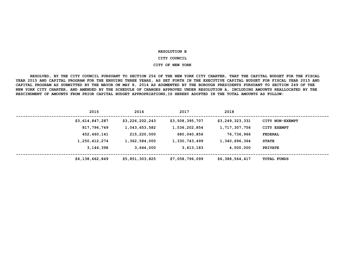#### **RESOLUTION B**

#### **CITY COUNCIL**

#### **CITY OF NEW YORK**

 **RESOLVED, BY THE CITY COUNCIL PURSUANT TO SECTION 254 OF THE NEW YORK CITY CHARTER, THAT THE CAPITAL BUDGET FOR THE FISCAL YEAR 2015 AND CAPITAL PROGRAM FOR THE ENSUING THREE YEARS, AS SET FORTH IN THE EXECUTIVE CAPITAL BUDGET FOR FISCAL YEAR 2015 AND CAPITAL PROGRAM AS SUBMITTED BY THE MAYOR ON MAY 8, 2014 AS AUGMENTED BY THE BOROUGH PRESIDENTS PURSUANT TO SECTION 249 OF THE NEW YORK CITY CHARTER, AND AMENDED BY THE SCHEDULE OF CHANGES APPROVED UNDER RESOLUTION A, INCLUDING AMOUNTS REALLOCATED BY THE RESCINDMENT OF AMOUNTS FROM PRIOR CAPITAL BUDGET APPROPRIATIONS,IS HEREBY ADOPTED IN THE TOTAL AMOUNTS AS FOLLOW:**

| 2015            | 2016            | 2017            | 2018            |                    |
|-----------------|-----------------|-----------------|-----------------|--------------------|
| \$3,614,847,287 | \$3,226,202,243 | \$3,508,395,707 | \$3,249,323,331 | CITY NON-EXEMPT    |
| 817,796,749     | 1,043,653,582   | 1,536,202,854   | 1,717,307,756   | CITY EXEMPT        |
| 452,460,141     | 215,220,000     | 680,040,856     | 76,736,966      | <b>FEDERAL</b>     |
| 1,250,412,274   | 1,362,584,000   | 1,330,743,499   | 1,340,696,364   | <b>STATE</b>       |
| 3,146,398       | 3,644,000       | 3,413,183       | 4,500,000       | <b>PRIVATE</b>     |
| \$6,138,662,849 | \$5,851,303,825 | \$7,058,796,099 | \$6,388,564,417 | <b>TOTAL FUNDS</b> |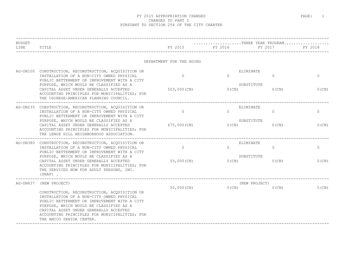| BUDGET   |                                                                                                                                                                                                                                                                                                             |                          |                           | THREE YEAR PROGRAM |              |  |  |
|----------|-------------------------------------------------------------------------------------------------------------------------------------------------------------------------------------------------------------------------------------------------------------------------------------------------------------|--------------------------|---------------------------|--------------------|--------------|--|--|
| LINE     | TITLE                                                                                                                                                                                                                                                                                                       | FY 2015                  | FY 2016                   | FY 2017            | FY 2018      |  |  |
|          |                                                                                                                                                                                                                                                                                                             | DEPARTMENT FOR THE AGING |                           |                    |              |  |  |
| AG-DN100 | CONSTRUCTION, RECONSTRUCTION, ACQUISITION OR<br>INSTALLATION OF A NON-CITY OWNED PHYSICAL<br>PUBLIC BETTERMENT OR IMPROVEMENT WITH A CITY                                                                                                                                                                   | $\Omega$                 | ELIMINATE<br>$\Omega$     | $\mathbf{0}$       | $\mathbf{0}$ |  |  |
|          | PURPOSE, WHICH WOULD BE CLASSIFIED AS A<br>CAPITAL ASSET UNDER GENERALLY ACCEPTED<br>ACCOUNTING PRINCIPLES FOR MUNICIPALITIES; FOR<br>THE CHINESE-AMERICAN PLANNING COUNCIL.                                                                                                                                | 503,000 (CN)             | SUBSTITUTE<br>$0$ (CN)    | $0$ (CN)           | $0$ (CN)     |  |  |
|          | AG-DN235 CONSTRUCTION, RECONSTRUCTION, ACQUISITION OR<br>INSTALLATION OF A NON-CITY OWNED PHYSICAL<br>PUBLIC BETTERMENT OR IMPROVEMENT WITH A CITY                                                                                                                                                          | $\circ$                  | ELIMINATE<br>$\Omega$     | $\mathbf{0}$       | $\mathbf 0$  |  |  |
|          | PURPOSE, WHICH WOULD BE CLASSIFIED AS A<br>CAPITAL ASSET UNDER GENERALLY ACCEPTED<br>ACCOUNTING PRINCIPLES FOR MUNICIPALITIES; FOR<br>THE LENOX HILL NEIGHBORHOOD ASSOCIATION.                                                                                                                              | 675,000 (CN)             | SUBSTITUTE<br>$0$ (CN)    | $0$ (CN)           | 0(CN)        |  |  |
|          | AG-DN380 CONSTRUCTION, RECONSTRUCTION, ACQUISITION OR<br>INSTALLATION OF A NON-CITY OWNED PHYSICAL<br>PUBLIC BETTERMENT OR IMPROVEMENT WITH A CITY                                                                                                                                                          | $\circ$                  | ELIMINATE<br>$\Omega$     | $\mathbf{0}$       | $\mathbf 0$  |  |  |
|          | PURPOSE, WHICH WOULD BE CLASSIFIED AS A<br>CAPITAL ASSET UNDER GENERALLY ACCEPTED<br>ACCOUNTING PRINCIPLES FOR MUNICIPALITIES; FOR<br>THE SERVICES NOW FOR ADULT PERSONS, INC.<br>$(SNAP)$ .                                                                                                                | 55,000 (CN)              | SUBSTITUTE<br>$0$ (CN)    | $0$ (CN)           | 0(CN)        |  |  |
| AG-DN837 | (NEW PROJECT)                                                                                                                                                                                                                                                                                               | 50,000 (CN)              | (NEW PROJECT)<br>$0$ (CN) | $0$ (CN)           | $0$ (CN)     |  |  |
|          | CONSTRUCTION, RECONSTRUCTION, ACQUISITION OR<br>INSTALLATION OF A NON-CITY OWNED PHYSICAL<br>PUBLIC BETTERMENT OR IMPROVEMENT WITH A CITY<br>PURPOSE, WHICH WOULD BE CLASSIFIED AS A<br>CAPITAL ASSET UNDER GENERALLY ACCEPTED<br>ACCOUNTING PRINCIPLES FOR MUNICIPALITIES; FOR<br>THE AMICO SENIOR CENTER. |                          |                           |                    |              |  |  |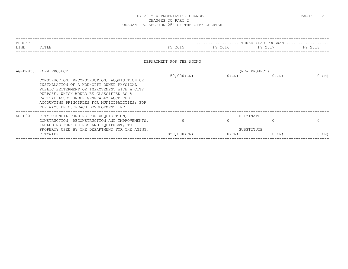|                                                                                                                                                                                                                                                                                                                          |                         |                          | THREE YEAR PROGRAM    |                                                             |
|--------------------------------------------------------------------------------------------------------------------------------------------------------------------------------------------------------------------------------------------------------------------------------------------------------------------------|-------------------------|--------------------------|-----------------------|-------------------------------------------------------------|
| TITLE                                                                                                                                                                                                                                                                                                                    | FY 2015                 |                          | FY 2017               | FY 2018                                                     |
|                                                                                                                                                                                                                                                                                                                          |                         |                          |                       |                                                             |
| (NEW PROJECT)                                                                                                                                                                                                                                                                                                            |                         |                          |                       |                                                             |
| CONSTRUCTION, RECONSTRUCTION, ACQUISITION OR<br>INSTALLATION OF A NON-CITY OWNED PHYSICAL<br>PUBLIC BETTERMENT OR IMPROVEMENT WITH A CITY<br>PURPOSE, WHICH WOULD BE CLASSIFIED AS A<br>CAPITAL ASSET UNDER GENERALLY ACCEPTED<br>ACCOUNTING PRINCIPLES FOR MUNICIPALITIES; FOR<br>THE WAYSIDE OUTREACH DEVELOPMENT INC. | 50,000 (CN)             | $0$ (CN)                 | $0$ (CN)              | $0$ (CN)                                                    |
| CITY COUNCIL FUNDING FOR ACQUISITION,<br>CONSTRUCTION, RECONSTRUCTION AND IMPROVEMENTS,<br>INCLUDING FURNISHINGS AND EQUIPMENT, TO<br>PROPERTY USED BY THE DEPARTMENT FOR THE AGING,<br>CITYWIDE                                                                                                                         | $\Omega$<br>850,000(CN) | $0$ (CN)                 | $\bigcap$<br>$0$ (CN) | $\Omega$<br>$0$ (CN)                                        |
|                                                                                                                                                                                                                                                                                                                          |                         | DEPARTMENT FOR THE AGING |                       | FY 2016 FY 2016<br>(NEW PROJECT)<br>ELIMINATE<br>SUBSTITUTE |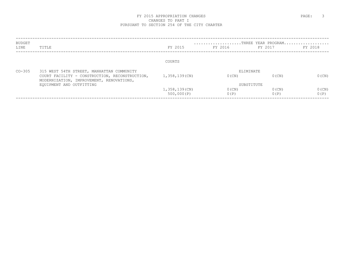| TITLE                                                                                      | FY 2015       | FY 2016  | FY 2017  | FY 2018                                       |
|--------------------------------------------------------------------------------------------|---------------|----------|----------|-----------------------------------------------|
|                                                                                            | COURTS        |          |          |                                               |
| 315 WEST 54TH STREET, MANHATTAN COMMUNITY                                                  |               |          |          |                                               |
| COURT FACILITY - CONSTRUCTION, RECONSTRUCTION,<br>MODERNIZATION, IMPROVEMENT, RENOVATIONS, | 1,358,139(CN) | $0$ (CN) | $0$ (CN) | $0$ (CN)                                      |
| EOUIPMENT AND OUTFITTING                                                                   |               |          |          |                                               |
|                                                                                            | 1,358,139(CN) | $0$ (CN) | $0$ (CN) | $0$ (CN)                                      |
|                                                                                            | 500,000(P)    | 0(P)     | 0(P)     | 0(P)                                          |
|                                                                                            |               |          |          | THREE YEAR PROGRAM<br>ELIMINATE<br>SUBSTITUTE |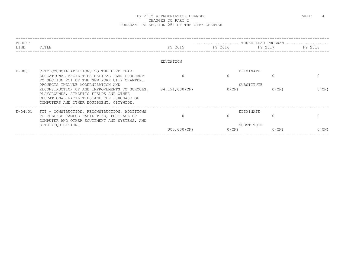| BUDGET<br>LINE | TITLE                                                                                                                                                                              | FY 2015        | FY 2016 FY 2017 | THREE YEAR PROGRAM | FY 2018  |
|----------------|------------------------------------------------------------------------------------------------------------------------------------------------------------------------------------|----------------|-----------------|--------------------|----------|
|                |                                                                                                                                                                                    | EDUCATION      |                 |                    |          |
| $E-D001$       | CITY COUNCIL ADDITIONS TO THE FIVE YEAR                                                                                                                                            |                |                 | ELIMINATE          |          |
|                | EDUCATIONAL FACILITIES CAPITAL PLAN PURSUANT<br>TO SECTION 254 OF THE NEW YORK CITY CHARTER.                                                                                       |                |                 | $\Omega$           |          |
|                | PROJECTS INCLUDE MODERNIZATION AND                                                                                                                                                 |                |                 | SUBSTITUTE         |          |
|                | RECONSTRUCTION OF AND IMPROVEMENTS TO SCHOOLS,<br>PLAYGROUNDS, ATHLETIC FIELDS AND OTHER<br>EDUCATIONAL FACILITIES AND THE PURCHASE OF<br>COMPUTERS AND OTHER EQUIPMENT, CITYWIDE. | 84,191,000(CN) | $0$ (CN)        | $0$ (CN)           | $0$ (CN) |
| E-D4001        | FIT - CONSTRUCTION, RECONSTRUCTION, ADDITIONS                                                                                                                                      |                |                 | ELIMINATE          |          |
|                | TO COLLEGE CAMPUS FACILITIES, PURCHASE OF                                                                                                                                          |                |                 |                    |          |
|                | COMPUTER AND OTHER EQUIPMENT AND SYSTEMS, AND<br>SITE ACOUISITION.                                                                                                                 |                |                 | SUBSTITUTE         |          |
|                |                                                                                                                                                                                    | 300,000 (CN)   | $0$ (CN)        | $0$ (CN)           | $0$ (CN) |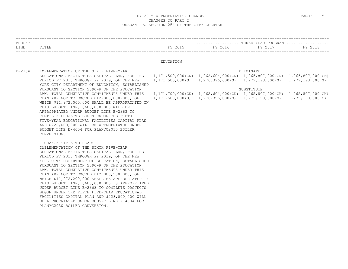| <b>BUDGET</b><br>LINE | TITLE                                                                                                                                                                                                                                                                                                                                                                                                                                                                                                                                                                                                                                                                                                 | FY 2015   | FY 2016 | THREE YEAR PROGRAM<br>FY 2017                                                                                                                                                  | FY 2018 |
|-----------------------|-------------------------------------------------------------------------------------------------------------------------------------------------------------------------------------------------------------------------------------------------------------------------------------------------------------------------------------------------------------------------------------------------------------------------------------------------------------------------------------------------------------------------------------------------------------------------------------------------------------------------------------------------------------------------------------------------------|-----------|---------|--------------------------------------------------------------------------------------------------------------------------------------------------------------------------------|---------|
|                       |                                                                                                                                                                                                                                                                                                                                                                                                                                                                                                                                                                                                                                                                                                       | EDUCATION |         |                                                                                                                                                                                |         |
| $E - 2364$            | IMPLEMENTATION OF THE SIXTH FIVE-YEAR<br>EDUCATIONAL FACILITIES CAPITAL PLAN, FOR THE 1,171,500,000(CN) 1,062,604,000(CN) 1,065,807,000(CN) 1,065,807,000(CN)<br>PERIOD FY 2015 THROUGH FY 2019, OF THE NEW<br>YORK CITY DEPARTMENT OF EDUCATION, ESTABLISHED<br>PURSUANT TO SECTION 2590-P OF THE EDUCATION                                                                                                                                                                                                                                                                                                                                                                                          |           |         | ELIMINATE<br>$1, 171, 500, 000$ (S) $1, 276, 396, 000$ (S) $1, 279, 193, 000$ (S) $1, 279, 193, 000$ (S)<br>SUBSTITUTE                                                         |         |
|                       | LAW. TOTAL CUMULATIVE COMMITMENTS UNDER THIS<br>PLAN ARE NOT TO EXCEED \$12,800,000,000, OF<br>WHICH \$11,972,000,000 SHALL BE APPROPRIATED IN<br>THIS BUDGET LINE, \$600,000,000 WILL BE<br>APPROPRIATED UNDER BUDGET LINE E-2363 TO<br>COMPLETE PROJECTS BEGUN UNDER THE FIFTH<br>FIVE-YEAR EDUCATIONAL FACILITIES CAPITAL PLAN<br>AND \$228,000,000 WILL BE APPROPRIATED UNDER<br>BUDGET LINE E-4004 FOR PLANYC2030 BOILER<br>CONVERSION.                                                                                                                                                                                                                                                          |           |         | $1,171,700,000$ (CN) $1,062,604,000$ (CN) $1,065,807,000$ (CN) $1,065,807,000$ (CN)<br>$1, 171, 500, 000(S)$ $1, 276, 396, 000(S)$ $1, 279, 193, 000(S)$ $1, 279, 193, 000(S)$ |         |
|                       | CHANGE TITLE TO READ:<br>IMPLEMENTATION OF THE SIXTH FIVE-YEAR<br>EDUCATIONAL FACILITIES CAPITAL PLAN, FOR THE<br>PERIOD FY 2015 THROUGH FY 2019, OF THE NEW<br>YORK CITY DEPARTMENT OF EDUCATION, ESTABLISHED<br>PURSUANT TO SECTION 2590-P OF THE EDUCATION<br>LAW. TOTAL CUMULATIVE COMMITMENTS UNDER THIS<br>PLAN ARE NOT TO EXCEED \$12,800,200,000, OF<br>WHICH \$11,972,200,000 SHALL BE APPROPRIATED IN<br>THIS BUDGET LINE, \$600,000,000 IS APPROPRIATED<br>UNDER BUDGET LINE E-2363 TO COMPLETE PROJECTS<br>BEGUN UNDER THE FIFTH FIVE-YEAR EDUCATIONAL<br>FACILITIES CAPITAL PLAN AND \$228,000,000 WILL<br>BE APPROPRIATED UNDER BUDGET LINE E-4004 FOR<br>PLANYC2030 BOILER CONVERSION. |           |         |                                                                                                                                                                                |         |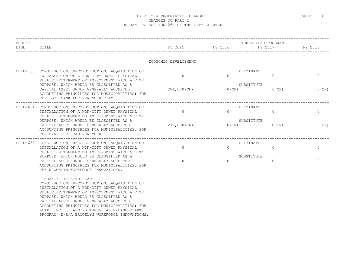| <b>BUDGET</b> |                                                                                                                                                                                                                                                                                                                                                                                                           |                      |           | THREE YEAR PROGRAM                      |              |
|---------------|-----------------------------------------------------------------------------------------------------------------------------------------------------------------------------------------------------------------------------------------------------------------------------------------------------------------------------------------------------------------------------------------------------------|----------------------|-----------|-----------------------------------------|--------------|
| LINE          | TITLE                                                                                                                                                                                                                                                                                                                                                                                                     | FY 2015              | FY 2016   | FY 2017                                 | FY 2018      |
|               |                                                                                                                                                                                                                                                                                                                                                                                                           | ECONOMIC DEVELOPMENT |           |                                         |              |
|               | ED-DN160 CONSTRUCTION, RECONSTRUCTION, ACQUISITION OR<br>INSTALLATION OF A NON-CITY OWNED PHYSICAL<br>PUBLIC BETTERMENT OR IMPROVEMENT WITH A CITY<br>PURPOSE, WHICH WOULD BE CLASSIFIED AS A                                                                                                                                                                                                             | $\Omega$             | $\Omega$  | ELIMINATE<br>$\mathbf{0}$<br>SUBSTITUTE | $\mathbf{0}$ |
|               | CAPITAL ASSET UNDER GENERALLY ACCEPTED<br>ACCOUNTING PRINCIPLES FOR MUNICIPALITIES; FOR<br>THE FOOD BANK FOR NEW YORK CITY.                                                                                                                                                                                                                                                                               | 281,000(CN)          | $0$ (CN)  | $0$ (CN)                                | $0$ (CN)     |
|               | ED-DN631 CONSTRUCTION, RECONSTRUCTION, ACQUISITION OR<br>INSTALLATION OF A NON-CITY OWNED PHYSICAL<br>PUBLIC BETTERMENT OR IMPROVEMENT WITH A CITY                                                                                                                                                                                                                                                        | $\Omega$             | $\Omega$  | ELIMINATE<br>$\Omega$                   | $\circ$      |
|               | PURPOSE, WHICH WOULD BE CLASSIFIED AS A<br>CAPITAL ASSET UNDER GENERALLY ACCEPTED<br>ACCOUNTING PRINCIPLES FOR MUNICIPALITIES; FOR<br>THE MAKE THE ROAD NEW YORK                                                                                                                                                                                                                                          | 277,000 (CN)         | 0(CN)     | SUBSTITUTE<br>$0$ (CN)                  | $0$ (CN)     |
|               | ED-DN632 CONSTRUCTION, RECONSTRUCTION, ACQUISITION OR<br>INSTALLATION OF A NON-CITY OWNED PHYSICAL<br>PUBLIC BETTERMENT OR IMPROVEMENT WITH A CITY                                                                                                                                                                                                                                                        | $\Omega$             | $\Omega$  | ELIMINATE<br>$\mathbf{0}$               | $\Omega$     |
|               | PURPOSE, WHICH WOULD BE CLASSIFIED AS A<br>CAPITAL ASSET UNDER GENERALLY ACCEPTED<br>ACCOUNTING PRINCIPLES FOR MUNICIPALITIES; FOR<br>THE BROOKLYN WORKFORCE INNOVATIONS.                                                                                                                                                                                                                                 | $\Omega$             | $\bigcap$ | SUBSTITUTE<br>$\Omega$                  | $\Omega$     |
|               | CHANGE TITLE TO READ:<br>CONSTRUCTION, RECONSTRUCTION, ACQUISITION OR<br>INSTALLATION OF A NON-CITY OWNED PHYSICAL<br>PUBLIC BETTERMENT OR IMPROVEMENT WITH A CITY<br>PURPOSE, WHICH WOULD BE CLASSIFIED AS A<br>CAPITAL ASSET UNDER GENERALLY ACCEPTED<br>ACCOUNTING PRINCIPLES FOR MUNICIPALITIES; FOR<br>LEAP, INC. (LEARNING THRUGH AN EXPANDED ART<br>PROGRAM) D/B/A BROOKLYN WORKFORCE INNOVATIONS. |                      |           |                                         |              |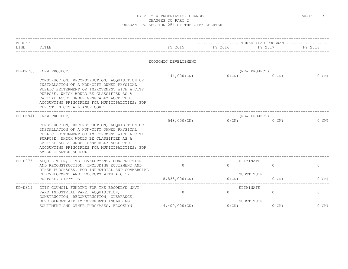| <b>BUDGET</b> |                                                                                                                                                                                                                                                                                                          |                      | $\ldots \ldots \ldots \ldots \ldots \ldots \text{THEE}$ YEAR PROGRAM |                           |          |  |
|---------------|----------------------------------------------------------------------------------------------------------------------------------------------------------------------------------------------------------------------------------------------------------------------------------------------------------|----------------------|----------------------------------------------------------------------|---------------------------|----------|--|
| LINE          | TITLE                                                                                                                                                                                                                                                                                                    | FY 2015              | FY 2016 FY 2017                                                      |                           | FY 2018  |  |
|               |                                                                                                                                                                                                                                                                                                          | ECONOMIC DEVELOPMENT |                                                                      |                           |          |  |
| $ED-DN760$    | (NEW PROJECT)<br>CONSTRUCTION, RECONSTRUCTION, ACQUISITION OR                                                                                                                                                                                                                                            | 144,000(CN)          | $0$ (CN)                                                             | (NEW PROJECT)<br>$0$ (CN) | $0$ (CN) |  |
|               | INSTALLATION OF A NON-CITY OWNED PHYSICAL<br>PUBLIC BETTERMENT OR IMPROVEMENT WITH A CITY<br>PURPOSE, WHICH WOULD BE CLASSIFIED AS A<br>CAPITAL ASSET UNDER GENERALLY ACCEPTED<br>ACCOUNTING PRINCIPLES FOR MUNICIPALITIES; FOR<br>THE ST. NICKS ALLIANCE CORP.                                          |                      |                                                                      |                           |          |  |
| $ED-DN841$    | (NEW PROJECT)                                                                                                                                                                                                                                                                                            |                      |                                                                      | (NEW PROJECT)             |          |  |
|               | CONSTRUCTION, RECONSTRUCTION, ACQUISITION OR<br>INSTALLATION OF A NON-CITY OWNED PHYSICAL<br>PUBLIC BETTERMENT OR IMPROVEMENT WITH A CITY<br>PURPOSE, WHICH WOULD BE CLASSIFIED AS A<br>CAPITAL ASSET UNDER GENERALLY ACCEPTED<br>ACCOUNTING PRINCIPLES FOR MUNICIPALITIES; FOR<br>AMBER CHARTER SCHOOL. | 548,000(CN)          | $0$ (CN)                                                             | $0$ (CN)                  | $0$ (CN) |  |
| $ED-DO75$     | ACQUISITION, SITE DEVELOPMENT, CONSTRUCTION<br>AND RECONSTRUCTION, INCLUDING EQUIPMENT AND<br>OTHER PURCHASES, FOR INDUSTRIAL AND COMMERCIAL                                                                                                                                                             | $\Omega$             | ELIMINATE<br>$\Omega$                                                | $\circ$                   | $\circ$  |  |
|               | REDEVELOPMENT AND PROJECTS WITH A CITY<br>PURPOSE, CITYWIDE<br>-----------------------------------                                                                                                                                                                                                       | 8,835,000 (CN)       | SUBSTITUTE<br>0(CN)                                                  | $0$ (CN)                  | $0$ (CN) |  |
| $ED-D319$     | CITY COUNCIL FUNDING FOR THE BROOKLYN NAVY<br>YARD INDUSTRIAL PARK, ACQUISITION,<br>CONSTRUCTION, RECONSTRUCTION, CLEARANCE,                                                                                                                                                                             | $\Omega$             | ELIMINATE<br>$\Omega$                                                | $\Omega$                  | $\circ$  |  |
|               | DEVELOPMENT AND IMPROVEMENTS INCLUDING<br>EQUIPMENT AND OTHER PURCHASES, BROOKLYN                                                                                                                                                                                                                        | $4,400,000$ (CN)     | SUBSTITUTE<br>0(CN)                                                  | $0$ (CN)                  | $0$ (CN) |  |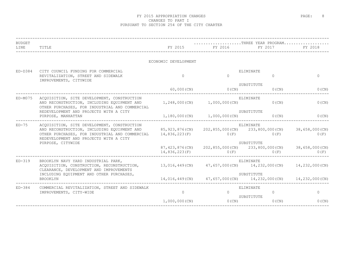| <b>BUDGET</b><br>LINE | TITLE                                                                                                                                                                                                       | FY 2015              | THREE YEAR PROGRAM<br>FY 2016 FY 2017                                                  | ____________________  | FY 2018                |
|-----------------------|-------------------------------------------------------------------------------------------------------------------------------------------------------------------------------------------------------------|----------------------|----------------------------------------------------------------------------------------|-----------------------|------------------------|
|                       |                                                                                                                                                                                                             | ECONOMIC DEVELOPMENT |                                                                                        |                       |                        |
| $ED-D384$             | CITY COUNCIL FUNDING FOR COMMERCIAL<br>REVITALIZATION, STREET AND SIDEWALK<br>IMPROVEMENTS, CITYWIDE                                                                                                        | $\bigcap$            | $\Omega$                                                                               | ELIMINATE<br>$\Omega$ | $\overline{0}$         |
|                       | 60,000(CN)                                                                                                                                                                                                  | O(CN)                | SUBSTITUTE<br>$0$ (CN)                                                                 | $0$ (CN)              |                        |
| $ED-M075$             | ACOUISITION, SITE DEVELOPMENT, CONSTRUCTION<br>AND RECONSTRUCTION, INCLUDING EQUIPMENT AND<br>OTHER PURCHASES, FOR INDUSTRIAL AND COMMERCIAL                                                                |                      | 1,248,000(CN) 1,000,000(CN)                                                            | ELIMINATE<br>$0$ (CN) | $0$ (CN)               |
|                       | REDEVELOPMENT AND PROJECTS WITH A CITY<br>PURPOSE, MANHATTAN<br>--------------------------------                                                                                                            |                      | $1,180,000$ (CN) $1,000,000$ (CN) $0$ (CN)                                             | SUBSTITUTE            | $0$ (CN)               |
| $ED-75$               | ACOUISITION, SITE DEVELOPMENT, CONSTRUCTION<br>AND RECONSTRUCTION, INCLUDING EQUIPMENT AND<br>OTHER PURCHASES, FOR INDUSTRIAL AND COMMERCIAL<br>REDEVELOPMENT AND PROJECTS WITH A CITY<br>PURPOSE, CITYWIDE | 14,836,223(F)        | 85,923,876(CN) 202,855,000(CN) 233,800,000(CN)<br>0(F)                                 | ELIMINATE<br>0(F)     | 38,658,000(CN)<br>0(F) |
|                       |                                                                                                                                                                                                             |                      | 87,423,876(CN) 202,855,000(CN) 233,800,000(CN) 38,658,000(CN)<br>$14,836,223(F)$ 0 (F) | SUBSTITUTE<br>0(F)    | 0(F)                   |
| $ED-319$              | BROOKLYN NAVY YARD INDUSTRIAL PARK,<br>ACQUISITION, CONSTRUCTION, RECONSTRUCTION, 13,016,449(CN) 47,657,000(CN) 14,232,000(CN)<br>CLEARANCE, DEVELOPMENT AND IMPROVEMENTS                                   |                      | _________________________________                                                      | ELIMINATE             | 14,232,000(CN)         |
|                       | INCLUDING EQUIPMENT AND OTHER PURCHASES,<br><b>BROOKLYN</b>                                                                                                                                                 |                      | 14,016,449(CN) 47,657,000(CN) 14,232,000(CN) 14,232,000(CN)                            | SUBSTITUTE            |                        |
| $ED-384$              | COMMERCIAL REVITALIZATION, STREET AND SIDEWALK<br>IMPROVEMENTS, CITY-WIDE                                                                                                                                   | $\Omega$             | $\Omega$                                                                               | ELIMINATE<br>$\circ$  | $\circ$                |
|                       |                                                                                                                                                                                                             | $1,000,000$ (CN)     | O(CN)                                                                                  | SUBSTITUTE<br>0(CN)   | $0$ (CN)               |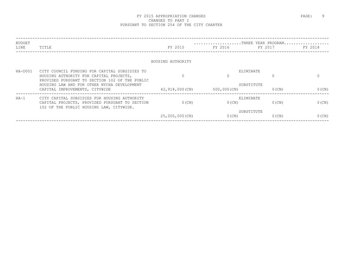| BUDGET  |                                                                               |                   |                 | THREE YEAR PROGRAM     |          |
|---------|-------------------------------------------------------------------------------|-------------------|-----------------|------------------------|----------|
| LINE    | TITLE                                                                         | FY 2015           | FY 2016 FY 2016 | FY 2017                | FY 2018  |
|         |                                                                               |                   |                 |                        |          |
|         |                                                                               | HOUSING AUTHORITY |                 |                        |          |
| HA-D001 | CITY COUNCIL FUNDING FOR CAPITAL SUBSIDIES TO                                 |                   |                 | ELIMINATE              |          |
|         | HOUSING AUTHORITY FOR CAPITAL PROJECTS,                                       |                   | $\Omega$        |                        |          |
|         | PROVIDED PURSUANT TO SECTION 102 OF THE PUBLIC                                |                   |                 |                        |          |
|         | HOUSING LAW AND FOR OTHER NYCHA DEVELOPMENT<br>CAPITAL IMPROVEMENTS, CITYWIDE | 42,918,000(CN)    | 500,000(CN)     | SUBSTITUTE<br>$0$ (CN) | $0$ (CN) |
|         |                                                                               |                   |                 |                        |          |
| $HA-1$  | CITY CAPITAL SUBSIDIES FOR HOUSING AUTHORITY                                  |                   |                 | ELIMINATE              |          |
|         | CAPITAL PROJECTS, PROVIDED PURSUANT TO SECTION                                | $0$ (CN)          | $0$ (CN)        | $0$ (CN)               | $0$ (CN) |
|         | 102 OF THE PUBLIC HOUSING LAW, CITYWIDE.                                      |                   |                 |                        |          |
|         |                                                                               | 25,000,000(CN)    | $0$ (CN)        | SUBSTITUTE<br>$0$ (CN) | $0$ (CN) |
|         |                                                                               |                   |                 |                        |          |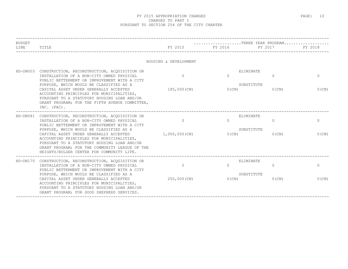| <b>BUDGET</b> |                                                                                                                                                                                                                                                                              |                       | THREE YEAR PROGRAM    |                        |              |
|---------------|------------------------------------------------------------------------------------------------------------------------------------------------------------------------------------------------------------------------------------------------------------------------------|-----------------------|-----------------------|------------------------|--------------|
| LINE          | TITLE                                                                                                                                                                                                                                                                        | FY 2015               | FY 2016               | FY 2017                | FY 2018      |
|               |                                                                                                                                                                                                                                                                              | HOUSING & DEVELOPMENT |                       |                        |              |
| $HD-DN003$    | CONSTRUCTION, RECONSTRUCTION, ACQUISITION OR<br>INSTALLATION OF A NON-CITY OWNED PHYSICAL<br>PUBLIC BETTERMENT OR IMPROVEMENT WITH A CITY                                                                                                                                    | $\Omega$              | ELIMINATE<br>$\Omega$ | $\Omega$               | $\mathbf{0}$ |
|               | PURPOSE, WHICH WOULD BE CLASSIFIED AS A<br>CAPITAL ASSET UNDER GENERALLY ACCEPTED<br>ACCOUNTING PRINCIPLES FOR MUNICIPALITIES,<br>PURSUANT TO A STATUTORY HOUSING LOAN AND/OR<br>GRANT PROGRAM; FOR THE FIFTH AVENUE COMMITTEE,<br>INC. (FAC).                               | 185,000(CN)           | $0$ (CN)              | SUBSTITUTE<br>$0$ (CN) | $0$ (CN)     |
|               | HD-DN081 CONSTRUCTION, RECONSTRUCTION, ACQUISITION OR<br>INSTALLATION OF A NON-CITY OWNED PHYSICAL<br>PUBLIC BETTERMENT OR IMPROVEMENT WITH A CITY                                                                                                                           | $\Omega$              | ELIMINATE<br>$\Omega$ | $\circ$                | $\circ$      |
|               | PURPOSE, WHICH WOULD BE CLASSIFIED AS A<br>CAPITAL ASSET UNDER GENERALLY ACCEPTED<br>ACCOUNTING PRINCIPLES FOR MUNICIPALITIES,<br>PURSUANT TO A STATUTORY HOUSING LOAN AND/OR<br>GRANT PROGRAM: FOR THE COMMUNITY LEAGUE OF THE<br>HEIGHTS/BULGER CENTER FOR COMMUNITY LIFE. | 1,000,000(CN)         | $0$ (CN)              | SUBSTITUTE<br>$0$ (CN) | $0$ (CN)     |
| HD-DN170      | CONSTRUCTION, RECONSTRUCTION, ACQUISITION OR<br>INSTALLATION OF A NON-CITY OWNED PHYSICAL<br>PUBLIC BETTERMENT OR IMPROVEMENT WITH A CITY<br>PURPOSE, WHICH WOULD BE CLASSIFIED AS A                                                                                         | $\Omega$              | ELIMINATE<br>$\Omega$ | $\Omega$<br>SUBSTITUTE | $\Omega$     |
|               | CAPITAL ASSET UNDER GENERALLY ACCEPTED<br>ACCOUNTING PRINCIPLES FOR MUNICIPALITIES,<br>PURSUANT TO A STATUTORY HOUSING LOAN AND/OR<br>GRANT PROGRAM; FOR GOOD SHEPHERD SERVICES.                                                                                             | 250,000 (CN)          | $0$ (CN)              | $0$ (CN)               | $0$ (CN)     |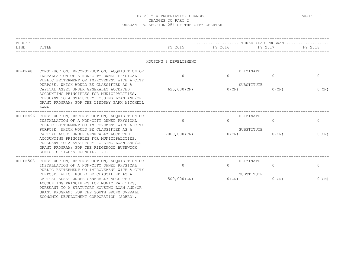| <b>BUDGET</b> |                                                                                                                                                                                                                                                                          |                          | THREE YEAR PROGRAM   |                                                 |                          |
|---------------|--------------------------------------------------------------------------------------------------------------------------------------------------------------------------------------------------------------------------------------------------------------------------|--------------------------|----------------------|-------------------------------------------------|--------------------------|
| LINE          | TITLE                                                                                                                                                                                                                                                                    | FY 2015                  | FY 2016              | FY 2017                                         | FY 2018                  |
|               |                                                                                                                                                                                                                                                                          | HOUSING & DEVELOPMENT    |                      |                                                 |                          |
| HD-DN487      | CONSTRUCTION, RECONSTRUCTION, ACQUISITION OR<br>INSTALLATION OF A NON-CITY OWNED PHYSICAL<br>PUBLIC BETTERMENT OR IMPROVEMENT WITH A CITY<br>PURPOSE, WHICH WOULD BE CLASSIFIED AS A<br>CAPITAL ASSET UNDER GENERALLY ACCEPTED                                           | $\Omega$<br>625,000 (CN) | $\Omega$<br>$0$ (CN) | ELIMINATE<br>$\Omega$<br>SUBSTITUTE<br>$0$ (CN) | $\mathbf{0}$<br>$0$ (CN) |
|               | ACCOUNTING PRINCIPLES FOR MUNICIPALITIES,<br>PURSUANT TO A STATUTORY HOUSING LOAN AND/OR<br>GRANT PROGRAM; FOR THE LINDSAY PARK MITCHELL<br>LAMA.                                                                                                                        |                          |                      |                                                 |                          |
|               | HD-DN496 CONSTRUCTION, RECONSTRUCTION, ACQUISITION OR<br>INSTALLATION OF A NON-CITY OWNED PHYSICAL<br>PUBLIC BETTERMENT OR IMPROVEMENT WITH A CITY<br>PURPOSE, WHICH WOULD BE CLASSIFIED AS A                                                                            | $\circ$                  | $\Omega$             | ELIMINATE<br>$\circ$<br>SUBSTITUTE              | $\circ$                  |
|               | CAPITAL ASSET UNDER GENERALLY ACCEPTED<br>ACCOUNTING PRINCIPLES FOR MUNICIPALITIES,<br>PURSUANT TO A STATUTORY HOUSING LOAN AND/OR<br>GRANT PROGRAM; FOR THE RIDGEWOOD BUSHWICK<br>SENIOR CITIZENS COUNCIL, INC.                                                         | 1,000,000(CN)            | 0(CN)                | $0$ (CN)                                        | $0$ (CN)                 |
|               | HD-DN503 CONSTRUCTION, RECONSTRUCTION, ACQUISITION OR<br>INSTALLATION OF A NON-CITY OWNED PHYSICAL<br>PUBLIC BETTERMENT OR IMPROVEMENT WITH A CITY                                                                                                                       | $\circ$                  | $\Omega$             | ELIMINATE<br>$\circ$                            | $\circ$                  |
|               | PURPOSE, WHICH WOULD BE CLASSIFIED AS A<br>CAPITAL ASSET UNDER GENERALLY ACCEPTED<br>ACCOUNTING PRINCIPLES FOR MUNICIPALITIES,<br>PURSUANT TO A STATUTORY HOUSING LOAN AND/OR<br>GRANT PROGRAM; FOR THE SOUTH BRONX OVERALL<br>ECONOMIC DEVELOPMENT CORPORATION (SOBRO). | $500,000$ (CN)           | 0(CN)                | SUBSTITUTE<br>$0$ (CN)                          | $0$ (CN)                 |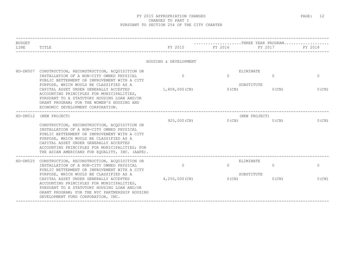| <b>BUDGET</b> |                                                                                                                                                                                                                                                                                                                                                    |                       | THREE YEAR PROGRAM                                       |                           |              |
|---------------|----------------------------------------------------------------------------------------------------------------------------------------------------------------------------------------------------------------------------------------------------------------------------------------------------------------------------------------------------|-----------------------|----------------------------------------------------------|---------------------------|--------------|
| LINE          | TITLE                                                                                                                                                                                                                                                                                                                                              |                       | FY 2015 FY 2016<br>_____________________________________ | FY 2017                   | FY 2018      |
|               |                                                                                                                                                                                                                                                                                                                                                    | HOUSING & DEVELOPMENT |                                                          |                           |              |
| HD-DN507      | CONSTRUCTION, RECONSTRUCTION, ACQUISITION OR<br>INSTALLATION OF A NON-CITY OWNED PHYSICAL<br>PUBLIC BETTERMENT OR IMPROVEMENT WITH A CITY<br>PURPOSE, WHICH WOULD BE CLASSIFIED AS A                                                                                                                                                               | $\Omega$              | ELIMINATE<br>$\Omega$                                    | $\Omega$<br>SUBSTITUTE    | $\mathbf{0}$ |
|               | CAPITAL ASSET UNDER GENERALLY ACCEPTED<br>ACCOUNTING PRINCIPLES FOR MUNICIPALITIES,<br>PURSUANT TO A STATUTORY HOUSING LOAN AND/OR<br>GRANT PROGRAM; FOR THE WOMEN'S HOUSING AND<br>ECONOMIC DEVELOPMENT CORPORATION.                                                                                                                              | 1,808,000(CN)         | 0(CN)                                                    | $0$ (CN)                  | $0$ (CN)     |
| HD-DN512      | (NEW PROJECT)<br>CONSTRUCTION, RECONSTRUCTION, ACOUISITION OR<br>INSTALLATION OF A NON-CITY OWNED PHYSICAL<br>PUBLIC BETTERMENT OR IMPROVEMENT WITH A CITY<br>PURPOSE, WHICH WOULD BE CLASSIFIED AS A<br>CAPITAL ASSET UNDER GENERALLY ACCEPTED<br>ACCOUNTING PRINCIPLES FOR MUNICIPALITIES; FOR<br>THE ASIAN AMERICANS FOR EOUALITY, INC. (AAFE). | 925,000(CN)           | 0(CN)                                                    | (NEW PROJECT)<br>$0$ (CN) | $0$ (CN)     |
|               | HD-DN525 CONSTRUCTION, RECONSTRUCTION, ACQUISITION OR<br>INSTALLATION OF A NON-CITY OWNED PHYSICAL<br>PUBLIC BETTERMENT OR IMPROVEMENT WITH A CITY<br>PURPOSE, WHICH WOULD BE CLASSIFIED AS A                                                                                                                                                      | $\circ$               | ELIMINATE<br>$\Omega$                                    | $\circ$<br>SUBSTITUTE     | $\circ$      |
|               | CAPITAL ASSET UNDER GENERALLY ACCEPTED<br>ACCOUNTING PRINCIPLES FOR MUNICIPALITIES,<br>PURSUANT TO A STATUTORY HOUSING LOAN AND/OR<br>GRANT PROGRAM; FOR THE NYC PARTNERSHIP HOUSING<br>DEVELOPMENT FUND CORPORATION, INC.                                                                                                                         | 4,250,000(CN)         | 0(CN)                                                    | $0$ (CN)                  | $0$ (CN)     |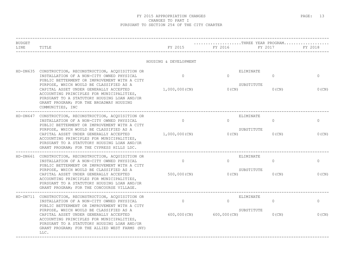| <b>BUDGET</b><br>LINE | TITLE                                                                                                                                                                                                                                                                                                                                                                                              | FY 2015                       | THREE YEAR PROGRAM.<br>FY 2016            | FY 2017                                         | FY 2018               |
|-----------------------|----------------------------------------------------------------------------------------------------------------------------------------------------------------------------------------------------------------------------------------------------------------------------------------------------------------------------------------------------------------------------------------------------|-------------------------------|-------------------------------------------|-------------------------------------------------|-----------------------|
|                       |                                                                                                                                                                                                                                                                                                                                                                                                    | HOUSING & DEVELOPMENT         |                                           |                                                 |                       |
|                       | HD-DN635 CONSTRUCTION, RECONSTRUCTION, ACQUISITION OR<br>INSTALLATION OF A NON-CITY OWNED PHYSICAL<br>PUBLIC BETTERMENT OR IMPROVEMENT WITH A CITY<br>PURPOSE, WHICH WOULD BE CLASSIFIED AS A<br>CAPITAL ASSET UNDER GENERALLY ACCEPTED<br>ACCOUNTING PRINCIPLES FOR MUNICIPALITIES,<br>PURSUANT TO A STATUTORY HOUSING LOAN AND/OR<br>GRANT PROGRAM; FOR THE BROADWAY HOUSING<br>COMMUNITIES, INC | $\Omega$<br>1,000,000(CN)     | $\Omega$<br>$0$ (CN)                      | ELIMINATE<br>$\Omega$<br>SUBSTITUTE<br>$0$ (CN) | $\Omega$<br>$0$ (CN)  |
| $HD-DN647$            | CONSTRUCTION, RECONSTRUCTION, ACQUISITION OR<br>INSTALLATION OF A NON-CITY OWNED PHYSICAL<br>PUBLIC BETTERMENT OR IMPROVEMENT WITH A CITY<br>PURPOSE, WHICH WOULD BE CLASSIFIED AS A<br>CAPITAL ASSET UNDER GENERALLY ACCEPTED<br>ACCOUNTING PRINCIPLES FOR MUNICIPALITIES,<br>PURSUANT TO A STATUTORY HOUSING LOAN AND/OR<br>GRANT PROGRAM; FOR THE CYPRESS HILLS LDC.                            | $\Omega$<br>1,000,000(CN)     | $\Omega$<br>0(CN)                         | ELIMINATE<br>$\Omega$<br>SUBSTITUTE<br>$0$ (CN) | $\Omega$<br>0(CN)     |
|                       | HD-DN661 CONSTRUCTION, RECONSTRUCTION, ACQUISITION OR<br>INSTALLATION OF A NON-CITY OWNED PHYSICAL<br>PUBLIC BETTERMENT OR IMPROVEMENT WITH A CITY<br>PURPOSE, WHICH WOULD BE CLASSIFIED AS A<br>CAPITAL ASSET UNDER GENERALLY ACCEPTED<br>ACCOUNTING PRINCIPLES FOR MUNICIPALITIES,<br>PURSUANT TO A STATUTORY HOUSING LOAN AND/OR<br>GRANT PROGRAM; FOR THE CONCOURSE VILLAGE.                   | $\overline{0}$<br>500,000(CN) | $\Omega$<br>$0$ (CN)                      | ELIMINATE<br>$\circ$<br>SUBSTITUTE<br>$0$ (CN)  | 0<br>$0$ (CN)         |
| HD-DN711              | CONSTRUCTION, RECONSTRUCTION, ACQUISITION OR<br>INSTALLATION OF A NON-CITY OWNED PHYSICAL<br>PUBLIC BETTERMENT OR IMPROVEMENT WITH A CITY<br>PURPOSE, WHICH WOULD BE CLASSIFIED AS A<br>CAPITAL ASSET UNDER GENERALLY ACCEPTED<br>ACCOUNTING PRINCIPLES FOR MUNICIPALITIES,<br>PURSUANT TO A STATUTORY HOUSING LOAN AND/OR<br>GRANT PROGRAM; FOR THE ALLIED WEST FARMS (NY)<br>LLC.                | $\circ$                       | $\Omega$<br>$600,000$ (CN) $600,000$ (CN) | ELIMINATE<br>$\circ$<br>SUBSTITUTE<br>$0$ (CN)  | $\mathbf{0}$<br>0(CN) |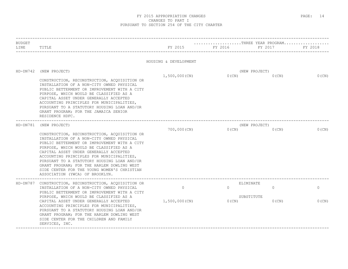| <b>BUDGET</b>                                                                                                                                                                                                                                                                                                                                                                                                                                              |                                                                                                                                                                                                                                                                                                                                                                                        |                       | THREE YEAR PROGRAM |                        |          |
|------------------------------------------------------------------------------------------------------------------------------------------------------------------------------------------------------------------------------------------------------------------------------------------------------------------------------------------------------------------------------------------------------------------------------------------------------------|----------------------------------------------------------------------------------------------------------------------------------------------------------------------------------------------------------------------------------------------------------------------------------------------------------------------------------------------------------------------------------------|-----------------------|--------------------|------------------------|----------|
| LINE                                                                                                                                                                                                                                                                                                                                                                                                                                                       | TITLE                                                                                                                                                                                                                                                                                                                                                                                  | FY 2015               | FY 2016            | FY 2017                | FY 2018  |
|                                                                                                                                                                                                                                                                                                                                                                                                                                                            |                                                                                                                                                                                                                                                                                                                                                                                        | HOUSING & DEVELOPMENT |                    |                        |          |
|                                                                                                                                                                                                                                                                                                                                                                                                                                                            | HD-DN742 (NEW PROJECT)                                                                                                                                                                                                                                                                                                                                                                 |                       |                    | (NEW PROJECT)          |          |
|                                                                                                                                                                                                                                                                                                                                                                                                                                                            | CONSTRUCTION, RECONSTRUCTION, ACQUISITION OR<br>INSTALLATION OF A NON-CITY OWNED PHYSICAL<br>PUBLIC BETTERMENT OR IMPROVEMENT WITH A CITY<br>PURPOSE, WHICH WOULD BE CLASSIFIED AS A<br>CAPITAL ASSET UNDER GENERALLY ACCEPTED<br>ACCOUNTING PRINCIPLES FOR MUNICIPALITIES,<br>PURSUANT TO A STATUTORY HOUSING LOAN AND/OR<br>GRANT PROGRAM; FOR THE JAMAICA SENIOR<br>RESIDENCE HDFC. | 1,500,000(CN)         | $0$ (CN)           | $0$ (CN)               | $0$ (CN) |
| HD-DN781                                                                                                                                                                                                                                                                                                                                                                                                                                                   | (NEW PROJECT)                                                                                                                                                                                                                                                                                                                                                                          |                       |                    | (NEW PROJECT)          |          |
| CONSTRUCTION, RECONSTRUCTION, ACQUISITION OR<br>INSTALLATION OF A NON-CITY OWNED PHYSICAL<br>PUBLIC BETTERMENT OR IMPROVEMENT WITH A CITY<br>PURPOSE, WHICH WOULD BE CLASSIFIED AS A<br>CAPITAL ASSET UNDER GENERALLY ACCEPTED<br>ACCOUNTING PRINCIPLES FOR MUNICIPALITIES,<br>PURSUANT TO A STATUTORY HOUSING LOAN AND/OR<br>GRANT PROGRAM; FOR THE HARLEM DOWLING WEST<br>SIDE CENTER FOR THE YOUNG WOMEN'S CHRISTIAN<br>ASSOCIATION (YWCA) OF BROOKLYN. | 700,000(CN)                                                                                                                                                                                                                                                                                                                                                                            | O(CN)                 | $0$ (CN)           | $0$ (CN)               |          |
|                                                                                                                                                                                                                                                                                                                                                                                                                                                            | HD-DN787 CONSTRUCTION, RECONSTRUCTION, ACQUISITION OR                                                                                                                                                                                                                                                                                                                                  |                       |                    | ELIMINATE              |          |
|                                                                                                                                                                                                                                                                                                                                                                                                                                                            | INSTALLATION OF A NON-CITY OWNED PHYSICAL<br>PUBLIC BETTERMENT OR IMPROVEMENT WITH A CITY<br>PURPOSE, WHICH WOULD BE CLASSIFIED AS A                                                                                                                                                                                                                                                   | $\overline{0}$        | $\Omega$           | $\Omega$<br>SUBSTITUTE | $\circ$  |
|                                                                                                                                                                                                                                                                                                                                                                                                                                                            | CAPITAL ASSET UNDER GENERALLY ACCEPTED<br>ACCOUNTING PRINCIPLES FOR MUNICIPALITIES,<br>PURSUANT TO A STATUTORY HOUSING LOAN AND/OR<br>GRANT PROGRAM; FOR THE HARLEM DOWLING WEST<br>SIDE CENTER FOR THE CHILDREN AND FAMILY<br>SERVICES, INC.                                                                                                                                          | 1,500,000(CN)         | 0(CN)              | $0$ (CN)               | $0$ (CN) |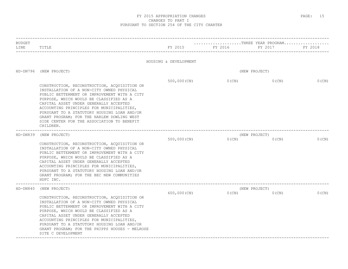| <b>BUDGET</b><br>LINE | TITLE                                                                                                                                                                                                                                                                                                                                                                                                                               | FY 2015               | THREE YEAR PROGRAM<br>FY 2016 | FY 2017                   | FY 2018  |
|-----------------------|-------------------------------------------------------------------------------------------------------------------------------------------------------------------------------------------------------------------------------------------------------------------------------------------------------------------------------------------------------------------------------------------------------------------------------------|-----------------------|-------------------------------|---------------------------|----------|
|                       |                                                                                                                                                                                                                                                                                                                                                                                                                                     | HOUSING & DEVELOPMENT |                               |                           |          |
| $HD-DN796$            | (NEW PROJECT)                                                                                                                                                                                                                                                                                                                                                                                                                       |                       |                               | (NEW PROJECT)             |          |
|                       | CONSTRUCTION, RECONSTRUCTION, ACQUISITION OR<br>INSTALLATION OF A NON-CITY OWNED PHYSICAL<br>PUBLIC BETTERMENT OR IMPROVEMENT WITH A CITY<br>PURPOSE, WHICH WOULD BE CLASSIFIED AS A<br>CAPITAL ASSET UNDER GENERALLY ACCEPTED<br>ACCOUNTING PRINCIPLES FOR MUNICIPALITIES,<br>PURSUANT TO A STATUTORY HOUSING LOAN AND/OR<br>GRANT PROGRAM; FOR THE HARLEM DOWLING WEST<br>SIDE CENTER FOR THE ASSOCIATION TO BENEFIT<br>CHILDREN. | $500,000$ (CN)        | $0$ (CN)                      | $0$ (CN)                  | $0$ (CN) |
| $HD-DN839$            | (NEW PROJECT)<br>CONSTRUCTION, RECONSTRUCTION, ACQUISITION OR<br>INSTALLATION OF A NON-CITY OWNED PHYSICAL<br>PUBLIC BETTERMENT OR IMPROVEMENT WITH A CITY<br>PURPOSE, WHICH WOULD BE CLASSIFIED AS A<br>CAPITAL ASSET UNDER GENERALLY ACCEPTED<br>ACCOUNTING PRINCIPLES FOR MUNICIPALITIES,<br>PURSUANT TO A STATUTORY HOUSING LOAN AND/OR<br>GRANT PROGRAM; FOR THE BEC NEW COMMUNITIES<br>HDFC INC.                              | 500,000 (CN)          | $0$ (CN)                      | (NEW PROJECT)<br>$0$ (CN) | $0$ (CN) |
| $HD-DN840$            | (NEW PROJECT)<br>CONSTRUCTION, RECONSTRUCTION, ACQUISITION OR<br>INSTALLATION OF A NON-CITY OWNED PHYSICAL<br>PUBLIC BETTERMENT OR IMPROVEMENT WITH A CITY<br>PURPOSE, WHICH WOULD BE CLASSIFIED AS A<br>CAPITAL ASSET UNDER GENERALLY ACCEPTED<br>ACCOUNTING PRINCIPLES FOR MUNICIPALITIES,<br>PURSUANT TO A STATUTORY HOUSING LOAN AND/OR<br>GRANT PROGRAM; FOR THE PHIPPS HOUSES - MELROSE<br>SITE C DEVELOPMENT                 | 600,000 (CN)          | $0$ (CN)                      | (NEW PROJECT)<br>$0$ (CN) | $0$ (CN) |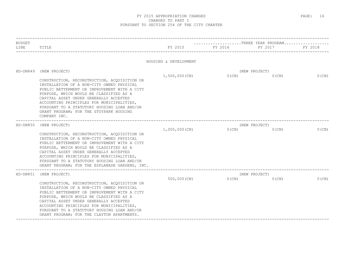| <b>BUDGET</b><br>LINE | TITLE                                                                                                                                                                                                                                                                                                                                                                                                  | FY 2015               | THREE YEAR PROGRAM<br>FY 2016 | FY 2017                   | FY 2018  |
|-----------------------|--------------------------------------------------------------------------------------------------------------------------------------------------------------------------------------------------------------------------------------------------------------------------------------------------------------------------------------------------------------------------------------------------------|-----------------------|-------------------------------|---------------------------|----------|
|                       |                                                                                                                                                                                                                                                                                                                                                                                                        | HOUSING & DEVELOPMENT |                               |                           |          |
| $HD-DN849$            | (NEW PROJECT)<br>CONSTRUCTION, RECONSTRUCTION, ACQUISITION OR<br>INSTALLATION OF A NON-CITY OWNED PHYSICAL<br>PUBLIC BETTERMENT OR IMPROVEMENT WITH A CITY<br>PURPOSE, WHICH WOULD BE CLASSIFIED AS A<br>CAPITAL ASSET UNDER GENERALLY ACCEPTED<br>ACCOUNTING PRINCIPLES FOR MUNICIPALITIES,<br>PURSUANT TO A STATUTORY HOUSING LOAN AND/OR<br>GRANT PROGRAM; FOR THE STUYPARK HOUSING<br>COMPANY INC. | 1,500,000(CN)         | $0$ (CN)                      | (NEW PROJECT)<br>$0$ (CN) | $0$ (CN) |
| $HD-DN850$            | (NEW PROJECT)<br>CONSTRUCTION, RECONSTRUCTION, ACQUISITION OR<br>INSTALLATION OF A NON-CITY OWNED PHYSICAL<br>PUBLIC BETTERMENT OR IMPROVEMENT WITH A CITY<br>PURPOSE, WHICH WOULD BE CLASSIFIED AS A<br>CAPITAL ASSET UNDER GENERALLY ACCEPTED<br>ACCOUNTING PRINCIPLES FOR MUNICIPALITIES,<br>PURSUANT TO A STATUTORY HOUSING LOAN AND/OR<br>GRANT PROGRAM; FOR THE ESPLANADE GARDENS, INC.          | 1,000,000(CN)         | O(CN)                         | (NEW PROJECT)<br>$0$ (CN) | 0(CN)    |
| $HD-DN851$            | (NEW PROJECT)<br>CONSTRUCTION, RECONSTRUCTION, ACQUISITION OR<br>INSTALLATION OF A NON-CITY OWNED PHYSICAL<br>PUBLIC BETTERMENT OR IMPROVEMENT WITH A CITY<br>PURPOSE, WHICH WOULD BE CLASSIFIED AS A<br>CAPITAL ASSET UNDER GENERALLY ACCEPTED<br>ACCOUNTING PRINCIPLES FOR MUNICIPALITIES,<br>PURSUANT TO A STATUTORY HOUSING LOAN AND/OR<br>GRANT PROGRAM; FOR THE CLAYTON APARTMENTS.              | 500,000(CN)           | O(CN)                         | (NEW PROJECT)<br>$0$ (CN) | $0$ (CN) |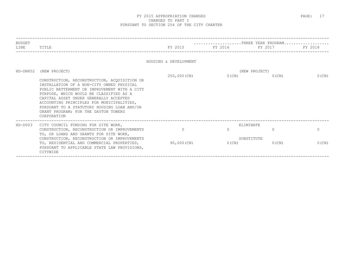| BUDGET<br>LINE | TITLE                                                                                                                                                                                                                                                                                                                             |                       | $\ldots \ldots \ldots \ldots \ldots \ldots \ldots$ . THREE YEAR PROGRAM<br>FY 2015 FY 2016 FY 2017 FY 2018 |                           |          |
|----------------|-----------------------------------------------------------------------------------------------------------------------------------------------------------------------------------------------------------------------------------------------------------------------------------------------------------------------------------|-----------------------|------------------------------------------------------------------------------------------------------------|---------------------------|----------|
|                |                                                                                                                                                                                                                                                                                                                                   | HOUSING & DEVELOPMENT |                                                                                                            |                           |          |
| HD-DN852       | (NEW PROJECT)<br>CONSTRUCTION, RECONSTRUCTION, ACOUISITION OR                                                                                                                                                                                                                                                                     | 250,000(CN)           | $0$ (CN)                                                                                                   | (NEW PROJECT)<br>$0$ (CN) | $0$ (CN) |
|                | INSTALLATION OF A NON-CITY OWNED PHYSICAL<br>PUBLIC BETTERMENT OR IMPROVEMENT WITH A CITY<br>PURPOSE, WHICH WOULD BE CLASSIFIED AS A<br>CAPITAL ASSET UNDER GENERALLY ACCEPTED<br>ACCOUNTING PRINCIPLES FOR MUNICIPALITIES,<br>PURSUANT TO A STATUTORY HOUSING LOAN AND/OR<br>GRANT PROGRAM; FOR THE DAYTON TOWERS<br>CORPORATION |                       |                                                                                                            |                           |          |
| $HD-DOO3$      | CITY COUNCIL FUNDING FOR SITE WORK,<br>CONSTRUCTION, RECONSTRUCTION OR IMPROVEMENTS                                                                                                                                                                                                                                               | $\Omega$              | $\cap$                                                                                                     | ELIMINATE<br>$\bigcap$    | $\Omega$ |
|                | TO, OR LOANS AND GRANTS FOR SITE WORK,<br>CONSTRUCTION, RECONSTRUCTION OR IMPROVEMENTS                                                                                                                                                                                                                                            |                       |                                                                                                            | SUBSTITUTE                |          |
|                | TO, RESIDENTIAL AND COMMERCIAL PROPERTIES,<br>PURSUANT TO APPLICABLE STATE LAW PROVISIONS,<br>CITYWIDE                                                                                                                                                                                                                            | 90,000(CN)            | 0(CN)                                                                                                      | $0$ (CN)                  | $0$ (CN) |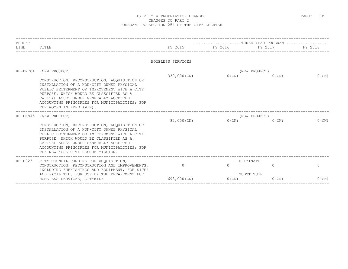| <b>BUDGET</b> |                                                                                                                                                                                                                                                                                                                                       |                   | THREE YEAR PROGRAM                     |                                                 |                      |
|---------------|---------------------------------------------------------------------------------------------------------------------------------------------------------------------------------------------------------------------------------------------------------------------------------------------------------------------------------------|-------------------|----------------------------------------|-------------------------------------------------|----------------------|
| LINE          | TITLE                                                                                                                                                                                                                                                                                                                                 |                   | FY 2015 FY 2016 FY 2017                |                                                 | FY 2018              |
|               |                                                                                                                                                                                                                                                                                                                                       | HOMELESS SERVICES |                                        |                                                 |                      |
|               | HH-DN701 (NEW PROJECT)<br>CONSTRUCTION, RECONSTRUCTION, ACOUISITION OR<br>INSTALLATION OF A NON-CITY OWNED PHYSICAL<br>PUBLIC BETTERMENT OR IMPROVEMENT WITH A CITY<br>PURPOSE, WHICH WOULD BE CLASSIFIED AS A<br>CAPITAL ASSET UNDER GENERALLY ACCEPTED<br>ACCOUNTING PRINCIPLES FOR MUNICIPALITIES; FOR<br>THE WOMEN IN NEED (WIN). | 330,000(CN)       |                                        | (NEW PROJECT)<br>$0(CN)$ $0(CN)$                | $0$ (CN)             |
| $HH-DN845$    | (NEW PROJECT)<br>CONSTRUCTION, RECONSTRUCTION, ACQUISITION OR<br>INSTALLATION OF A NON-CITY OWNED PHYSICAL<br>PUBLIC BETTERMENT OR IMPROVEMENT WITH A CITY<br>PURPOSE, WHICH WOULD BE CLASSIFIED AS A<br>CAPITAL ASSET UNDER GENERALLY ACCEPTED<br>ACCOUNTING PRINCIPLES FOR MUNICIPALITIES; FOR<br>THE NEW YORK CITY RESCUE MISSION. |                   | 82,000 (CN) $0$ (CN) $0$ (CN) $0$ (CN) | (NEW PROJECT)                                   | $0$ (CN)             |
| $HH - D025$   | CITY COUNCIL FUNDING FOR ACQUISITION,<br>CONSTRUCTION, RECONSTRUCTION AND IMPROVEMENTS,<br>INCLUDING FURNISHINGS AND EQUIPMENT, FOR SITES<br>AND FACILITIES FOR USE BY THE DEPARTMENT FOR<br>$693,000$ (CN)<br>HOMELESS SERVICES, CITYWIDE                                                                                            | $\overline{0}$    | $\Omega$<br>O(CN)                      | ELIMINATE<br>$\Omega$<br>SUBSTITUTE<br>$0$ (CN) | $\Omega$<br>$0$ (CN) |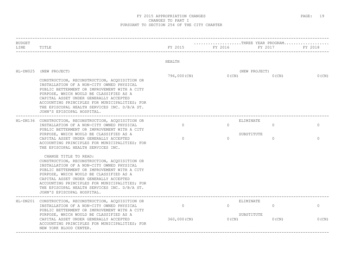| <b>BUDGET</b><br>LINE | TITLE                                                                                                                                                                                                                                                                                                                                                                                  | FY 2015<br>HEALTH | FY 2016  | THREE YEAR PROGRAM<br>FY 2017 | FY 2018      |
|-----------------------|----------------------------------------------------------------------------------------------------------------------------------------------------------------------------------------------------------------------------------------------------------------------------------------------------------------------------------------------------------------------------------------|-------------------|----------|-------------------------------|--------------|
|                       |                                                                                                                                                                                                                                                                                                                                                                                        |                   |          |                               |              |
| $HL-DN025$            | (NEW PROJECT)                                                                                                                                                                                                                                                                                                                                                                          | 796,000 (CN)      | $0$ (CN) | (NEW PROJECT)<br>$0$ (CN)     | $0$ (CN)     |
|                       | CONSTRUCTION, RECONSTRUCTION, ACQUISITION OR<br>INSTALLATION OF A NON-CITY OWNED PHYSICAL<br>PUBLIC BETTERMENT OR IMPROVEMENT WITH A CITY<br>PURPOSE, WHICH WOULD BE CLASSIFIED AS A<br>CAPITAL ASSET UNDER GENERALLY ACCEPTED<br>ACCOUNTING PRINCIPLES FOR MUNICIPALITIES; FOR<br>THE EPISCOPAL HEALTH SERVICES INC. D/B/A ST.<br>JOHN'S EPISCOPAL HOSPITAL.                          |                   |          |                               |              |
|                       | HL-DN136 CONSTRUCTION, RECONSTRUCTION, ACQUISITION OR                                                                                                                                                                                                                                                                                                                                  |                   |          | ELIMINATE                     |              |
|                       | INSTALLATION OF A NON-CITY OWNED PHYSICAL<br>PUBLIC BETTERMENT OR IMPROVEMENT WITH A CITY                                                                                                                                                                                                                                                                                              | $\Omega$          | $\Omega$ | $\Omega$                      | $\mathbf{0}$ |
|                       | PURPOSE, WHICH WOULD BE CLASSIFIED AS A<br>CAPITAL ASSET UNDER GENERALLY ACCEPTED<br>ACCOUNTING PRINCIPLES FOR MUNICIPALITIES; FOR<br>THE EPISCOPAL HEALTH SERVICES INC.                                                                                                                                                                                                               | $\mathbf{0}$      | $\Omega$ | SUBSTITUTE<br>$\Omega$        | $\Omega$     |
|                       | CHANGE TITLE TO READ:<br>CONSTRUCTION, RECONSTRUCTION, ACQUISITION OR<br>INSTALLATION OF A NON-CITY OWNED PHYSICAL<br>PUBLIC BETTERMENT OR IMPROVEMENT WITH A CITY<br>PURPOSE, WHICH WOULD BE CLASSIFIED AS A<br>CAPITAL ASSET UNDER GENERALLY ACCEPTED<br>ACCOUNTING PRINCIPLES FOR MUNICIPALITIES; FOR<br>THE EPISCOPAL HEALTH SERVICES INC. D/B/A ST.<br>JOHN'S EPISCOPAL HOSPITAL. |                   |          |                               |              |
|                       | HL-DN201 CONSTRUCTION, RECONSTRUCTION, ACQUISITION OR<br>INSTALLATION OF A NON-CITY OWNED PHYSICAL<br>PUBLIC BETTERMENT OR IMPROVEMENT WITH A CITY                                                                                                                                                                                                                                     | $\circ$           | $\Omega$ | ELIMINATE<br>$\circ$          | $\circ$      |
|                       | PURPOSE, WHICH WOULD BE CLASSIFIED AS A<br>CAPITAL ASSET UNDER GENERALLY ACCEPTED<br>ACCOUNTING PRINCIPLES FOR MUNICIPALITIES; FOR<br>NEW YORK BLOOD CENTER.                                                                                                                                                                                                                           | 360,000 (CN)      | 0(CN)    | SUBSTITUTE<br>$0$ (CN)        | $0$ (CN)     |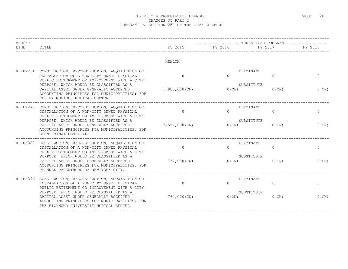| <b>BUDGET</b><br>LINE | TITLE                                                                                                                                                                                                                                   | FY 2015                   | $\ldots \ldots \ldots \ldots \ldots \ldots \ldots$ . THREE YEAR PROGRAM<br>FY 2016 | FY 2017                                         | FY 2018           |
|-----------------------|-----------------------------------------------------------------------------------------------------------------------------------------------------------------------------------------------------------------------------------------|---------------------------|------------------------------------------------------------------------------------|-------------------------------------------------|-------------------|
|                       |                                                                                                                                                                                                                                         | HEALTH                    |                                                                                    |                                                 |                   |
|                       | HL-DN254 CONSTRUCTION, RECONSTRUCTION, ACQUISITION OR<br>INSTALLATION OF A NON-CITY OWNED PHYSICAL<br>PUBLIC BETTERMENT OR IMPROVEMENT WITH A CITY<br>PURPOSE, WHICH WOULD BE CLASSIFIED AS A<br>CAPITAL ASSET UNDER GENERALLY ACCEPTED | $\Omega$<br>1,900,000(CN) | $\Omega$<br>$0$ (CN)                                                               | ELIMINATE<br>$\Omega$<br>SUBSTITUTE<br>$0$ (CN) | $\Omega$<br>0(CN) |
|                       | ACCOUNTING PRINCIPLES FOR MUNICIPALITIES; FOR<br>THE MAIMONIDES MEDICAL CENTER                                                                                                                                                          |                           |                                                                                    |                                                 |                   |
|                       | HL-DN273 CONSTRUCTION, RECONSTRUCTION, ACQUISITION OR<br>INSTALLATION OF A NON-CITY OWNED PHYSICAL<br>PUBLIC BETTERMENT OR IMPROVEMENT WITH A CITY                                                                                      | $\Omega$                  | $\Omega$                                                                           | ELIMINATE<br>$\Omega$                           | $\circ$           |
|                       | PURPOSE, WHICH WOULD BE CLASSIFIED AS A<br>CAPITAL ASSET UNDER GENERALLY ACCEPTED<br>ACCOUNTING PRINCIPLES FOR MUNICIPALITIES; FOR<br>MOUNT SINAI HOSPITAL.                                                                             | 2,557,000(CN)             | $0$ (CN)                                                                           | SUBSTITUTE<br>$0$ (CN)                          | 0(CN)             |
| HL-DN328              | CONSTRUCTION, RECONSTRUCTION, ACQUISITION OR<br>INSTALLATION OF A NON-CITY OWNED PHYSICAL<br>PUBLIC BETTERMENT OR IMPROVEMENT WITH A CITY                                                                                               | $\Omega$                  | $\Omega$                                                                           | ELIMINATE<br>$\Omega$                           | $\circ$           |
|                       | PURPOSE, WHICH WOULD BE CLASSIFIED AS A<br>CAPITAL ASSET UNDER GENERALLY ACCEPTED<br>ACCOUNTING PRINCIPLES FOR MUNICIPALITIES; FOR<br>PLANNED PARENTHOOD OF NEW YORK CITY.                                                              | 737,000 (CN)              | 0(CN)                                                                              | SUBSTITUTE<br>$0$ (CN)                          | $0$ (CN)          |
|                       | HL-DN346 CONSTRUCTION, RECONSTRUCTION, ACQUISITION OR<br>INSTALLATION OF A NON-CITY OWNED PHYSICAL<br>PUBLIC BETTERMENT OR IMPROVEMENT WITH A CITY                                                                                      | $\Omega$                  | $\Omega$                                                                           | ELIMINATE<br>$\Omega$                           | $\mathbf{0}$      |
|                       | PURPOSE, WHICH WOULD BE CLASSIFIED AS A<br>CAPITAL ASSET UNDER GENERALLY ACCEPTED<br>ACCOUNTING PRINCIPLES FOR MUNICIPALITIES; FOR<br>THE RICHMOND UNIVERSITY MEDICAL CENTER.                                                           | 764,000(CN)               | $0$ (CN)                                                                           | SUBSTITUTE<br>0(CN)                             | $0$ (CN)          |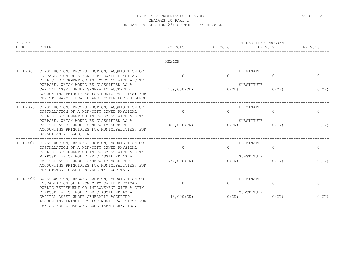#### FY 2015 APPROPRIATION CHANGES **EXAMPLE 21** 21 CHANGES TO PART I PURSUANT TO SECTION 254 OF THE CITY CHARTER

| <b>BUDGET</b> |                                                                                                                                                                                      |              |          | THREE YEAR PROGRAM        |              |
|---------------|--------------------------------------------------------------------------------------------------------------------------------------------------------------------------------------|--------------|----------|---------------------------|--------------|
| LINE          | TITLE                                                                                                                                                                                | FY 2015      | FY 2016  | FY 2017                   | FY 2018      |
|               |                                                                                                                                                                                      | HEALTH       |          |                           |              |
|               | HL-DN367 CONSTRUCTION, RECONSTRUCTION, ACQUISITION OR<br>INSTALLATION OF A NON-CITY OWNED PHYSICAL<br>PUBLIC BETTERMENT OR IMPROVEMENT WITH A CITY                                   | $\Omega$     | $\Omega$ | ELIMINATE<br>$\mathbf{0}$ | $\mathbf{0}$ |
|               | PURPOSE, WHICH WOULD BE CLASSIFIED AS A<br>CAPITAL ASSET UNDER GENERALLY ACCEPTED<br>ACCOUNTING PRINCIPLES FOR MUNICIPALITIES; FOR<br>THE ST. MARY'S HEALTHCARE SYSTEM FOR CHILDREN. | 469,000(CN)  | $0$ (CN) | SUBSTITUTE<br>$0$ (CN)    | 0(CN)        |
|               | HL-DN370 CONSTRUCTION, RECONSTRUCTION, ACQUISITION OR<br>INSTALLATION OF A NON-CITY OWNED PHYSICAL<br>PUBLIC BETTERMENT OR IMPROVEMENT WITH A CITY                                   | $\circ$      | $\Omega$ | ELIMINATE<br>$\circ$      | $\mathbf{0}$ |
|               | PURPOSE, WHICH WOULD BE CLASSIFIED AS A<br>CAPITAL ASSET UNDER GENERALLY ACCEPTED<br>ACCOUNTING PRINCIPLES FOR MUNICIPALITIES; FOR<br>SAMARITAN VILLAGE, INC.                        | 886,000 (CN) | $0$ (CN) | SUBSTITUTE<br>$0$ (CN)    | $0$ (CN)     |
|               | _____________<br>HL-DN404 CONSTRUCTION, RECONSTRUCTION, ACQUISITION OR<br>INSTALLATION OF A NON-CITY OWNED PHYSICAL<br>PUBLIC BETTERMENT OR IMPROVEMENT WITH A CITY                  | $\Omega$     | $\Omega$ | ELIMINATE<br>$\Omega$     | $\Omega$     |
|               | PURPOSE, WHICH WOULD BE CLASSIFIED AS A<br>CAPITAL ASSET UNDER GENERALLY ACCEPTED<br>ACCOUNTING PRINCIPLES FOR MUNICIPALITIES; FOR<br>THE STATEN ISLAND UNIVERSITY HOSPITAL.         | 652,000 (CN) | 0(CN)    | SUBSTITUTE<br>$0$ (CN)    | $0$ (CN)     |
|               | HL-DN406 CONSTRUCTION, RECONSTRUCTION, ACQUISITION OR<br>INSTALLATION OF A NON-CITY OWNED PHYSICAL<br>PUBLIC BETTERMENT OR IMPROVEMENT WITH A CITY                                   | $\Omega$     | $\Omega$ | ELIMINATE<br>$\Omega$     | $\mathbf{0}$ |
|               | PURPOSE, WHICH WOULD BE CLASSIFIED AS A<br>CAPITAL ASSET UNDER GENERALLY ACCEPTED<br>ACCOUNTING PRINCIPLES FOR MUNICIPALITIES; FOR<br>THE CATHOLIC MANAGED LONG TERM CARE, INC.      | 43,000 (CN)  | $0$ (CN) | SUBSTITUTE<br>$0$ (CN)    | $0$ (CN)     |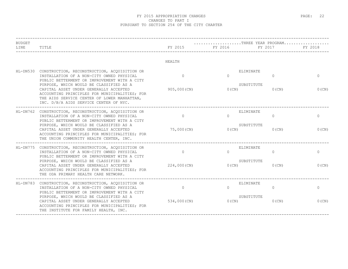#### FY 2015 APPROPRIATION CHANGES **EXAMPLE 22** PAGE: 22 CHANGES TO PART I PURSUANT TO SECTION 254 OF THE CITY CHARTER

| <b>BUDGET</b><br>LINE | TITLE                                                                                                                                                                                                                                                                                                                                                                             | FY 2015                        | THREE YEAR PROGRAM<br>FY 2016<br>-------------- | FY 2017                                         | FY 2018                  |
|-----------------------|-----------------------------------------------------------------------------------------------------------------------------------------------------------------------------------------------------------------------------------------------------------------------------------------------------------------------------------------------------------------------------------|--------------------------------|-------------------------------------------------|-------------------------------------------------|--------------------------|
|                       |                                                                                                                                                                                                                                                                                                                                                                                   | HEALTH                         |                                                 |                                                 |                          |
|                       | HL-DN530 CONSTRUCTION, RECONSTRUCTION, ACQUISITION OR<br>INSTALLATION OF A NON-CITY OWNED PHYSICAL<br>PUBLIC BETTERMENT OR IMPROVEMENT WITH A CITY<br>PURPOSE, WHICH WOULD BE CLASSIFIED AS A<br>CAPITAL ASSET UNDER GENERALLY ACCEPTED<br>ACCOUNTING PRINCIPLES FOR MUNICIPALITIES; FOR<br>THE AIDS SERVICE CENTER OF LOWER MANHATTAN,<br>INC. D/B/A AIDS SERVICE CENTER OF NYC. | $\Omega$<br>905,000 (CN)       | $\Omega$<br>$0$ (CN)                            | ELIMINATE<br>$\Omega$<br>SUBSTITUTE<br>$0$ (CN) | $\mathbf{0}$<br>$0$ (CN) |
|                       | HL-DN762 CONSTRUCTION, RECONSTRUCTION, ACOUISITION OR<br>INSTALLATION OF A NON-CITY OWNED PHYSICAL<br>PUBLIC BETTERMENT OR IMPROVEMENT WITH A CITY<br>PURPOSE, WHICH WOULD BE CLASSIFIED AS A<br>CAPITAL ASSET UNDER GENERALLY ACCEPTED<br>ACCOUNTING PRINCIPLES FOR MUNICIPALITIES; FOR<br>THE UNION COMMUNITY HEALTH CENTER, INC.                                               | $\Omega$<br>75,000 (CN)        | $\Omega$<br>0(CN)                               | ELIMINATE<br>$\Omega$<br>SUBSTITUTE<br>$0$ (CN) | $\circ$<br>$0$ (CN)      |
|                       | HL-DN775 CONSTRUCTION, RECONSTRUCTION, ACQUISITION OR<br>INSTALLATION OF A NON-CITY OWNED PHYSICAL<br>PUBLIC BETTERMENT OR IMPROVEMENT WITH A CITY<br>PURPOSE, WHICH WOULD BE CLASSIFIED AS A<br>CAPITAL ASSET UNDER GENERALLY ACCEPTED<br>ACCOUNTING PRINCIPLES FOR MUNICIPALITIES; FOR<br>THE ODA PRIMARY HEALTH CARE NETWORK.                                                  | $\overline{0}$<br>224,000 (CN) | $\Omega$<br>$0$ (CN)                            | ELIMINATE<br>$\circ$<br>SUBSTITUTE<br>$0$ (CN)  | $\circ$<br>0(CN)         |
|                       | HL-DN783 CONSTRUCTION, RECONSTRUCTION, ACQUISITION OR<br>INSTALLATION OF A NON-CITY OWNED PHYSICAL<br>PUBLIC BETTERMENT OR IMPROVEMENT WITH A CITY<br>PURPOSE, WHICH WOULD BE CLASSIFIED AS A<br>CAPITAL ASSET UNDER GENERALLY ACCEPTED<br>ACCOUNTING PRINCIPLES FOR MUNICIPALITIES; FOR<br>THE INSTITUTE FOR FAMILY HEALTH, INC.                                                 | $\Omega$<br>534,000 (CN)       | $\Omega$<br>0(CN)                               | ELIMINATE<br>$\Omega$<br>SUBSTITUTE<br>$0$ (CN) | $\circ$<br>0(CN)         |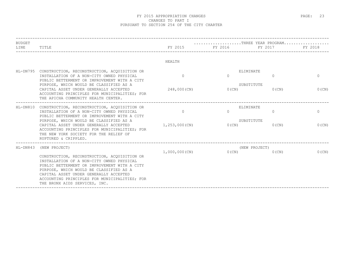#### FY 2015 APPROPRIATION CHANGES **EXAMPLE 23** PAGE: 23 CHANGES TO PART I PURSUANT TO SECTION 254 OF THE CITY CHARTER

| <b>BUDGET</b> |                                                                                                                                                                                                                                                                                                                                                            |                            |                                                        |                             |                          |  |
|---------------|------------------------------------------------------------------------------------------------------------------------------------------------------------------------------------------------------------------------------------------------------------------------------------------------------------------------------------------------------------|----------------------------|--------------------------------------------------------|-----------------------------|--------------------------|--|
| LINE          | TITLE                                                                                                                                                                                                                                                                                                                                                      |                            | FY 2015 FY 2016                                        | FY 2017                     | FY 2018                  |  |
|               |                                                                                                                                                                                                                                                                                                                                                            | HEALTH                     |                                                        |                             |                          |  |
| HL-DN795      | CONSTRUCTION, RECONSTRUCTION, ACQUISITION OR<br>INSTALLATION OF A NON-CITY OWNED PHYSICAL<br>PUBLIC BETTERMENT OR IMPROVEMENT WITH A CITY<br>PURPOSE, WHICH WOULD BE CLASSIFIED AS A<br>CAPITAL ASSET UNDER GENERALLY ACCEPTED<br>ACCOUNTING PRINCIPLES FOR MUNICIPALITIES; FOR<br>THE APICHA COMMUNITY HEALTH CENTER.                                     | $\Omega$<br>248,000 (CN)   | ELIMINATE<br>$\Omega$<br>SUBSTITUTE                    | $\Omega$<br>$0(CN)$ $0(CN)$ | $\Omega$<br>$0$ (CN)     |  |
|               | HL-DN810 CONSTRUCTION, RECONSTRUCTION, ACQUISITION OR<br>INSTALLATION OF A NON-CITY OWNED PHYSICAL<br>PUBLIC BETTERMENT OR IMPROVEMENT WITH A CITY<br>PURPOSE, WHICH WOULD BE CLASSIFIED AS A<br>CAPITAL ASSET UNDER GENERALLY ACCEPTED<br>ACCOUNTING PRINCIPLES FOR MUNICIPALITIES; FOR<br>THE NEW YORK SOCIETY FOR THE RELIEF OF<br>RUPTURED & CRIPPLED. | $\Omega$<br>1,253,000 (CN) | ELIMINATE<br>$\Omega$<br>SUBSTITUTE<br>$O(CN)$ $O(CN)$ | $\Omega$                    | $\mathbf{0}$<br>$0$ (CN) |  |
| $HL-DN843$    | (NEW PROJECT)<br>CONSTRUCTION, RECONSTRUCTION, ACOUISITION OR<br>INSTALLATION OF A NON-CITY OWNED PHYSICAL<br>PUBLIC BETTERMENT OR IMPROVEMENT WITH A CITY<br>PURPOSE, WHICH WOULD BE CLASSIFIED AS A<br>CAPITAL ASSET UNDER GENERALLY ACCEPTED<br>ACCOUNTING PRINCIPLES FOR MUNICIPALITIES; FOR<br>THE BRONX AIDS SERVICES, INC.                          | $1,000,000$ (CN)           | O(CN)                                                  | (NEW PROJECT)<br>$0$ (CN)   | $0$ (CN)                 |  |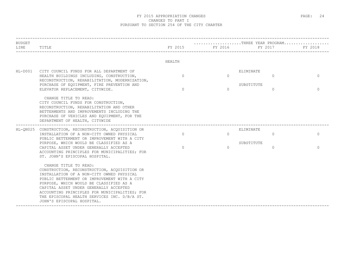#### FY 2015 APPROPRIATION CHANGES **EXAMPLE 24** STAGE: 24 CHANGES TO PART I PURSUANT TO SECTION 254 OF THE CITY CHARTER

| <b>BUDGET</b> |                                                                                                                                                                                                                                                                                                                                                                                        |          |          | $\ldots \ldots \ldots \ldots \ldots \ldots \ldots$ . THREE YEAR PROGRAM |          |
|---------------|----------------------------------------------------------------------------------------------------------------------------------------------------------------------------------------------------------------------------------------------------------------------------------------------------------------------------------------------------------------------------------------|----------|----------|-------------------------------------------------------------------------|----------|
| LINE          | TITLE                                                                                                                                                                                                                                                                                                                                                                                  | FY 2015  | FY 2016  | FY 2017                                                                 | FY 2018  |
|               |                                                                                                                                                                                                                                                                                                                                                                                        | HEALTH   |          |                                                                         |          |
| $HL-DOO1$     | CITY COUNCIL FUNDS FOR ALL DEPARTMENT OF<br>HEALTH BUILDINGS INCLUDING, CONSTRUCTION,<br>RECONSTRUCTION, REHABILITATION, MODERNIZATION,                                                                                                                                                                                                                                                | $\Omega$ | $\Omega$ | ELIMINATE<br>$\Omega$                                                   | $\Omega$ |
|               | PURCHASE OF EQUIPMENT, FIRE PREVENTION AND<br>ELEVATOR REPLACEMENT, CITYWIDE.                                                                                                                                                                                                                                                                                                          | $\Omega$ | $\Omega$ | SUBSTITUTE<br>$\Omega$                                                  | $\Omega$ |
|               | CHANGE TITLE TO READ:<br>CITY COUNCIL FUNDS FOR CONSTRUCTION,<br>RECONSTRUCTION, REHABILITATION AND OTHER<br>BETTERMENTS AND IMPROVEMENTS INCLUDING THE<br>PURCHASE OF VEHICLES AND EQUIPMENT, FOR THE<br>DEPARTMENT OF HEALTH, CITYWIDE                                                                                                                                               |          |          |                                                                         |          |
|               | HL-ON025 CONSTRUCTION, RECONSTRUCTION, ACOUISITION OR<br>INSTALLATION OF A NON-CITY OWNED PHYSICAL<br>PUBLIC BETTERMENT OR IMPROVEMENT WITH A CITY                                                                                                                                                                                                                                     | $\Omega$ | $\Omega$ | ELIMINATE<br>$\Omega$                                                   | $\Omega$ |
|               | PURPOSE, WHICH WOULD BE CLASSIFIED AS A<br>CAPITAL ASSET UNDER GENERALLY ACCEPTED<br>ACCOUNTING PRINCIPLES FOR MUNICIPALITIES; FOR<br>ST. JOHN'S EPISCOPAL HOSPITAL.                                                                                                                                                                                                                   | $\Omega$ | $\cap$   | SUBSTITUTE<br>$\Omega$                                                  | $\Omega$ |
|               | CHANGE TITLE TO READ:<br>CONSTRUCTION, RECONSTRUCTION, ACOUISITION OR<br>INSTALLATION OF A NON-CITY OWNED PHYSICAL<br>PUBLIC BETTERMENT OR IMPROVEMENT WITH A CITY<br>PURPOSE, WHICH WOULD BE CLASSIFIED AS A<br>CAPITAL ASSET UNDER GENERALLY ACCEPTED<br>ACCOUNTING PRINCIPLES FOR MUNICIPALITIES; FOR<br>THE EPISCOPAL HEALTH SERVICES INC. D/B/A ST.<br>JOHN'S EPISCOPAL HOSPITAL. |          |          |                                                                         |          |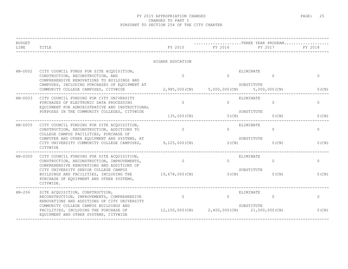| <b>BUDGET</b><br>LINE | TITLE                                                                                                                                                                    | FY 2015          | FY 2016                                        | THREE YEAR PROGRAM<br>FY 2017 | FY 2018      |
|-----------------------|--------------------------------------------------------------------------------------------------------------------------------------------------------------------------|------------------|------------------------------------------------|-------------------------------|--------------|
|                       |                                                                                                                                                                          | HIGHER EDUCATION |                                                |                               |              |
| $HN-DOO2$             | CITY COUNCIL FUNDS FOR SITE ACQUISITION,<br>CONSTRUCTION, RECONSTRUCTION, AND<br>COMPREHENSIVE RENOVATIONS TO BUILDINGS AND                                              | $\Omega$         | $\Omega$                                       | ELIMINATE<br>$\Omega$         | $\mathbf{0}$ |
|                       | CAMPUSES, INCLUDING PURCHASES OF EQUIPMENT AT<br>COMMUNITY COLLEGE CAMPUSES, CITYWIDE                                                                                    |                  | 2,985,000(CN) 5,000,000(CN) 5,000,000(CN)      | SUBSTITUTE                    | $0$ (CN)     |
| $HN-DOO3$             | CITY COUNCIL FUNDING FOR CITY UNIVERSITY<br>PURCHASES OF ELECTRONIC DATA PROCESSING<br>EQUIPMENT FOR ADMINISTRATIVE AND INSTRUCTIONAL                                    | $\Omega$         | $\Omega$                                       | ELIMINATE<br>$\Omega$         | $\circ$      |
|                       | PURPOSES IN THE COMMUNITY COLLEGES, CITYWIDE                                                                                                                             | 135,000 (CN)     | O(CN)                                          | SUBSTITUTE<br>$0$ (CN)        | 0(CN)        |
| $HN-DOO5$             | CITY COUNCIL FUNDING FOR SITE ACQUISITION,<br>CONSTRUCTION, RECONSTRUCTION, ADDITIONS TO<br>COLLEGE CAMPUS FACILITIES, PURCHASE OF                                       | $\Omega$         | $\cap$                                         | ELIMINATE<br>$\Omega$         | $\circ$      |
|                       | COMPUTER AND OTHER EQUIPMENT AND SYSTEMS, AT<br>CITY UNIVERSITY COMMUNITY COLLEGE CAMPUSES,<br>CITYWIDE                                                                  | $9,225,000$ (CN) | 0(CN)                                          | SUBSTITUTE<br>$0$ (CN)        | $0$ (CN)     |
| $HN-D300$             | CITY COUNCIL FUNDING FOR SITE ACQUISITION,<br>CONSTRUCTION, RECONSTRUCTION, IMPROVEMENTS,<br>COMPREHENSIVE RENOVATIONS AND ADDITIONS OF                                  | $\Omega$         | $\Omega$                                       | ELIMINATE<br>$\Omega$         | $\mathbf{0}$ |
|                       | CITY UNIVERSITY SENIOR COLLEGE CAMPUS<br>BUILDINGS AND FACILITIES, INCLUDING THE<br>PURCHASE OF EQUIPMENT AND OTHER SYSTEMS,<br>CITYWIDE.                                | 19,678,000(CN)   | 0(CN)                                          | SUBSTITUTE<br>$0$ (CN)        | $0$ (CN)     |
| $HN-206$              | SITE ACQUISITION, CONSTRUCTION,<br>RECONSTRUCTION, IMPROVEMENTS, COMPREHENSIVE                                                                                           | $\overline{0}$   | $\bigcap$                                      | ELIMINATE<br>$\Omega$         | $\Omega$     |
|                       | RENOVATIONS AND ADDITIONS OF CITY UNIVERSITY<br>COMMUNITY COLLEGE CAMPUS BUILDINGS AND<br>FACILITIES, INCLUDING THE PURCHASE OF<br>EQUIPMENT AND OTHER SYSTEMS, CITYWIDE |                  | $12,100,000(N)$ $2,400,000(N)$ $21,000,000(N)$ | SUBSTITUTE                    | $0$ (CN)     |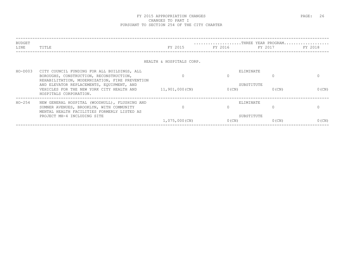#### FY 2015 APPROPRIATION CHANGES **EXAMPLE 26** PAGE: 26 CHANGES TO PART I PURSUANT TO SECTION 254 OF THE CITY CHARTER

| BUDGET<br>LINE | TITLE                                                                                                                                                                                                                                                        | FY 2015                  | FY 2016  | THREE YEAR PROGRAM<br>FY 2017       | FY 2018  |
|----------------|--------------------------------------------------------------------------------------------------------------------------------------------------------------------------------------------------------------------------------------------------------------|--------------------------|----------|-------------------------------------|----------|
|                |                                                                                                                                                                                                                                                              | HEALTH & HOSPITALS CORP. |          |                                     |          |
| $HO-D003$      | CITY COUNCIL FUNDING FOR ALL BUILDINGS, ALL<br>BOROUGHS, CONSTRUCTION, RECONSTRUCTION,<br>REHABILITATION, MODERNIZATION, FIRE PREVENTION<br>AND ELEVATOR REPLACEMENTS, EQUIPMENT, AND<br>VEHICLES FOR THE NEW YORK CITY HEALTH AND<br>HOSPITALS CORPORATION. | 11,901,000(CN)           | $0$ (CN) | ELIMINATE<br>SUBSTITUTE<br>$0$ (CN) | $0$ (CN) |
| $HO-254$       | NEW GENERAL HOSPITAL (WOODHULL), FLUSHING AND<br>SUMNER AVENUES, BROOKLYN, WITH COMMUNITY<br>MENTAL HEALTH FACILITIES FORMERLY LISTED AS<br>PROJECT MH-4 INCLUDING SITE                                                                                      | 1,075,000(CN)            | $0$ (CN) | ELIMINATE<br>SUBSTITUTE<br>$0$ (CN) | $0$ (CN) |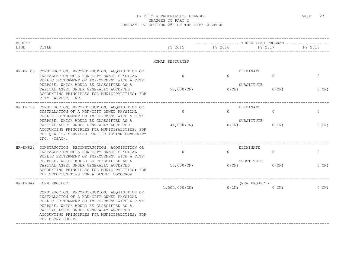| <b>BUDGET</b><br>LINE | TITLE                                                                                                                                                                                                                                                                                               | FY 2015          | THREE YEAR PROGRAM<br>FY 2016 | FY 2017                   | FY 2018     |
|-----------------------|-----------------------------------------------------------------------------------------------------------------------------------------------------------------------------------------------------------------------------------------------------------------------------------------------------|------------------|-------------------------------|---------------------------|-------------|
|                       |                                                                                                                                                                                                                                                                                                     | HUMAN RESOURCES  |                               |                           |             |
|                       | HR-DN103 CONSTRUCTION, RECONSTRUCTION, ACQUISITION OR<br>INSTALLATION OF A NON-CITY OWNED PHYSICAL<br>PUBLIC BETTERMENT OR IMPROVEMENT WITH A CITY                                                                                                                                                  | $\circ$          | ELIMINATE<br>$\Omega$         | $\mathbf{0}$              | $\mathbf 0$ |
|                       | PURPOSE, WHICH WOULD BE CLASSIFIED AS A<br>CAPITAL ASSET UNDER GENERALLY ACCEPTED<br>ACCOUNTING PRINCIPLES FOR MUNICIPALITIES; FOR<br>CITY HARVEST, INC.                                                                                                                                            | 93,000 (CN)      | SUBSTITUTE<br>$0$ (CN)        | $0$ (CN)                  | 0(CN)       |
|                       | HR-DN756 CONSTRUCTION, RECONSTRUCTION, ACQUISITION OR<br>INSTALLATION OF A NON-CITY OWNED PHYSICAL<br>PUBLIC BETTERMENT OR IMPROVEMENT WITH A CITY                                                                                                                                                  | $\Omega$         | ELIMINATE<br>$\Omega$         | $\circ$                   | $\circ$     |
|                       | PURPOSE, WHICH WOULD BE CLASSIFIED AS A<br>CAPITAL ASSET UNDER GENERALLY ACCEPTED<br>ACCOUNTING PRINCIPLES FOR MUNICIPALITIES; FOR<br>THE OUALITY SERVICES FOR THE AUTISM COMMUNITY<br>INC. (QSAC).                                                                                                 | 41,000 (CN)      | SUBSTITUTE<br>$0$ (CN)        | $0$ (CN)                  | $0$ (CN)    |
|                       | HR-DN822 CONSTRUCTION, RECONSTRUCTION, ACQUISITION OR<br>INSTALLATION OF A NON-CITY OWNED PHYSICAL                                                                                                                                                                                                  | $\circ$          | ELIMINATE<br>$\Omega$         | 0                         | $\mathbf 0$ |
|                       | PUBLIC BETTERMENT OR IMPROVEMENT WITH A CITY<br>PURPOSE, WHICH WOULD BE CLASSIFIED AS A<br>CAPITAL ASSET UNDER GENERALLY ACCEPTED<br>ACCOUNTING PRINCIPLES FOR MUNICIPALITIES; FOR<br>THE OPPORTUNITIES FOR A BETTER TOMORROW                                                                       | $50,000$ (CN)    | SUBSTITUTE<br>$0$ (CN)        | $0$ (CN)                  | $0$ (CN)    |
|                       | HR-DN842 (NEW PROJECT)                                                                                                                                                                                                                                                                              |                  | 0(CN)                         | (NEW PROJECT)<br>$0$ (CN) | $0$ (CN)    |
|                       | CONSTRUCTION, RECONSTRUCTION, ACQUISITION OR<br>INSTALLATION OF A NON-CITY OWNED PHYSICAL<br>PUBLIC BETTERMENT OR IMPROVEMENT WITH A CITY<br>PURPOSE, WHICH WOULD BE CLASSIFIED AS A<br>CAPITAL ASSET UNDER GENERALLY ACCEPTED<br>ACCOUNTING PRINCIPLES FOR MUNICIPALITIES; FOR<br>THE BRONX HOUSE. | $1,000,000$ (CN) |                               |                           |             |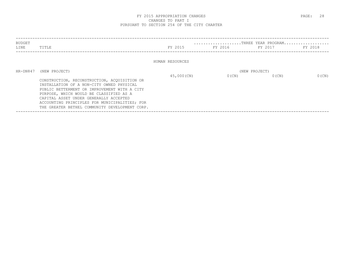#### FY 2015 APPROPRIATION CHANGES **EXAMPLE 28** PAGE: 28 CHANGES TO PART I PURSUANT TO SECTION 254 OF THE CITY CHARTER

| BUDGET   |                                                                                                                                                                                                                                                                                                                                   |                 |          | THREE YEAR PROGRAM        |          |
|----------|-----------------------------------------------------------------------------------------------------------------------------------------------------------------------------------------------------------------------------------------------------------------------------------------------------------------------------------|-----------------|----------|---------------------------|----------|
| LINE     | TITLE                                                                                                                                                                                                                                                                                                                             | FY 2015         | FY 2016  | FY 2017                   | FY 2018  |
|          |                                                                                                                                                                                                                                                                                                                                   | HUMAN RESOURCES |          |                           |          |
| HR-DN847 | (NEW PROJECT)                                                                                                                                                                                                                                                                                                                     | 45,000 (CN)     | $0$ (CN) | (NEW PROJECT)<br>$0$ (CN) | $0$ (CN) |
|          | CONSTRUCTION, RECONSTRUCTION, ACOUISITION OR<br>INSTALLATION OF A NON-CITY OWNED PHYSICAL<br>PUBLIC BETTERMENT OR IMPROVEMENT WITH A CITY<br>PURPOSE, WHICH WOULD BE CLASSIFIED AS A<br>CAPITAL ASSET UNDER GENERALLY ACCEPTED<br>ACCOUNTING PRINCIPLES FOR MUNICIPALITIES; FOR<br>THE GREATER BETHEL COMMUNITY DEVELOPMENT CORP. |                 |          |                           |          |
|          |                                                                                                                                                                                                                                                                                                                                   |                 |          |                           |          |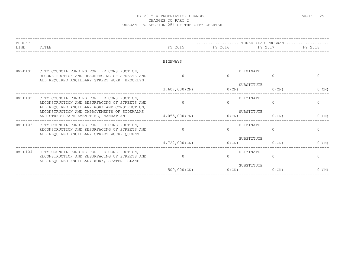#### FY 2015 APPROPRIATION CHANGES **EXAMPLE 29** PAGE: 29 CHANGES TO PART I PURSUANT TO SECTION 254 OF THE CITY CHARTER

| <b>BUDGET</b><br>LINE | TITLE                                                                                                                                        | FY 2015        | FY 2016   | THREE YEAR PROGRAM<br>FY 2017 | FY 2018      |
|-----------------------|----------------------------------------------------------------------------------------------------------------------------------------------|----------------|-----------|-------------------------------|--------------|
|                       |                                                                                                                                              | HIGHWAYS       |           |                               |              |
| $HW-D101$             | CITY COUNCIL FUNDING FOR THE CONSTRUCTION,<br>RECONSTRUCTION AND RESURFACING OF STREETS AND<br>ALL REQUIRED ANCILLARY STREET WORK, BROOKLYN. | $\Omega$       | $\cap$    | ELIMINATE<br>$\Omega$         | $\Omega$     |
|                       |                                                                                                                                              | 3,607,000(CN)  | 0(CN)     | SUBSTITUTE<br>$0$ (CN)        | $0$ (CN)     |
| $HW-D102$             | CITY COUNCIL FUNDING FOR THE CONSTRUCTION,<br>RECONSTRUCTION AND RESURFACING OF STREETS AND<br>ALL REQUIRED ANCILLARY WORK AND CONSTRUCTION, | $\overline{0}$ | $\Omega$  | ELIMINATE<br>$\Omega$         | $\mathbf{0}$ |
|                       | RECONSTRUCTION AND IMPROVEMENTS OF SIDEWALKS<br>AND STREETSCAPE AMENITIES, MANHATTAN. 4,055,000 (CN)                                         |                | $0$ (CN)  | SUBSTITUTE<br>$0$ (CN)        | $0$ (CN)     |
| $HW-D103$             | CITY COUNCIL FUNDING FOR THE CONSTRUCTION,<br>RECONSTRUCTION AND RESURFACING OF STREETS AND<br>ALL REQUIRED ANCILLARY STREET WORK, QUEENS    | $\overline{0}$ | $\bigcap$ | ELIMINATE<br>$\Omega$         | $\circ$      |
|                       |                                                                                                                                              | 4,722,000(CN)  | 0(CN)     | SUBSTITUTE<br>$0$ (CN)        | $0$ (CN)     |
| $HW-D104$             | CITY COUNCIL FUNDING FOR THE CONSTRUCTION,<br>RECONSTRUCTION AND RESURFACING OF STREETS AND<br>ALL REQUIRED ANCILLARY WORK, STATEN ISLAND    | $\overline{0}$ | $\cap$    | ELIMINATE<br>$\Omega$         | $\mathbf{0}$ |
|                       |                                                                                                                                              | 500,000 (CN)   | $0$ (CN)  | SUBSTITUTE<br>$0$ (CN)        | $0$ (CN)     |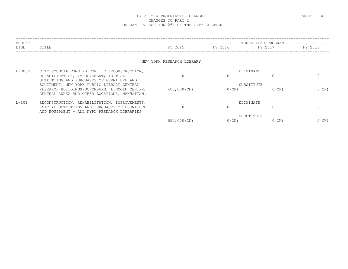| <b>BUDGET</b> |                                                                                             | THREE YEAR PROGRAM        |                 |            |          |  |
|---------------|---------------------------------------------------------------------------------------------|---------------------------|-----------------|------------|----------|--|
| LINE          | TITLE                                                                                       | FY 2015                   | FY 2016 FY 2016 | FY 2017    | FY 2018  |  |
|               |                                                                                             |                           |                 |            |          |  |
|               |                                                                                             | NEW YORK RESEARCH LIBRARY |                 |            |          |  |
| $L-D002$      | CITY COUNCIL FUNDING FOR THE RECONSTRUCTION,                                                |                           |                 | ELIMINATE  |          |  |
|               | REHABILITATION, IMPROVEMENT, INITIAL                                                        | $\Omega$                  |                 |            | $\Omega$ |  |
|               | OUTFITTING AND PURCHASES OF FURNITURE AND                                                   |                           |                 | SUBSTITUTE |          |  |
|               | EQUIPMENT, NEW YORK PUBLIC LIBRARY CENTRAL<br>RESEARCH BUILDINGS-SCHOMBURG, LINCOLN CENTER, | $400,000$ (CN)            | $0$ (CN)        | $0$ (CN)   | $0$ (CN) |  |
|               | CENTRAL ANNEX AND OTHER LOCATIONS, MANHATTAN.                                               |                           |                 |            |          |  |
| $L-101$       | RECONSTRUCTION, REHABILITATION, IMPROVEMENTS,                                               |                           |                 | ELIMINATE  |          |  |
|               | INITIAL OUTFITTING AND PURCHASES OF FURNITURE                                               | $\Omega$                  |                 |            | $\Omega$ |  |
|               | AND EOUIPMENT - ALL NYPL RESEARCH LIBRARIES                                                 |                           |                 |            |          |  |
|               |                                                                                             |                           |                 | SUBSTITUTE |          |  |
|               |                                                                                             | 550,000 (CN)              | $0$ (CN)        | $0$ (CN)   | $0$ (CN) |  |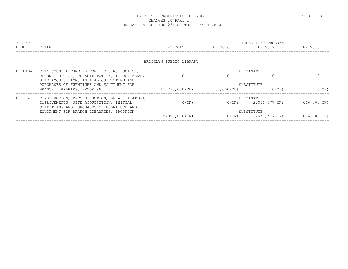| BUDGET<br>LINE | TITLE                                                                                                                                                                             | FY 2015                 | FY 2016 FY 2016 | THREE YEAR PROGRAM<br>FY 2017          | FY 2018     |
|----------------|-----------------------------------------------------------------------------------------------------------------------------------------------------------------------------------|-------------------------|-----------------|----------------------------------------|-------------|
|                |                                                                                                                                                                                   | BROOKLYN PUBLIC LIBRARY |                 |                                        |             |
| LB-D104        | CITY COUNCIL FUNDING FOR THE CONSTRUCTION,<br>RECONSTRUCTION, REHABILITATION, IMPROVEMENTS,<br>SITE ACOUISITION, INITIAL OUTFITTING AND                                           | $\Omega$                | $\Omega$        | ELIMINATE                              | $\Omega$    |
|                | PURCHASES OF FURNITURE AND EQUIPMENT FOR<br>BRANCH LIBRARIES, BROOKLYN                                                                                                            | 11,235,000(CN)          | 60,000(CN)      | SUBSTITUTE<br>$0$ (CN)                 | $0$ (CN)    |
| $LB-104$       | CONSTRUCTION, RECONSTRUCTION, REHABILITATION,<br>IMPROVEMENTS, SITE ACQUISITION, INITIAL<br>OUTFITTING AND PURCHASES OF FURNITURE AND<br>EQUIPMENT FOR BRANCH LIBRARIES, BROOKLYN | $0$ (CN)                |                 | ELIMINATE<br>$0(CN)$ 2, 051, 577 (CN)  | 646,000(CN) |
|                |                                                                                                                                                                                   | $5,000,000$ (CN)        |                 | SUBSTITUTE<br>$0(CN)$ 2, 051, 577 (CN) | 646,000(CN) |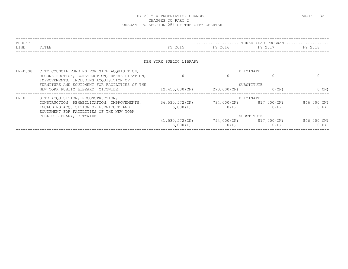| BUDGET    |                                                                                         |                         |              | THREE YEAR PROGRAM |             |
|-----------|-----------------------------------------------------------------------------------------|-------------------------|--------------|--------------------|-------------|
| LINE      | TITLE                                                                                   | FY 2015                 | FY 2016      | FY 2017            | FY 2018     |
|           |                                                                                         |                         |              |                    |             |
|           |                                                                                         | NEW YORK PUBLIC LIBRARY |              |                    |             |
| $LN-DOO8$ | CITY COUNCIL FUNDING FOR SITE ACQUISITION,                                              |                         |              | ELIMINATE          |             |
|           | RECONSTRUCTION, CONSTRUCTION, REHABILITATION,<br>IMPROVEMENTS, INCLUDING ACOUISITION OF | $\Omega$                |              |                    |             |
|           | FURNITURE AND EOUIPMENT FOR FACILITIES OF THE                                           | SUBSTITUTE              |              |                    |             |
|           | NEW YORK PUBLIC LIBRARY, CITYWIDE.                                                      | 12,455,000(CN)          | 270,000(CN)  | $0$ (CN)           | $0$ (CN)    |
| $LN-8$    | SITE ACQUISITION, RECONSTRUCTION,                                                       |                         |              | ELIMINATE          |             |
|           | CONSTRUCTION, REHABILITATION, IMPROVEMENTS, 36,530,572 (CN)                             |                         | 794,000(CN)  | 817,000(CN)        | 846,000(CN) |
|           | INCLUDING ACQUISITION OF FURNITURE AND<br>EQUIPMENT FOR FACILITIES OF THE NEW YORK      | 6,000(F)                | 0(F)         | 0(F)               | 0(F)        |
|           | PUBLIC LIBRARY, CITYWIDE.                                                               |                         | SUBSTITUTE   |                    |             |
|           |                                                                                         | 41,530,572(CN)          | 794,000 (CN) | 817,000(CN)        | 846,000(CN) |
|           |                                                                                         | 6,000(F)                | 0(F)         | 0(F)               | 0(F)        |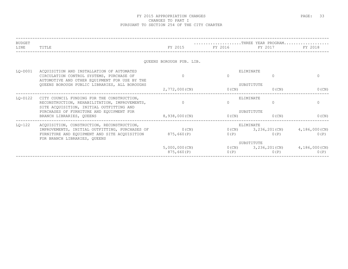| BUDGET<br>LINE | TITLE                                                                                                                                                                                          |                                | THREE YEAR PROGRAM<br>FY 2015 FY 2016 FY 2017 FY 2018 |          |                                                   |
|----------------|------------------------------------------------------------------------------------------------------------------------------------------------------------------------------------------------|--------------------------------|-------------------------------------------------------|----------|---------------------------------------------------|
|                |                                                                                                                                                                                                | OUEENS BOROUGH PUB. LIB.       |                                                       |          |                                                   |
| $LO-DOO1$      | ACOUISITION AND INSTALLATION OF AUTOMATED<br>CIRCULATION CONTROL SYSTEMS, PURCHASE OF<br>AUTOMOTIVE AND OTHER EQUIPMENT FOR USE BY THE                                                         | $\cap$                         | ELIMINATE                                             | $\Omega$ | $\Omega$                                          |
|                | QUEENS BOROUGH PUBLIC LIBRARIES, ALL BOROUGHS                                                                                                                                                  | 2,772,000(CN)                  | SUBSTITUTE<br>0(CN)                                   | $0$ (CN) | $0$ (CN)                                          |
| LQ-D122        | CITY COUNCIL FUNDING FOR THE CONSTRUCTION,<br>RECONSTRUCTION, REHABILITATION, IMPROVEMENTS,<br>SITE ACQUISITION, INITIAL OUTFITTING AND                                                        | $\Omega$                       | ELIMINATE                                             | $\cap$   | $\Omega$                                          |
|                | PURCHASES OF FURNITURE AND EQUIPMENT FOR<br>BRANCH LIBRARIES, QUEENS                                                                                                                           | 8,938,000(CN)                  | SUBSTITUTE<br>0(CN)                                   | $0$ (CN) | $0$ (CN)                                          |
| LO-122         | ACQUISITION, CONSTRUCTION, RECONSTRUCTION,<br>IMPROVEMENTS, INITIAL OUTFITTING, PURCHASES OF 0 (CN)<br>FURNITURE AND EQUIPMENT AND SITE ACQUISITION 875,660(P)<br>FOR BRANCH LIBRARIES, QUEENS |                                | ELIMINATE<br>O(P)                                     | 0(P)     | $0(CN)$ 3, 236, 201 (CN) 4, 186, 000 (CN)<br>0(P) |
|                |                                                                                                                                                                                                | $5,000,000$ (CN)<br>875,660(P) | SUBSTITUTE<br>$0(CN)$ 3, 236, 201 (CN)<br>0(P)        | 0(P)     | $4,186,000$ (CN)<br>0(P)                          |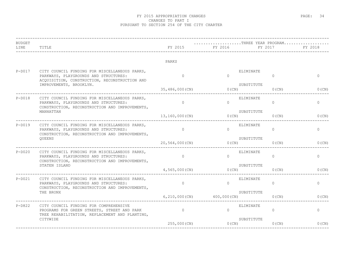| TITLE                                                                                                                                    | FY 2015                                                                                                                                            | FY 2016  |            |                                                                                                                            | FY 2018                       |
|------------------------------------------------------------------------------------------------------------------------------------------|----------------------------------------------------------------------------------------------------------------------------------------------------|----------|------------|----------------------------------------------------------------------------------------------------------------------------|-------------------------------|
|                                                                                                                                          | PARKS                                                                                                                                              |          |            |                                                                                                                            |                               |
| CITY COUNCIL FUNDING FOR MISCELLANEOUS PARKS,<br>PARKWAYS, PLAYGROUNDS AND STRUCTURES:<br>ACQUISITION, CONSTRUCTION, RECONSTRUCTION AND  | $\Omega$                                                                                                                                           | $\Omega$ | ELIMINATE  | $\Omega$                                                                                                                   | $\mathbf 0$                   |
| IMPROVEMENTS, BROOKLYN.                                                                                                                  | 35,486,000(CN)                                                                                                                                     |          | SUBSTITUTE | $0$ (CN)                                                                                                                   | 0(CN)                         |
| CITY COUNCIL FUNDING FOR MISCELLANEOUS PARKS,<br>PARKWAYS, PLAYGROUNDS AND STRUCTURES:<br>CONSTRUCTION, RECONSTRUCTION AND IMPROVEMENTS, | $\Omega$                                                                                                                                           | $\cap$   | ELIMINATE  | $\Omega$                                                                                                                   | $\circ$                       |
| MANHATTAN                                                                                                                                | 13,160,000(CN)                                                                                                                                     |          | SUBSTITUTE | $0$ (CN)                                                                                                                   | $0$ (CN)                      |
| CITY COUNCIL FUNDING FOR MISCELLANEOUS PARKS,<br>PARKWAYS, PLAYGROUNDS AND STRUCTURES:                                                   | $\circ$                                                                                                                                            | $\Omega$ | ELIMINATE  | $\circ$                                                                                                                    | 0                             |
| QUEENS                                                                                                                                   | 20,564,000(CN)                                                                                                                                     |          | SUBSTITUTE | $0$ (CN)                                                                                                                   | $0$ (CN)                      |
| CITY COUNCIL FUNDING FOR MISCELLANEOUS PARKS,<br>PARKWAYS, PLAYGROUNDS AND STRUCTURES:                                                   | $\Omega$                                                                                                                                           | $\Omega$ | ELIMINATE  | $\overline{0}$                                                                                                             | $\mathbf{0}$                  |
| STATEN ISLAND                                                                                                                            | $4,565,000$ (CN)                                                                                                                                   |          | SUBSTITUTE | $0$ (CN)                                                                                                                   | 0(CN)                         |
| CITY COUNCIL FUNDING FOR MISCELLANEOUS PARKS,<br>PARKWAYS, PLAYGROUNDS AND STRUCTURES:<br>CONSTRUCTION, RECONSTRUCTION AND IMPROVEMENTS, | $\Omega$                                                                                                                                           | $\Omega$ | ELIMINATE  | $\circ$                                                                                                                    | $\circ$                       |
| THE BRONX                                                                                                                                |                                                                                                                                                    |          | SUBSTITUTE | $0$ (CN)                                                                                                                   | 0(CN)                         |
| CITY COUNCIL FUNDING FOR COMPREHENSIVE<br>PROGRAMS FOR GREEN STREETS, STREET AND PARK                                                    | $\circ$                                                                                                                                            | $\Omega$ | ELIMINATE  | $\Omega$                                                                                                                   | 0                             |
| CITYWIDE                                                                                                                                 | 255,000 (CN)                                                                                                                                       |          | SUBSTITUTE | 0(CN)                                                                                                                      | $0$ (CN)                      |
|                                                                                                                                          | CONSTRUCTION, RECONSTRUCTION AND IMPROVEMENTS,<br>CONSTRUCTION, RECONSTRUCTION AND IMPROVEMENTS,<br>TREE REHABILITATION, REPLACEMENT AND PLANTING, |          |            | --------------------------------<br>$0$ (CN)<br>0 (CN)<br>O(CN)<br>$0$ (CN)<br>$6, 210, 000$ (CN) $400, 000$ (CN)<br>0(CN) | THREE YEAR PROGRAM<br>FY 2017 |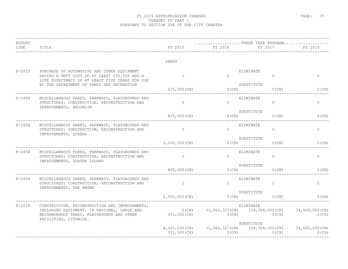| <b>BUDGET</b><br>LINE | TITLE                                                                                                                                                                                   | FY 2015          | FY 2016                | THREE YEAR PROGRAM<br>FY 2017                                                | FY 2018                 |
|-----------------------|-----------------------------------------------------------------------------------------------------------------------------------------------------------------------------------------|------------------|------------------------|------------------------------------------------------------------------------|-------------------------|
|                       |                                                                                                                                                                                         | PARKS            |                        |                                                                              |                         |
| $P-D933$              | PURCHASE OF AUTOMOTIVE AND OTHER EQUIPMENT<br>HAVING A UNIT COST OF AT LEAST \$35,000 AND A<br>LIFE EXPECTANCY OF AT LEAST FIVE YEARS FOR USE                                           | $\Omega$         | $\bigcap$              | ELIMINATE<br>$\Omega$                                                        | $\circ$                 |
|                       | BY THE DEPARTMENT OF PARKS AND RECREATION                                                                                                                                               | $215,000$ (CN)   | $0$ (CN)               | SUBSTITUTE<br>$0$ (CN)                                                       | 0(CN)                   |
| P-245K                | MISCELLANEOUS PARKS, PARKWAYS, PLAYGROUNDS AND<br>STRUCTURES: CONSTRUCTION, RECONSTRUCTION AND<br>IMPROVEMENTS, BROOKLYN                                                                | $\overline{0}$   | $\Omega$               | ELIMINATE<br>$\overline{0}$                                                  | $\circ$                 |
|                       | 825,000(CN)                                                                                                                                                                             | $0$ (CN)         | SUBSTITUTE<br>$0$ (CN) | $0$ (CN)                                                                     |                         |
| $P-245Q$              | MISCELLANEOUS PARKS, PARKWAYS, PLAYGROUNDS AND<br>STRUCTURES: CONSTRUCTION, RECONSTRUCTION AND<br>IMPROVEMENTS, QUEENS                                                                  | $\circ$          | $\Omega$               | ELIMINATE<br>$\Omega$                                                        | $\circ$                 |
|                       |                                                                                                                                                                                         | $5,100,000$ (CN) | $0$ (CN)               | SUBSTITUTE<br>$0$ (CN)                                                       | $0$ (CN)                |
| $P-245R$              | MISCELLANEOUS PARKS, PARKWAYS, PLAYGROUNDS AND<br>STRUCTURES: CONSTRUCTION, RECONSTRUCTION AND<br>IMPROVEMENTS, STATEN ISLAND                                                           | $\overline{0}$   | $\Omega$               | ELIMINATE<br>$\Omega$                                                        | $\circ$                 |
|                       |                                                                                                                                                                                         | 800,000 (CN)     | $0$ (CN)               | SUBSTITUTE<br>$0$ (CN)                                                       | $0$ (CN)                |
| $P-245X$              | MISCELLANEOUS PARKS, PARKWAYS, PLAYGROUNDS AND<br>STRUCTURES: CONSTRUCTION, RECONSTRUCTION AND<br>IMPROVEMENTS, THE BRONX                                                               | $\overline{0}$   | $\Omega$               | ELIMINATE<br>$\Omega$                                                        | $\circ$                 |
|                       |                                                                                                                                                                                         | $2,500,000$ (CN) | O(CN)                  | SUBSTITUTE<br>$0$ (CN)                                                       | $0$ (CN)                |
| $P-1018$              | CONSTRUCTION, RECONSTRUCTION AND IMPROVEMENTS,<br>INCLUDING EQUIPMENT, IN REGIONAL, LARGE AND 0 (CN)<br>NEIGHBORHOOD PARKS, PLAYGROUNDS AND OTHER 351,000 (CX)<br>FACILITIES, CITYWIDE. |                  |                        | ELIMINATE<br>$31, 362, 327$ (CN) $124, 368, 000$ (CN)<br>$0(CX)$ $0(CX)$     | 34,660,000(CN)<br>0(CX) |
|                       |                                                                                                                                                                                         | 351,000 (CX)     | 0(CX)                  | SUBSTITUTE<br>$4,000,000$ (CN) $31,362,327$ (CN) $124,368,000$ (CN)<br>0(CX) | 34,660,000(CN)<br>0(CX) |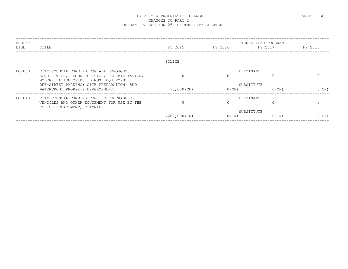| BUDGET  |                                                                                                                                  |               |                 |                        | THREE YEAR PROGRAM |
|---------|----------------------------------------------------------------------------------------------------------------------------------|---------------|-----------------|------------------------|--------------------|
| LINE    | TITLE                                                                                                                            | FY 2015       | FY 2016 FY 2016 | FY 2017                | FY 2018            |
|         |                                                                                                                                  |               |                 |                        |                    |
|         |                                                                                                                                  | POLICE        |                 |                        |                    |
| PO-D001 | CITY COUNCIL FUNDING FOR ALL BOROUGHS:<br>ACQUISITION, RECONSTRUCTION, REHABILITATION,<br>MODERNIZATION OF BUILDINGS, EQUIPMENT, |               |                 | ELIMINATE              |                    |
|         | OFF-STREET PARKING; SITE PREPARATION; AND<br>WATERFRONT PROPERTY DEVELOPMENT.                                                    | 75,000 (CN)   | $0$ (CN)        | SUBSTITUTE<br>$0$ (CN) | $0$ (CN)           |
| PO-D185 | CITY COUNCIL FUNDING FOR THE PURCHASE OF<br>VEHICLES AND OTHER EOUIPMENT FOR USE BY THE<br>POLICE DEPARTMENT, CITYWIDE           |               |                 | ELIMINATE              |                    |
|         |                                                                                                                                  | 1,687,000(CN) | $0$ (CN)        | SUBSTITUTE<br>$0$ (CN) | $0$ (CN)           |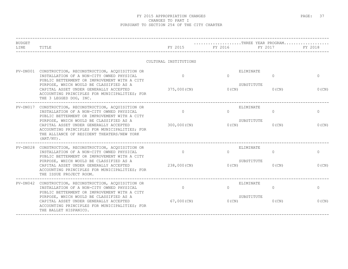| <b>BUDGET</b><br>LINE | TITLE                                                                                                                                                                                            | FY 2015               | FY 2016  | THREE YEAR PROGRAM<br>FY 2017       | FY 2018      |
|-----------------------|--------------------------------------------------------------------------------------------------------------------------------------------------------------------------------------------------|-----------------------|----------|-------------------------------------|--------------|
|                       |                                                                                                                                                                                                  | CULTURAL INSTITUTIONS |          |                                     |              |
|                       | PV-DN001 CONSTRUCTION, RECONSTRUCTION, ACQUISITION OR<br>INSTALLATION OF A NON-CITY OWNED PHYSICAL<br>PUBLIC BETTERMENT OR IMPROVEMENT WITH A CITY                                               | $\Omega$              | $\Omega$ | ELIMINATE<br>$\Omega$               | $\Omega$     |
|                       | PURPOSE, WHICH WOULD BE CLASSIFIED AS A<br>CAPITAL ASSET UNDER GENERALLY ACCEPTED<br>ACCOUNTING PRINCIPLES FOR MUNICIPALITIES; FOR<br>THE 3 LEGGED DOG, INC.                                     | 375,000 (CN)          | $0$ (CN) | SUBSTITUTE<br>$0$ (CN)              | $0$ (CN)     |
| PV-DN017              | CONSTRUCTION, RECONSTRUCTION, ACOUISITION OR<br>INSTALLATION OF A NON-CITY OWNED PHYSICAL<br>PUBLIC BETTERMENT OR IMPROVEMENT WITH A CITY                                                        | $\Omega$              | $\Omega$ | ELIMINATE<br>$\Omega$<br>SUBSTITUTE | $\mathbf{0}$ |
|                       | PURPOSE, WHICH WOULD BE CLASSIFIED AS A<br>CAPITAL ASSET UNDER GENERALLY ACCEPTED<br>ACCOUNTING PRINCIPLES FOR MUNICIPALITIES; FOR<br>THE ALLIANCE OF RESIDENT THEATERS/NEW YORK<br>$(ART/NY)$ . | 300,000 (CN)          | $0$ (CN) | $0$ (CN)                            | $0$ (CN)     |
|                       | PV-DN028 CONSTRUCTION, RECONSTRUCTION, ACQUISITION OR<br>INSTALLATION OF A NON-CITY OWNED PHYSICAL<br>PUBLIC BETTERMENT OR IMPROVEMENT WITH A CITY                                               | $\overline{0}$        | $\Omega$ | ELIMINATE<br>$\circ$                | $\circ$      |
|                       | PURPOSE, WHICH WOULD BE CLASSIFIED AS A<br>CAPITAL ASSET UNDER GENERALLY ACCEPTED<br>ACCOUNTING PRINCIPLES FOR MUNICIPALITIES; FOR<br>THE ISSUE PROJECT ROOM.                                    | 238,000 (CN)          | $0$ (CN) | SUBSTITUTE<br>$0$ (CN)              | 0(CN)        |
|                       | PV-DN042 CONSTRUCTION, RECONSTRUCTION, ACQUISITION OR<br>INSTALLATION OF A NON-CITY OWNED PHYSICAL<br>PUBLIC BETTERMENT OR IMPROVEMENT WITH A CITY                                               | $\Omega$              | $\Omega$ | ELIMINATE<br>$\Omega$               | $\circ$      |
|                       | PURPOSE, WHICH WOULD BE CLASSIFIED AS A<br>CAPITAL ASSET UNDER GENERALLY ACCEPTED<br>ACCOUNTING PRINCIPLES FOR MUNICIPALITIES; FOR<br>THE BALLET HISPANICO.                                      | 67,000 (CN)           | 0(CN)    | SUBSTITUTE<br>$0$ (CN)              | 0(CN)        |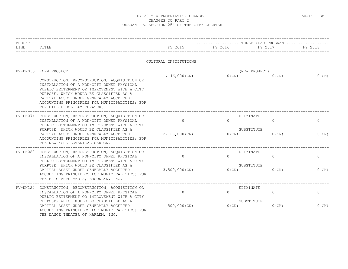| <b>BUDGET</b> |                                                                                                                                                                                                                                                                                                                                                                  |                           |                   |                                                 |                       |  |
|---------------|------------------------------------------------------------------------------------------------------------------------------------------------------------------------------------------------------------------------------------------------------------------------------------------------------------------------------------------------------------------|---------------------------|-------------------|-------------------------------------------------|-----------------------|--|
| LINE          | TITLE                                                                                                                                                                                                                                                                                                                                                            | FY 2015                   | FY 2016           | FY 2017                                         | FY 2018               |  |
|               |                                                                                                                                                                                                                                                                                                                                                                  | CULTURAL INSTITUTIONS     |                   |                                                 |                       |  |
| $PV-DN053$    | (NEW PROJECT)<br>CONSTRUCTION, RECONSTRUCTION, ACQUISITION OR<br>INSTALLATION OF A NON-CITY OWNED PHYSICAL<br>PUBLIC BETTERMENT OR IMPROVEMENT WITH A CITY<br>PURPOSE, WHICH WOULD BE CLASSIFIED AS A<br>CAPITAL ASSET UNDER GENERALLY ACCEPTED<br>ACCOUNTING PRINCIPLES FOR MUNICIPALITIES; FOR<br>THE BILLIE HOLIDAY THEATER.                                  | 1,146,000(CN)             |                   | (NEW PROJECT)<br>0(CN)<br>0(CN)                 | $0$ (CN)              |  |
|               | PV-DN074 CONSTRUCTION, RECONSTRUCTION, ACQUISITION OR<br>INSTALLATION OF A NON-CITY OWNED PHYSICAL<br>PUBLIC BETTERMENT OR IMPROVEMENT WITH A CITY<br>PURPOSE, WHICH WOULD BE CLASSIFIED AS A<br>CAPITAL ASSET UNDER GENERALLY ACCEPTED<br>ACCOUNTING PRINCIPLES FOR MUNICIPALITIES; FOR<br>THE NEW YORK BOTANICAL GARDEN.                                       | $\Omega$<br>2,128,000(CN) | $\Omega$<br>0(CN) | ELIMINATE<br>$\Omega$<br>SUBSTITUTE<br>0(CN)    | $\circ$<br>0(CN)      |  |
|               | PV-DN088 CONSTRUCTION, RECONSTRUCTION, ACQUISITION OR<br>INSTALLATION OF A NON-CITY OWNED PHYSICAL<br>PUBLIC BETTERMENT OR IMPROVEMENT WITH A CITY<br>PURPOSE, WHICH WOULD BE CLASSIFIED AS A<br>CAPITAL ASSET UNDER GENERALLY ACCEPTED 3,500,000 (CN)<br>ACCOUNTING PRINCIPLES FOR MUNICIPALITIES; FOR<br>THE BRIC ARTS MEDIA, BROOKLYN, INC.                   | $\Omega$                  | $\cap$<br>O(CN)   | ELIMINATE<br>$\Omega$<br>SUBSTITUTE<br>0(CN)    | $\circ$<br>$0$ (CN)   |  |
|               | -------------------------------<br>PV-DN122 CONSTRUCTION, RECONSTRUCTION, ACQUISITION OR<br>INSTALLATION OF A NON-CITY OWNED PHYSICAL<br>PUBLIC BETTERMENT OR IMPROVEMENT WITH A CITY<br>PURPOSE, WHICH WOULD BE CLASSIFIED AS A<br>CAPITAL ASSET UNDER GENERALLY ACCEPTED<br>ACCOUNTING PRINCIPLES FOR MUNICIPALITIES; FOR<br>THE DANCE THEATER OF HARLEM, INC. | $\Omega$<br>500,000 (CN)  | $\Omega$<br>0(CN) | ELIMINATE<br>$\Omega$<br>SUBSTITUTE<br>$0$ (CN) | $\mathbf{0}$<br>0(CN) |  |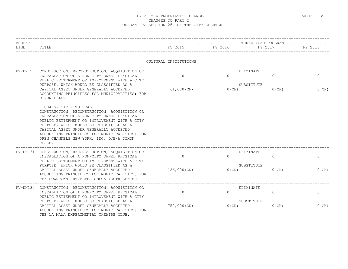| <b>BUDGET</b> |                                                                                                                                                                                                                                                                                                                                                                                |                           |                      | THREE YEAR PROGRAM                                    |                          |
|---------------|--------------------------------------------------------------------------------------------------------------------------------------------------------------------------------------------------------------------------------------------------------------------------------------------------------------------------------------------------------------------------------|---------------------------|----------------------|-------------------------------------------------------|--------------------------|
| LINE          | TITLE                                                                                                                                                                                                                                                                                                                                                                          | FY 2015                   | FY 2016              | FY 2017                                               | FY 2018                  |
|               |                                                                                                                                                                                                                                                                                                                                                                                | CULTURAL INSTITUTIONS     |                      |                                                       |                          |
|               | PV-DN127 CONSTRUCTION, RECONSTRUCTION, ACQUISITION OR<br>INSTALLATION OF A NON-CITY OWNED PHYSICAL<br>PUBLIC BETTERMENT OR IMPROVEMENT WITH A CITY<br>PURPOSE, WHICH WOULD BE CLASSIFIED AS A<br>CAPITAL ASSET UNDER GENERALLY ACCEPTED<br>ACCOUNTING PRINCIPLES FOR MUNICIPALITIES; FOR                                                                                       | $\Omega$<br>$61,000$ (CN) | $\Omega$<br>0(CN)    | ELIMINATE<br>$\overline{0}$<br>SUBSTITUTE<br>$0$ (CN) | $\mathbf{0}$<br>$0$ (CN) |
|               | DIXON PLACE.<br>CHANGE TITLE TO READ:<br>CONSTRUCTION, RECONSTRUCTION, ACQUISITION OR<br>INSTALLATION OF A NON-CITY OWNED PHYSICAL<br>PUBLIC BETTERMENT OR IMPROVEMENT WITH A CITY<br>PURPOSE, WHICH WOULD BE CLASSIFIED AS A<br>CAPITAL ASSET UNDER GENERALLY ACCEPTED<br>ACCOUNTING PRINCIPLES FOR MUNICIPALITIES; FOR<br>OPEN CHANNELS NEW YORK, INC. D/B/A DIXON<br>PLACE. |                           |                      |                                                       |                          |
|               | PV-DN131 CONSTRUCTION, RECONSTRUCTION, ACQUISITION OR<br>INSTALLATION OF A NON-CITY OWNED PHYSICAL<br>PUBLIC BETTERMENT OR IMPROVEMENT WITH A CITY<br>PURPOSE, WHICH WOULD BE CLASSIFIED AS A<br>CAPITAL ASSET UNDER GENERALLY ACCEPTED<br>ACCOUNTING PRINCIPLES FOR MUNICIPALITIES; FOR<br>THE DOWNTOWN ART/ALPHA OMEGA YOUTH CENTER.                                         | $\Omega$<br>126,000 (CN)  | $\Omega$<br>$0$ (CN) | ELIMINATE<br>$\circ$<br>SUBSTITUTE<br>$0$ (CN)        | $\overline{0}$<br>0(CN)  |
|               | PV-DN134 CONSTRUCTION, RECONSTRUCTION, ACQUISITION OR<br>INSTALLATION OF A NON-CITY OWNED PHYSICAL<br>PUBLIC BETTERMENT OR IMPROVEMENT WITH A CITY<br>PURPOSE, WHICH WOULD BE CLASSIFIED AS A<br>CAPITAL ASSET UNDER GENERALLY ACCEPTED<br>ACCOUNTING PRINCIPLES FOR MUNICIPALITIES; FOR<br>THE LA MAMA EXPERIMENTAL THEATRE CLUB.                                             | $\circ$<br>750,000 (CN)   | $\Omega$<br>0(CN)    | ELIMINATE<br>$\Omega$<br>SUBSTITUTE<br>$0$ (CN)       | $\circ$<br>0(CN)         |
|               |                                                                                                                                                                                                                                                                                                                                                                                |                           |                      |                                                       |                          |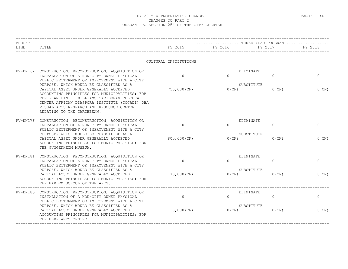| <b>BUDGET</b><br>LINE | TITLE                                                                                                                                                                                                                                                              | FY 2015               | FY 2016  | THREE YEAR PROGRAM<br>FY 2017       | FY 2018      |
|-----------------------|--------------------------------------------------------------------------------------------------------------------------------------------------------------------------------------------------------------------------------------------------------------------|-----------------------|----------|-------------------------------------|--------------|
|                       |                                                                                                                                                                                                                                                                    | CULTURAL INSTITUTIONS |          |                                     |              |
|                       | PV-DN162 CONSTRUCTION, RECONSTRUCTION, ACQUISITION OR<br>INSTALLATION OF A NON-CITY OWNED PHYSICAL<br>PUBLIC BETTERMENT OR IMPROVEMENT WITH A CITY<br>PURPOSE, WHICH WOULD BE CLASSIFIED AS A                                                                      | $\Omega$              | $\Omega$ | ELIMINATE<br>$\Omega$<br>SUBSTITUTE | $\mathbf{0}$ |
|                       | CAPITAL ASSET UNDER GENERALLY ACCEPTED<br>ACCOUNTING PRINCIPLES FOR MUNICIPALITIES; FOR<br>THE FRANKLIN H. WILLIAMS CARIBBEAN CULTURAL<br>CENTER AFRICAN DIASPORA INSTITUTE (CCCADI) DBA<br>VISUAL ARTS RESEARCH AND RESOURCE CENTER<br>RELATING TO THE CARIBBEAN. | 750,000 (CN)          | $0$ (CN) | $0$ (CN)                            | $0$ (CN)     |
| PV-DN176              | CONSTRUCTION, RECONSTRUCTION, ACQUISITION OR<br>INSTALLATION OF A NON-CITY OWNED PHYSICAL<br>PUBLIC BETTERMENT OR IMPROVEMENT WITH A CITY                                                                                                                          | $\circ$               | $\Omega$ | ELIMINATE<br>$\Omega$<br>SUBSTITUTE | $\mathbf{0}$ |
|                       | PURPOSE, WHICH WOULD BE CLASSIFIED AS A<br>CAPITAL ASSET UNDER GENERALLY ACCEPTED<br>ACCOUNTING PRINCIPLES FOR MUNICIPALITIES; FOR<br>THE GUGGENHEIM MUSEUM.                                                                                                       | 800,000(CN)           | 0(CN)    | 0(CN)                               | $0$ (CN)     |
|                       | PV-DN181 CONSTRUCTION, RECONSTRUCTION, ACQUISITION OR<br>INSTALLATION OF A NON-CITY OWNED PHYSICAL<br>PUBLIC BETTERMENT OR IMPROVEMENT WITH A CITY                                                                                                                 | $\Omega$              | $\Omega$ | ELIMINATE<br>$\Omega$               | $\circ$      |
|                       | PURPOSE, WHICH WOULD BE CLASSIFIED AS A<br>CAPITAL ASSET UNDER GENERALLY ACCEPTED<br>ACCOUNTING PRINCIPLES FOR MUNICIPALITIES; FOR<br>THE HARLEM SCHOOL OF THE ARTS.                                                                                               | 70,000 (CN)           | $0$ (CN) | SUBSTITUTE<br>$0$ (CN)              | 0(CN)        |
|                       | PV-DN185 CONSTRUCTION, RECONSTRUCTION, ACQUISITION OR<br>INSTALLATION OF A NON-CITY OWNED PHYSICAL<br>PUBLIC BETTERMENT OR IMPROVEMENT WITH A CITY                                                                                                                 | $\Omega$              | $\Omega$ | ELIMINATE<br>$\Omega$               | $\circ$      |
|                       | PURPOSE, WHICH WOULD BE CLASSIFIED AS A<br>CAPITAL ASSET UNDER GENERALLY ACCEPTED<br>ACCOUNTING PRINCIPLES FOR MUNICIPALITIES; FOR<br>THE HERE ARTS CENTER.                                                                                                        | 38,000 (CN)           | 0(CN)    | SUBSTITUTE<br>$0$ (CN)              | $0$ (CN)     |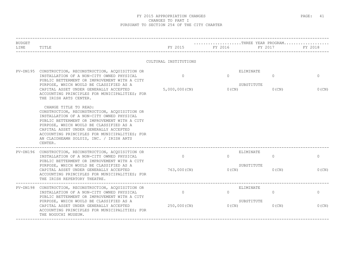| TITLE                                                                                                                                                                                                                                                                                                                                                          | FY 2015                      | FY 2016               | FY 2017              | FY 2018                                                                                             |
|----------------------------------------------------------------------------------------------------------------------------------------------------------------------------------------------------------------------------------------------------------------------------------------------------------------------------------------------------------------|------------------------------|-----------------------|----------------------|-----------------------------------------------------------------------------------------------------|
|                                                                                                                                                                                                                                                                                                                                                                |                              |                       |                      |                                                                                                     |
| PV-DN195 CONSTRUCTION, RECONSTRUCTION, ACQUISITION OR<br>INSTALLATION OF A NON-CITY OWNED PHYSICAL<br>PUBLIC BETTERMENT OR IMPROVEMENT WITH A CITY<br>PURPOSE, WHICH WOULD BE CLASSIFIED AS A<br>CAPITAL ASSET UNDER GENERALLY ACCEPTED<br>ACCOUNTING PRINCIPLES FOR MUNICIPALITIES; FOR<br>THE IRISH ARTS CENTER.                                             | $\Omega$<br>$5,000,000$ (CN) | $\Omega$<br>$0$ (CN)  | $\Omega$<br>$0$ (CN) | $\mathbf{0}$<br>$0$ (CN)                                                                            |
| CHANGE TITLE TO READ:<br>CONSTRUCTION, RECONSTRUCTION, ACQUISITION OR<br>INSTALLATION OF A NON-CITY OWNED PHYSICAL<br>PUBLIC BETTERMENT OR IMPROVEMENT WITH A CITY<br>PURPOSE, WHICH WOULD BE CLASSIFIED AS A<br>CAPITAL ASSET UNDER GENERALLY ACCEPTED<br>ACCOUNTING PRINCIPLES FOR MUNICIPALITIES; FOR<br>AN CLAIDHEAMH SOLUIS, INC. / IRISH ARTS<br>CENTER. |                              |                       |                      |                                                                                                     |
| PV-DN196 CONSTRUCTION, RECONSTRUCTION, ACQUISITION OR<br>INSTALLATION OF A NON-CITY OWNED PHYSICAL<br>PUBLIC BETTERMENT OR IMPROVEMENT WITH A CITY<br>PURPOSE, WHICH WOULD BE CLASSIFIED AS A<br>CAPITAL ASSET UNDER GENERALLY ACCEPTED<br>ACCOUNTING PRINCIPLES FOR MUNICIPALITIES; FOR<br>THE IRISH REPERTORY THEATRE.                                       | $\Omega$<br>763,000 (CN)     | $\Omega$<br>$0$ (CN)  | $\Omega$<br>$0$ (CN) | $\circ$<br>$0$ (CN)                                                                                 |
| CONSTRUCTION, RECONSTRUCTION, ACQUISITION OR<br>INSTALLATION OF A NON-CITY OWNED PHYSICAL<br>PUBLIC BETTERMENT OR IMPROVEMENT WITH A CITY<br>PURPOSE, WHICH WOULD BE CLASSIFIED AS A<br>CAPITAL ASSET UNDER GENERALLY ACCEPTED<br>ACCOUNTING PRINCIPLES FOR MUNICIPALITIES; FOR<br>THE NOGUCHI MUSEUM.                                                         | $\circ$<br>250,000 (CN)      | $\Omega$<br>0(CN)     | $\Omega$<br>$0$ (CN) | $\mathbf{0}$<br>0(CN)                                                                               |
|                                                                                                                                                                                                                                                                                                                                                                |                              | CULTURAL INSTITUTIONS |                      | THREE YEAR PROGRAM<br>ELIMINATE<br>SUBSTITUTE<br>ELIMINATE<br>SUBSTITUTE<br>ELIMINATE<br>SUBSTITUTE |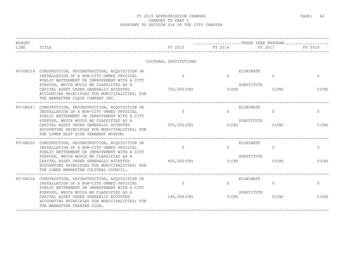| <b>BUDGET</b><br>LINE | TITLE                                                                                                                                                                                                                                                                                                                            | FY 2015                    | THREE YEAR PROGRAM<br>FY 2016                   | FY 2017                  | FY 2018                  |
|-----------------------|----------------------------------------------------------------------------------------------------------------------------------------------------------------------------------------------------------------------------------------------------------------------------------------------------------------------------------|----------------------------|-------------------------------------------------|--------------------------|--------------------------|
|                       |                                                                                                                                                                                                                                                                                                                                  | CULTURAL INSTITUTIONS      |                                                 |                          |                          |
|                       | PV-DN219 CONSTRUCTION, RECONSTRUCTION, ACQUISITION OR<br>INSTALLATION OF A NON-CITY OWNED PHYSICAL<br>PUBLIC BETTERMENT OR IMPROVEMENT WITH A CITY<br>PURPOSE, WHICH WOULD BE CLASSIFIED AS A<br>CAPITAL ASSET UNDER GENERALLY ACCEPTED<br>ACCOUNTING PRINCIPLES FOR MUNICIPALITIES; FOR<br>THE MANHATTAN CLASS COMPANY INC.     | $\Omega$<br>750,000(CN)    | ELIMINATE<br>$\Omega$<br>SUBSTITUTE<br>$0$ (CN) | $\mathbf{0}$<br>$0$ (CN) | $\Omega$<br>0(CN)        |
|                       | PV-DN247 CONSTRUCTION, RECONSTRUCTION, ACQUISITION OR<br>INSTALLATION OF A NON-CITY OWNED PHYSICAL<br>PUBLIC BETTERMENT OR IMPROVEMENT WITH A CITY<br>PURPOSE, WHICH WOULD BE CLASSIFIED AS A<br>CAPITAL ASSET UNDER GENERALLY ACCEPTED<br>ACCOUNTING PRINCIPLES FOR MUNICIPALITIES; FOR<br>THE LOWER EAST SIDE TENEMENT MUSEUM. | $\Omega$<br>$300,000$ (CN) | ELIMINATE<br>$\Omega$<br>SUBSTITUTE<br>$0$ (CN) | $\circ$<br>$0$ (CN)      | $\mathbf{0}$<br>$0$ (CN) |
| $PV-DN250$            | CONSTRUCTION, RECONSTRUCTION, ACQUISITION OR<br>INSTALLATION OF A NON-CITY OWNED PHYSICAL<br>PUBLIC BETTERMENT OR IMPROVEMENT WITH A CITY<br>PURPOSE, WHICH WOULD BE CLASSIFIED AS A<br>CAPITAL ASSET UNDER GENERALLY ACCEPTED<br>ACCOUNTING PRINCIPLES FOR MUNICIPALITIES; FOR<br>THE LOWER MANHATTAN CULTURAL COUNCIL.         | $\Omega$<br>400,000 (CN)   | ELIMINATE<br>$\Omega$<br>SUBSTITUTE<br>$0$ (CN) | $\Omega$<br>$0$ (CN)     | $\mathbf{0}$<br>0(CN)    |
|                       | PV-DN256 CONSTRUCTION, RECONSTRUCTION, ACQUISITION OR<br>INSTALLATION OF A NON-CITY OWNED PHYSICAL<br>PUBLIC BETTERMENT OR IMPROVEMENT WITH A CITY<br>PURPOSE, WHICH WOULD BE CLASSIFIED AS A<br>CAPITAL ASSET UNDER GENERALLY ACCEPTED<br>ACCOUNTING PRINCIPLES FOR MUNICIPALITIES; FOR<br>THE MANHATTAN THEATER CLUB.          | $\Omega$<br>140,000(CN)    | ELIMINATE<br>$\Omega$<br>SUBSTITUTE<br>0(CN)    | $\Omega$<br>$0$ (CN)     | $\mathbf{0}$<br>$0$ (CN) |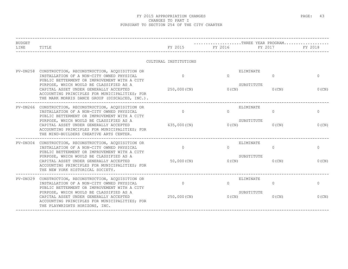| <b>BUDGET</b><br>LINE | TITLE                                                                                                                                                                                                                                                                                                                                                                     | FY 2015                  | $\ldots \ldots \ldots \ldots \ldots \ldots \ldots$ . THREE YEAR PROGRAM<br>FY 2016 | FY 2017                  | FY 2018                  |
|-----------------------|---------------------------------------------------------------------------------------------------------------------------------------------------------------------------------------------------------------------------------------------------------------------------------------------------------------------------------------------------------------------------|--------------------------|------------------------------------------------------------------------------------|--------------------------|--------------------------|
|                       |                                                                                                                                                                                                                                                                                                                                                                           | CULTURAL INSTITUTIONS    |                                                                                    |                          |                          |
|                       | PV-DN258 CONSTRUCTION, RECONSTRUCTION, ACQUISITION OR<br>INSTALLATION OF A NON-CITY OWNED PHYSICAL<br>PUBLIC BETTERMENT OR IMPROVEMENT WITH A CITY<br>PURPOSE, WHICH WOULD BE CLASSIFIED AS A<br>CAPITAL ASSET UNDER GENERALLY ACCEPTED<br>ACCOUNTING PRINCIPLES FOR MUNICIPALITIES; FOR<br>THE MARK MORRIS DANCE GROUP (DISCALCED, INC.).                                | $\Omega$<br>250,000 (CN) | ELIMINATE<br>$\Omega$<br>SUBSTITUTE<br>$0$ (CN)                                    | $\mathbf{0}$<br>$0$ (CN) | $\Omega$<br>0(CN)        |
|                       | ----------------------------------<br>PV-DN266 CONSTRUCTION, RECONSTRUCTION, ACQUISITION OR<br>INSTALLATION OF A NON-CITY OWNED PHYSICAL<br>PUBLIC BETTERMENT OR IMPROVEMENT WITH A CITY<br>PURPOSE, WHICH WOULD BE CLASSIFIED AS A<br>CAPITAL ASSET UNDER GENERALLY ACCEPTED<br>ACCOUNTING PRINCIPLES FOR MUNICIPALITIES; FOR<br>THE MIND-BUILDERS CREATIVE ARTS CENTER. | $\Omega$<br>635,000 (CN) | ELIMINATE<br>$\Omega$<br>SUBSTITUTE<br>$0$ (CN)                                    | $\Omega$<br>$0$ (CN)     | $\mathbf{0}$<br>$0$ (CN) |
|                       | PV-DN304 CONSTRUCTION, RECONSTRUCTION, ACQUISITION OR<br>INSTALLATION OF A NON-CITY OWNED PHYSICAL<br>PUBLIC BETTERMENT OR IMPROVEMENT WITH A CITY<br>PURPOSE, WHICH WOULD BE CLASSIFIED AS A<br>CAPITAL ASSET UNDER GENERALLY ACCEPTED<br>ACCOUNTING PRINCIPLES FOR MUNICIPALITIES; FOR<br>THE NEW YORK HISTORICAL SOCIETY.                                              | $\Omega$<br>50,000 (CN)  | ELIMINATE<br>$\cap$<br>SUBSTITUTE<br>$0$ (CN)                                      | $\Omega$<br>$0$ (CN)     | $\circ$<br>0(CN)         |
|                       | PV-DN329 CONSTRUCTION, RECONSTRUCTION, ACQUISITION OR<br>INSTALLATION OF A NON-CITY OWNED PHYSICAL<br>PUBLIC BETTERMENT OR IMPROVEMENT WITH A CITY<br>PURPOSE, WHICH WOULD BE CLASSIFIED AS A<br>CAPITAL ASSET UNDER GENERALLY ACCEPTED<br>ACCOUNTING PRINCIPLES FOR MUNICIPALITIES; FOR<br>THE PLAYWRIGHTS HORIZONS, INC.                                                | $\Omega$<br>250,000 (CN) | ELIMINATE<br>$\Omega$<br>SUBSTITUTE<br>0(CN)                                       | $\Omega$<br>$0$ (CN)     | $\mathbf{0}$<br>$0$ (CN) |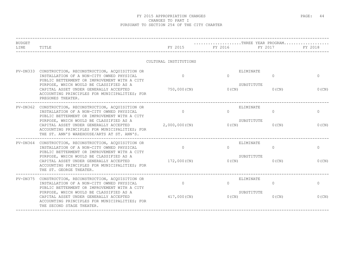| <b>BUDGET</b><br>LINE | TITLE                                                                                                                                                                                                                                                                                                                                  | FY 2015                   | FY 2016              | $\ldots \ldots \ldots \ldots \ldots \ldots \ldots$ . THREE YEAR PROGRAM<br>FY 2017 | FY 2018                  |
|-----------------------|----------------------------------------------------------------------------------------------------------------------------------------------------------------------------------------------------------------------------------------------------------------------------------------------------------------------------------------|---------------------------|----------------------|------------------------------------------------------------------------------------|--------------------------|
|                       |                                                                                                                                                                                                                                                                                                                                        | CULTURAL INSTITUTIONS     |                      |                                                                                    |                          |
|                       | PV-DN333 CONSTRUCTION, RECONSTRUCTION, ACQUISITION OR<br>INSTALLATION OF A NON-CITY OWNED PHYSICAL<br>PUBLIC BETTERMENT OR IMPROVEMENT WITH A CITY<br>PURPOSE, WHICH WOULD BE CLASSIFIED AS A<br>CAPITAL ASSET UNDER GENERALLY ACCEPTED<br>ACCOUNTING PRINCIPLES FOR MUNICIPALITIES; FOR<br>PREGONES THEATER.                          | $\Omega$<br>750,000 (CN)  | $\Omega$<br>$0$ (CN) | ELIMINATE<br>$\mathbf{0}$<br>SUBSTITUTE<br>$0$ (CN)                                | $\mathbf{0}$<br>0(CN)    |
|                       | PV-DN362 CONSTRUCTION, RECONSTRUCTION, ACQUISITION OR<br>INSTALLATION OF A NON-CITY OWNED PHYSICAL<br>PUBLIC BETTERMENT OR IMPROVEMENT WITH A CITY<br>PURPOSE, WHICH WOULD BE CLASSIFIED AS A<br>CAPITAL ASSET UNDER GENERALLY ACCEPTED<br>ACCOUNTING PRINCIPLES FOR MUNICIPALITIES; FOR<br>THE ST. ANN'S WAREHOUSE/ARTS AT ST. ANN'S. | $\Omega$<br>2,000,000(CN) | $\Omega$<br>$0$ (CN) | ELIMINATE<br>$\circ$<br>SUBSTITUTE<br>$0$ (CN)                                     | $\mathbf{0}$<br>$0$ (CN) |
|                       | PV-DN364 CONSTRUCTION, RECONSTRUCTION, ACQUISITION OR<br>INSTALLATION OF A NON-CITY OWNED PHYSICAL<br>PUBLIC BETTERMENT OR IMPROVEMENT WITH A CITY<br>PURPOSE, WHICH WOULD BE CLASSIFIED AS A<br>CAPITAL ASSET UNDER GENERALLY ACCEPTED<br>ACCOUNTING PRINCIPLES FOR MUNICIPALITIES; FOR<br>THE ST. GEORGE THEATER.                    | $\Omega$<br>172,000(CN)   | $\Omega$<br>$0$ (CN) | ELIMINATE<br>$\Omega$<br>SUBSTITUTE<br>$0$ (CN)                                    | $\Omega$<br>$0$ (CN)     |
|                       | PV-DN375 CONSTRUCTION, RECONSTRUCTION, ACQUISITION OR<br>INSTALLATION OF A NON-CITY OWNED PHYSICAL<br>PUBLIC BETTERMENT OR IMPROVEMENT WITH A CITY<br>PURPOSE, WHICH WOULD BE CLASSIFIED AS A<br>CAPITAL ASSET UNDER GENERALLY ACCEPTED<br>ACCOUNTING PRINCIPLES FOR MUNICIPALITIES; FOR<br>THE SECOND STAGE THEATER.                  | $\Omega$<br>417,000(CN)   | $\Omega$<br>$0$ (CN) | ELIMINATE<br>$\Omega$<br>SUBSTITUTE<br>$0$ (CN)                                    | $\mathbf{0}$<br>$0$ (CN) |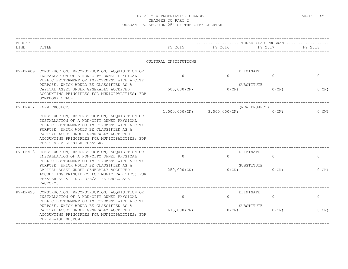| <b>BUDGET</b><br>LINE | TITLE                                                                                                                                                                                                                                                                                                          | FY 2015               | $\ldots \ldots \ldots \ldots \ldots \ldots \ldots$ . THREE YEAR PROGRAM<br>FY 2016 | FY 2017                   | FY 2018      |  |  |
|-----------------------|----------------------------------------------------------------------------------------------------------------------------------------------------------------------------------------------------------------------------------------------------------------------------------------------------------------|-----------------------|------------------------------------------------------------------------------------|---------------------------|--------------|--|--|
|                       |                                                                                                                                                                                                                                                                                                                | CULTURAL INSTITUTIONS |                                                                                    |                           |              |  |  |
|                       | PV-DN409 CONSTRUCTION, RECONSTRUCTION, ACQUISITION OR<br>INSTALLATION OF A NON-CITY OWNED PHYSICAL<br>PUBLIC BETTERMENT OR IMPROVEMENT WITH A CITY                                                                                                                                                             | $\Omega$              | $\Omega$                                                                           | ELIMINATE<br>$\Omega$     | $\mathbf{0}$ |  |  |
|                       | PURPOSE, WHICH WOULD BE CLASSIFIED AS A<br>CAPITAL ASSET UNDER GENERALLY ACCEPTED<br>ACCOUNTING PRINCIPLES FOR MUNICIPALITIES; FOR<br>SYMPHONY SPACE.                                                                                                                                                          | 500,000 (CN)          | 0(CN)                                                                              | SUBSTITUTE<br>$0$ (CN)    | $0$ (CN)     |  |  |
| PV-DN412              | (NEW PROJECT)                                                                                                                                                                                                                                                                                                  |                       | $1,000,000$ (CN) $3,000,000$ (CN)                                                  | (NEW PROJECT)<br>$0$ (CN) | $0$ (CN)     |  |  |
|                       | CONSTRUCTION, RECONSTRUCTION, ACQUISITION OR<br>INSTALLATION OF A NON-CITY OWNED PHYSICAL<br>PUBLIC BETTERMENT OR IMPROVEMENT WITH A CITY<br>PURPOSE, WHICH WOULD BE CLASSIFIED AS A<br>CAPITAL ASSET UNDER GENERALLY ACCEPTED<br>ACCOUNTING PRINCIPLES FOR MUNICIPALITIES; FOR<br>THE THALIA SPANISH THEATER. |                       |                                                                                    |                           |              |  |  |
|                       | PV-DN413 CONSTRUCTION, RECONSTRUCTION, ACQUISITION OR<br>INSTALLATION OF A NON-CITY OWNED PHYSICAL                                                                                                                                                                                                             | $\Omega$              | $\Omega$                                                                           | ELIMINATE<br>$\Omega$     | $\Omega$     |  |  |
|                       | PUBLIC BETTERMENT OR IMPROVEMENT WITH A CITY<br>PURPOSE, WHICH WOULD BE CLASSIFIED AS A<br>CAPITAL ASSET UNDER GENERALLY ACCEPTED<br>ACCOUNTING PRINCIPLES FOR MUNICIPALITIES; FOR<br>THEATER ET AL INC. D/B/A THE CHOCOLATE<br>FACTORY.                                                                       | 250,000 (CN)          | $0$ (CN)                                                                           | SUBSTITUTE<br>$0$ (CN)    | $0$ (CN)     |  |  |
|                       | PV-DN423 CONSTRUCTION, RECONSTRUCTION, ACQUISITION OR<br>INSTALLATION OF A NON-CITY OWNED PHYSICAL<br>PUBLIC BETTERMENT OR IMPROVEMENT WITH A CITY                                                                                                                                                             | $\circ$               | $\Omega$                                                                           | ELIMINATE<br>$\circ$      | $\circ$      |  |  |
|                       | PURPOSE, WHICH WOULD BE CLASSIFIED AS A<br>CAPITAL ASSET UNDER GENERALLY ACCEPTED<br>ACCOUNTING PRINCIPLES FOR MUNICIPALITIES; FOR<br>THE JEWISH MUSEUM.                                                                                                                                                       | 675,000 (CN)          | 0(CN)                                                                              | SUBSTITUTE<br>$0$ (CN)    | 0(CN)        |  |  |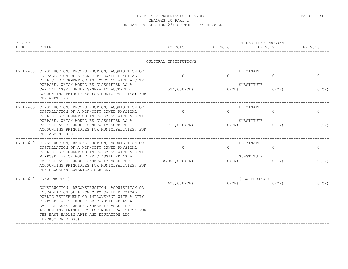| <b>BUDGET</b> |                                                                                                                                                                                                                                                                                                                                                 |                       | $\ldots\ldots\ldots\ldots\ldots\ldots\ldots\ldots\text{THREE}$ YEAR PROGRAM |               |              |
|---------------|-------------------------------------------------------------------------------------------------------------------------------------------------------------------------------------------------------------------------------------------------------------------------------------------------------------------------------------------------|-----------------------|-----------------------------------------------------------------------------|---------------|--------------|
| LINE          | TITLE                                                                                                                                                                                                                                                                                                                                           | FY 2015               | FY 2016                                                                     | FY 2017       | FY 2018      |
|               |                                                                                                                                                                                                                                                                                                                                                 | CULTURAL INSTITUTIONS |                                                                             |               |              |
| $PV-DN430$    | CONSTRUCTION, RECONSTRUCTION, ACQUISITION OR<br>INSTALLATION OF A NON-CITY OWNED PHYSICAL<br>PUBLIC BETTERMENT OR IMPROVEMENT WITH A CITY                                                                                                                                                                                                       | $\Omega$              | ELIMINATE<br>$\Omega$                                                       | $\mathbf{0}$  | $\mathbf{0}$ |
|               | PURPOSE, WHICH WOULD BE CLASSIFIED AS A<br>CAPITAL ASSET UNDER GENERALLY ACCEPTED<br>ACCOUNTING PRINCIPLES FOR MUNICIPALITIES; FOR<br>THE WNET.ORG.                                                                                                                                                                                             | 524,000 (CN)          | SUBSTITUTE<br>$0$ (CN)                                                      | $0$ (CN)      | $0$ (CN)     |
|               | PV-DN463 CONSTRUCTION, RECONSTRUCTION, ACQUISITION OR<br>INSTALLATION OF A NON-CITY OWNED PHYSICAL<br>PUBLIC BETTERMENT OR IMPROVEMENT WITH A CITY                                                                                                                                                                                              | $\circ$               | ELIMINATE<br>$\Omega$                                                       | $\mathbf{0}$  | $\mathbf{0}$ |
|               | PURPOSE, WHICH WOULD BE CLASSIFIED AS A<br>CAPITAL ASSET UNDER GENERALLY ACCEPTED<br>ACCOUNTING PRINCIPLES FOR MUNICIPALITIES; FOR<br>THE ABC NO RIO.                                                                                                                                                                                           | 750,000 (CN)          | SUBSTITUTE<br>$0$ (CN)                                                      | $0$ (CN)      | 0(CN)        |
|               | PV-DN610 CONSTRUCTION, RECONSTRUCTION, ACQUISITION OR<br>INSTALLATION OF A NON-CITY OWNED PHYSICAL<br>PUBLIC BETTERMENT OR IMPROVEMENT WITH A CITY                                                                                                                                                                                              | $\Omega$              | ELIMINATE<br>$\Omega$                                                       | $\circ$       | $\mathbf{0}$ |
|               | PURPOSE, WHICH WOULD BE CLASSIFIED AS A<br>CAPITAL ASSET UNDER GENERALLY ACCEPTED<br>ACCOUNTING PRINCIPLES FOR MUNICIPALITIES; FOR<br>THE BROOKLYN BOTANICAL GARDEN.                                                                                                                                                                            | 8,000,000(CN)         | SUBSTITUTE<br>$0$ (CN)                                                      | $0$ (CN)      | $0$ (CN)     |
|               | PV-DN612 (NEW PROJECT)                                                                                                                                                                                                                                                                                                                          |                       |                                                                             | (NEW PROJECT) |              |
|               | CONSTRUCTION, RECONSTRUCTION, ACQUISITION OR<br>INSTALLATION OF A NON-CITY OWNED PHYSICAL<br>PUBLIC BETTERMENT OR IMPROVEMENT WITH A CITY<br>PURPOSE, WHICH WOULD BE CLASSIFIED AS A<br>CAPITAL ASSET UNDER GENERALLY ACCEPTED<br>ACCOUNTING PRINCIPLES FOR MUNICIPALITIES; FOR<br>THE EAST HARLEM ARTS AND EDUCATION LDC<br>(HECKSCHER BLDG.). | 628,000(CN)           | $0$ (CN)                                                                    | $0$ (CN)      | $0$ (CN)     |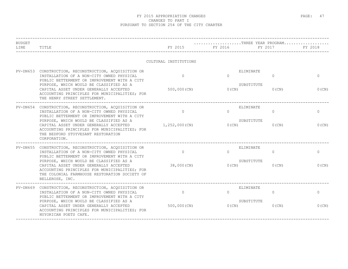| <b>BUDGET</b> |                                                                                                                                                                                                                                         |                         |                      | THREE YEAR PROGRAM                              |                     |
|---------------|-----------------------------------------------------------------------------------------------------------------------------------------------------------------------------------------------------------------------------------------|-------------------------|----------------------|-------------------------------------------------|---------------------|
| LINE          | TITLE                                                                                                                                                                                                                                   | FY 2015                 | FY 2016              | FY 2017                                         | FY 2018             |
|               |                                                                                                                                                                                                                                         | CULTURAL INSTITUTIONS   |                      |                                                 |                     |
| PV-DN653      | CONSTRUCTION, RECONSTRUCTION, ACQUISITION OR<br>INSTALLATION OF A NON-CITY OWNED PHYSICAL<br>PUBLIC BETTERMENT OR IMPROVEMENT WITH A CITY                                                                                               | $\Omega$                | $\Omega$             | ELIMINATE<br>0<br>SUBSTITUTE                    | $\mathbf{0}$        |
|               | PURPOSE, WHICH WOULD BE CLASSIFIED AS A<br>CAPITAL ASSET UNDER GENERALLY ACCEPTED<br>ACCOUNTING PRINCIPLES FOR MUNICIPALITIES; FOR<br>THE HENRY STREET SETTLEMENT.                                                                      | 500,000 (CN)            | $0$ (CN)             | $0$ (CN)                                        | $0$ (CN)            |
|               | PV-DN654 CONSTRUCTION, RECONSTRUCTION, ACQUISITION OR<br>INSTALLATION OF A NON-CITY OWNED PHYSICAL<br>PUBLIC BETTERMENT OR IMPROVEMENT WITH A CITY                                                                                      | $\circ$                 | $\Omega$             | ELIMINATE<br>$\Omega$                           | $\mathbf{0}$        |
|               | PURPOSE, WHICH WOULD BE CLASSIFIED AS A<br>CAPITAL ASSET UNDER GENERALLY ACCEPTED<br>ACCOUNTING PRINCIPLES FOR MUNICIPALITIES; FOR<br>THE BEDFORD STUYVESANT RESTORATION<br>CORPORATION.                                                | 1,252,000(CN)           | 0(CN)                | SUBSTITUTE<br>$0$ (CN)                          | $0$ (CN)            |
|               | PV-DN655 CONSTRUCTION, RECONSTRUCTION, ACQUISITION OR<br>INSTALLATION OF A NON-CITY OWNED PHYSICAL<br>PUBLIC BETTERMENT OR IMPROVEMENT WITH A CITY<br>PURPOSE, WHICH WOULD BE CLASSIFIED AS A<br>CAPITAL ASSET UNDER GENERALLY ACCEPTED | $\Omega$<br>38,000 (CN) | $\Omega$<br>$0$ (CN) | ELIMINATE<br>$\Omega$<br>SUBSTITUTE<br>$0$ (CN) | $\circ$<br>$0$ (CN) |
|               | ACCOUNTING PRINCIPLES FOR MUNICIPALITIES; FOR<br>THE COLONIAL FARMHOUSE RESTORATION SOCIETY OF<br>BELLEROSE, INC.                                                                                                                       |                         |                      |                                                 |                     |
| PV-DN669      | CONSTRUCTION, RECONSTRUCTION, ACQUISITION OR<br>INSTALLATION OF A NON-CITY OWNED PHYSICAL<br>PUBLIC BETTERMENT OR IMPROVEMENT WITH A CITY                                                                                               | $\circ$                 | $\Omega$             | ELIMINATE<br>$\Omega$                           | 0                   |
|               | PURPOSE, WHICH WOULD BE CLASSIFIED AS A<br>CAPITAL ASSET UNDER GENERALLY ACCEPTED<br>ACCOUNTING PRINCIPLES FOR MUNICIPALITIES; FOR<br>NUYORICAN POETS CAFE.                                                                             | 500,000 (CN)            | $0$ (CN)             | SUBSTITUTE<br>$0$ (CN)                          | 0(CN)               |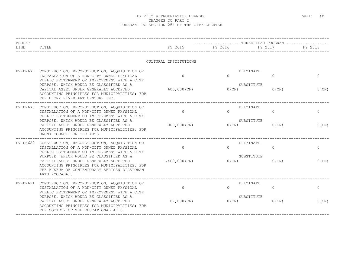| <b>BUDGET</b><br>LINE | TITLE                                                                                                                                                                                                | FY 2015               | THREE YEAR PROGRAM<br>FY 2016 | FY 2017  | FY 2018      |
|-----------------------|------------------------------------------------------------------------------------------------------------------------------------------------------------------------------------------------------|-----------------------|-------------------------------|----------|--------------|
|                       |                                                                                                                                                                                                      | CULTURAL INSTITUTIONS |                               |          |              |
| PV-DN677              | CONSTRUCTION, RECONSTRUCTION, ACQUISITION OR<br>INSTALLATION OF A NON-CITY OWNED PHYSICAL<br>PUBLIC BETTERMENT OR IMPROVEMENT WITH A CITY                                                            | $\Omega$              | ELIMINATE<br>$\Omega$         | $\Omega$ | $\Omega$     |
|                       | PURPOSE, WHICH WOULD BE CLASSIFIED AS A<br>CAPITAL ASSET UNDER GENERALLY ACCEPTED<br>ACCOUNTING PRINCIPLES FOR MUNICIPALITIES; FOR<br>THE BRONX RIVER ART CENTER, INC.                               | $600,000$ (CN)        | SUBSTITUTE<br>$0$ (CN)        | $0$ (CN) | $0$ (CN)     |
| PV-DN678              | -----------------------<br>CONSTRUCTION, RECONSTRUCTION, ACOUISITION OR<br>INSTALLATION OF A NON-CITY OWNED PHYSICAL<br>PUBLIC BETTERMENT OR IMPROVEMENT WITH A CITY                                 | $\Omega$              | ELIMINATE<br>$\bigcap$        | $\Omega$ | $\mathbf{0}$ |
|                       | PURPOSE, WHICH WOULD BE CLASSIFIED AS A<br>CAPITAL ASSET UNDER GENERALLY ACCEPTED<br>ACCOUNTING PRINCIPLES FOR MUNICIPALITIES; FOR<br>BRONX COUNCIL ON THE ARTS.                                     | 300,000 (CN)          | SUBSTITUTE<br>0(CN)           | $0$ (CN) | $0$ (CN)     |
|                       | PV-DN680 CONSTRUCTION, RECONSTRUCTION, ACQUISITION OR<br>INSTALLATION OF A NON-CITY OWNED PHYSICAL<br>PUBLIC BETTERMENT OR IMPROVEMENT WITH A CITY                                                   | $\overline{0}$        | ELIMINATE<br>$\Omega$         | $\Omega$ | $\mathbf{0}$ |
|                       | PURPOSE, WHICH WOULD BE CLASSIFIED AS A<br>CAPITAL ASSET UNDER GENERALLY ACCEPTED<br>ACCOUNTING PRINCIPLES FOR MUNICIPALITIES; FOR<br>THE MUSEUM OF CONTEMPORARY AFRICAN DIASPORAN<br>ARTS (MOCADA). | 1,400,000(CN)         | SUBSTITUTE<br>$0$ (CN)        | $0$ (CN) | $0$ (CN)     |
|                       | PV-DN694 CONSTRUCTION, RECONSTRUCTION, ACQUISITION OR<br>INSTALLATION OF A NON-CITY OWNED PHYSICAL<br>PUBLIC BETTERMENT OR IMPROVEMENT WITH A CITY                                                   | $\Omega$              | ELIMINATE<br>$\Omega$         | $\Omega$ | $\circ$      |
|                       | PURPOSE, WHICH WOULD BE CLASSIFIED AS A<br>CAPITAL ASSET UNDER GENERALLY ACCEPTED<br>ACCOUNTING PRINCIPLES FOR MUNICIPALITIES; FOR<br>THE SOCIETY OF THE EDUCATIONAL ARTS.                           | 87,000 (CN)           | SUBSTITUTE<br>0(CN)           | $0$ (CN) | 0(CN)        |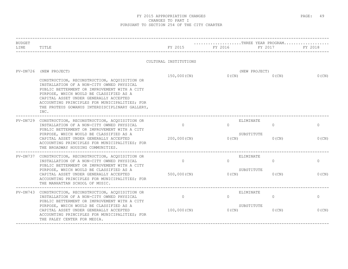| <b>BUDGET</b><br>LINE | TITLE                                                                                                                                                                                                                                                                                                                                                      | FY 2015                   | FY 2016           | THREE YEAR PROGRAM<br>FY 2017                   | FY 2018             |
|-----------------------|------------------------------------------------------------------------------------------------------------------------------------------------------------------------------------------------------------------------------------------------------------------------------------------------------------------------------------------------------------|---------------------------|-------------------|-------------------------------------------------|---------------------|
|                       |                                                                                                                                                                                                                                                                                                                                                            | CULTURAL INSTITUTIONS     |                   |                                                 |                     |
| $PV-DN726$            | (NEW PROJECT)<br>CONSTRUCTION, RECONSTRUCTION, ACQUISITION OR<br>INSTALLATION OF A NON-CITY OWNED PHYSICAL<br>PUBLIC BETTERMENT OR IMPROVEMENT WITH A CITY<br>PURPOSE, WHICH WOULD BE CLASSIFIED AS A<br>CAPITAL ASSET UNDER GENERALLY ACCEPTED<br>ACCOUNTING PRINCIPLES FOR MUNICIPALITIES; FOR<br>THE PROTEUS GOWANUS INTERDISCIPLINARY GALLERY,<br>INC. | 150,000 (CN)              | $0$ (CN)          | (NEW PROJECT)<br>$0$ (CN)                       | $0$ (CN)            |
|                       | PV-DN729 CONSTRUCTION, RECONSTRUCTION, ACQUISITION OR<br>INSTALLATION OF A NON-CITY OWNED PHYSICAL<br>PUBLIC BETTERMENT OR IMPROVEMENT WITH A CITY<br>PURPOSE, WHICH WOULD BE CLASSIFIED AS A<br>CAPITAL ASSET UNDER GENERALLY ACCEPTED<br>ACCOUNTING PRINCIPLES FOR MUNICIPALITIES; FOR<br>THE BROADWAY HOUSING COMMUNITIES.                              | $\Omega$<br>200,000 (CN)  | $\Omega$<br>0(CN) | ELIMINATE<br>$\Omega$<br>SUBSTITUTE<br>$0$ (CN) | $\circ$<br>$0$ (CN) |
|                       | PV-DN737 CONSTRUCTION, RECONSTRUCTION, ACQUISITION OR<br>INSTALLATION OF A NON-CITY OWNED PHYSICAL<br>PUBLIC BETTERMENT OR IMPROVEMENT WITH A CITY<br>PURPOSE, WHICH WOULD BE CLASSIFIED AS A<br>CAPITAL ASSET UNDER GENERALLY ACCEPTED<br>ACCOUNTING PRINCIPLES FOR MUNICIPALITIES; FOR<br>THE MANHATTAN SCHOOL OF MUSIC.                                 | $\circ$<br>500,000 (CN)   | $\Omega$<br>0(CN) | ELIMINATE<br>$\Omega$<br>SUBSTITUTE<br>$0$ (CN) | $\circ$<br>0(CN)    |
|                       | PV-DN743 CONSTRUCTION, RECONSTRUCTION, ACQUISITION OR<br>INSTALLATION OF A NON-CITY OWNED PHYSICAL<br>PUBLIC BETTERMENT OR IMPROVEMENT WITH A CITY<br>PURPOSE, WHICH WOULD BE CLASSIFIED AS A<br>CAPITAL ASSET UNDER GENERALLY ACCEPTED<br>ACCOUNTING PRINCIPLES FOR MUNICIPALITIES; FOR<br>THE PALEY CENTER FOR MEDIA.                                    | $\circ$<br>$100,000$ (CN) | $\Omega$<br>0(CN) | ELIMINATE<br>$\circ$<br>SUBSTITUTE<br>$0$ (CN)  | $\circ$<br>$0$ (CN) |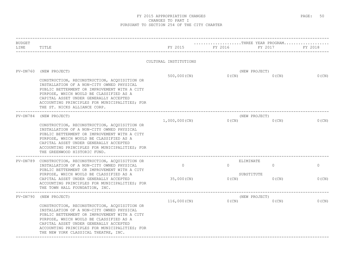| <b>BUDGET</b><br>LINE | TITLE                                                                                                                                                                                                                                                                                                                                          | FY 2015               | THREE YEAR PROGRAM<br>FY 2016 | FY 2017                     | FY 2018  |
|-----------------------|------------------------------------------------------------------------------------------------------------------------------------------------------------------------------------------------------------------------------------------------------------------------------------------------------------------------------------------------|-----------------------|-------------------------------|-----------------------------|----------|
|                       |                                                                                                                                                                                                                                                                                                                                                | CULTURAL INSTITUTIONS |                               |                             |          |
| $PV-DN760$            | (NEW PROJECT)                                                                                                                                                                                                                                                                                                                                  |                       |                               | (NEW PROJECT)               |          |
|                       | CONSTRUCTION, RECONSTRUCTION, ACQUISITION OR<br>INSTALLATION OF A NON-CITY OWNED PHYSICAL<br>PUBLIC BETTERMENT OR IMPROVEMENT WITH A CITY<br>PURPOSE, WHICH WOULD BE CLASSIFIED AS A<br>CAPITAL ASSET UNDER GENERALLY ACCEPTED<br>ACCOUNTING PRINCIPLES FOR MUNICIPALITIES; FOR<br>THE ST. NICKS ALLIANCE CORP.                                | 500,000(CN)           | $0$ (CN)                      | $0$ (CN)                    | $0$ (CN) |
| PV-DN784              | (NEW PROJECT)                                                                                                                                                                                                                                                                                                                                  |                       |                               | (NEW PROJECT)               |          |
|                       | CONSTRUCTION, RECONSTRUCTION, ACQUISITION OR<br>INSTALLATION OF A NON-CITY OWNED PHYSICAL<br>PUBLIC BETTERMENT OR IMPROVEMENT WITH A CITY<br>PURPOSE, WHICH WOULD BE CLASSIFIED AS A<br>CAPITAL ASSET UNDER GENERALLY ACCEPTED<br>ACCOUNTING PRINCIPLES FOR MUNICIPALITIES; FOR<br>THE GREENWOOD HISTORIC FUND.<br>___________________________ | 1,000,000(CN)         | 0(CN)                         | $0$ (CN)                    | $0$ (CN) |
|                       | PV-DN789 CONSTRUCTION, RECONSTRUCTION, ACQUISITION OR<br>INSTALLATION OF A NON-CITY OWNED PHYSICAL                                                                                                                                                                                                                                             | $\circ$               | $\Omega$                      | ELIMINATE<br>$\overline{0}$ | $\circ$  |
|                       | PUBLIC BETTERMENT OR IMPROVEMENT WITH A CITY<br>PURPOSE, WHICH WOULD BE CLASSIFIED AS A<br>CAPITAL ASSET UNDER GENERALLY ACCEPTED<br>ACCOUNTING PRINCIPLES FOR MUNICIPALITIES; FOR<br>THE TOWN HALL FOUNDATION, INC.                                                                                                                           | 35,000(CN)            | $0$ (CN)                      | SUBSTITUTE<br>$0$ (CN)      | $0$ (CN) |
| $PV-DN790$            | (NEW PROJECT)                                                                                                                                                                                                                                                                                                                                  |                       |                               | (NEW PROJECT)               |          |
|                       | CONSTRUCTION, RECONSTRUCTION, ACQUISITION OR<br>INSTALLATION OF A NON-CITY OWNED PHYSICAL<br>PUBLIC BETTERMENT OR IMPROVEMENT WITH A CITY<br>PURPOSE, WHICH WOULD BE CLASSIFIED AS A<br>CAPITAL ASSET UNDER GENERALLY ACCEPTED<br>ACCOUNTING PRINCIPLES FOR MUNICIPALITIES; FOR<br>THE NEW YORK CLASSICAL THEATRE, INC.                        | 116,000 (CN)          | 0(CN)                         | $0$ (CN)                    | $0$ (CN) |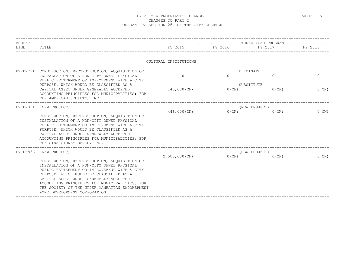| <b>BUDGET</b> |                                                                                                                                                                                                                                                                                                                                                                    |                       | THREE YEAR PROGRAM |                        |          |
|---------------|--------------------------------------------------------------------------------------------------------------------------------------------------------------------------------------------------------------------------------------------------------------------------------------------------------------------------------------------------------------------|-----------------------|--------------------|------------------------|----------|
| LINE          | TITLE                                                                                                                                                                                                                                                                                                                                                              | FY 2015               | FY 2016            | FY 2017                | FY 2018  |
|               |                                                                                                                                                                                                                                                                                                                                                                    | CULTURAL INSTITUTIONS |                    |                        |          |
|               | PV-DN794 CONSTRUCTION, RECONSTRUCTION, ACQUISITION OR                                                                                                                                                                                                                                                                                                              |                       |                    | ELIMINATE              |          |
|               | INSTALLATION OF A NON-CITY OWNED PHYSICAL<br>PUBLIC BETTERMENT OR IMPROVEMENT WITH A CITY                                                                                                                                                                                                                                                                          | $\Omega$              | $\Omega$           | $\Omega$               | $\Omega$ |
|               | PURPOSE, WHICH WOULD BE CLASSIFIED AS A<br>CAPITAL ASSET UNDER GENERALLY ACCEPTED<br>ACCOUNTING PRINCIPLES FOR MUNICIPALITIES; FOR<br>THE AMERICAS SOCIETY, INC.                                                                                                                                                                                                   | 140,000(CN)           | $0$ (CN)           | SUBSTITUTE<br>$0$ (CN) | $0$ (CN) |
| PV-DN831      | (NEW PROJECT)                                                                                                                                                                                                                                                                                                                                                      |                       |                    | (NEW PROJECT)          |          |
|               | CONSTRUCTION, RECONSTRUCTION, ACQUISITION OR<br>INSTALLATION OF A NON-CITY OWNED PHYSICAL<br>PUBLIC BETTERMENT OR IMPROVEMENT WITH A CITY<br>PURPOSE, WHICH WOULD BE CLASSIFIED AS A<br>CAPITAL ASSET UNDER GENERALLY ACCEPTED<br>ACCOUNTING PRINCIPLES FOR MUNICIPALITIES; FOR<br>THE GINA GIBNEY DANCE, INC.                                                     | 446,000 (CN)          | 0(CN)              | $0$ (CN)               | $0$ (CN) |
|               | PV-DN836 (NEW PROJECT)                                                                                                                                                                                                                                                                                                                                             |                       |                    | (NEW PROJECT)          |          |
|               | CONSTRUCTION, RECONSTRUCTION, ACOUISITION OR<br>INSTALLATION OF A NON-CITY OWNED PHYSICAL<br>PUBLIC BETTERMENT OR IMPROVEMENT WITH A CITY<br>PURPOSE, WHICH WOULD BE CLASSIFIED AS A<br>CAPITAL ASSET UNDER GENERALLY ACCEPTED<br>ACCOUNTING PRINCIPLES FOR MUNICIPALITIES; FOR<br>THE SOCIETY OF THE UPPER MANHATTAN EMPOWERMENT<br>ZONE DEVELOPMENT CORPORATION. | $2,500,000$ (CN)      | $0$ (CN)           | $0$ (CN)               | $0$ (CN) |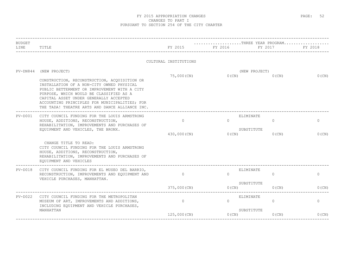| <b>BUDGET</b> |                                                                                                                                                                                                                                                                                                                                                    |                         |                      | THREE YEAR PROGRAM                             |                       |
|---------------|----------------------------------------------------------------------------------------------------------------------------------------------------------------------------------------------------------------------------------------------------------------------------------------------------------------------------------------------------|-------------------------|----------------------|------------------------------------------------|-----------------------|
| LINE          | TITLE                                                                                                                                                                                                                                                                                                                                              | FY 2015                 | FY 2016              | FY 2017                                        | FY 2018               |
|               |                                                                                                                                                                                                                                                                                                                                                    | CULTURAL INSTITUTIONS   |                      |                                                |                       |
| PV-DN844      | (NEW PROJECT)<br>CONSTRUCTION, RECONSTRUCTION, ACQUISITION OR<br>INSTALLATION OF A NON-CITY OWNED PHYSICAL<br>PUBLIC BETTERMENT OR IMPROVEMENT WITH A CITY<br>PURPOSE, WHICH WOULD BE CLASSIFIED AS A<br>CAPITAL ASSET UNDER GENERALLY ACCEPTED<br>ACCOUNTING PRINCIPLES FOR MUNICIPALITIES; FOR<br>THE TADA! THEATRE ARTS AND DANCE ALLIANCE INC. | 75,000 (CN)             | $0$ (CN)             | (NEW PROJECT)<br>$0$ (CN)                      | $0$ (CN)              |
| $PV-DOO1$     | CITY COUNCIL FUNDING FOR THE LOUIS ARMSTRONG<br>HOUSE, ADDITIONS, RECONSTRUCTION,<br>REHABILITATION, IMPROVEMENTS AND PURCHASES OF<br>EQUIPMENT AND VEHICLES, THE BRONX.                                                                                                                                                                           | $\circ$<br>430,000 (CN) | $\Omega$<br>$0$ (CN) | ELIMINATE<br>$\circ$<br>SUBSTITUTE<br>$0$ (CN) | $\mathbf{0}$<br>0(CN) |
|               | CHANGE TITLE TO READ:<br>CITY COUNCIL FUNDING FOR THE LOUIS ARMSTRONG<br>HOUSE, ADDITIONS, RECONSTRUCTION,<br>REHABILITATION, IMPROVEMENTS AND PURCHASES OF<br>EQUIPMENT AND VEHICLES                                                                                                                                                              |                         |                      |                                                |                       |
| $PV-DO18$     | CITY COUNCIL FUNDING FOR EL MUSEO DEL BARRIO,<br>RECONSTRUCTION, IMPROVEMENTS AND EQUIPMENT AND<br>VEHICLE PURCHASES, MANHATTAN.                                                                                                                                                                                                                   | $\circ$                 | $\Omega$             | ELIMINATE<br>$\circ$                           | $\circ$               |
|               |                                                                                                                                                                                                                                                                                                                                                    | 375,000 (CN)            | $0$ (CN)             | SUBSTITUTE<br>$0$ (CN)                         | 0(CN)                 |
| PV-D022       | CITY COUNCIL FUNDING FOR THE METROPOLITAN<br>MUSEUM OF ART, IMPROVEMENTS AND ADDITIONS,<br>INCLUDING EQUIPMENT AND VEHICLE PURCHASES,                                                                                                                                                                                                              | $\circ$                 | $\Omega$             | ELIMINATE<br>$\circ$                           | $\circ$               |
|               | MANHATTAN                                                                                                                                                                                                                                                                                                                                          | 125,000 (CN)            | $0$ (CN)             | SUBSTITUTE<br>$0$ (CN)                         | $0$ (CN)              |
|               |                                                                                                                                                                                                                                                                                                                                                    |                         |                      |                                                |                       |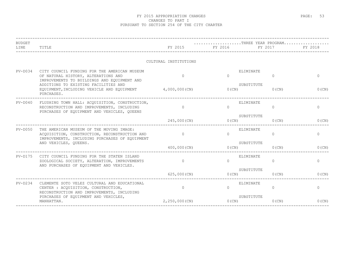| <b>BUDGET</b><br>LINE | TITLE                                                                                                                                       | FY 2015               | THREE YEAR PROGRAM<br>FY 2016 | FY 2017                   | <b>EXAMPLE 2018</b> |
|-----------------------|---------------------------------------------------------------------------------------------------------------------------------------------|-----------------------|-------------------------------|---------------------------|---------------------|
|                       |                                                                                                                                             | CULTURAL INSTITUTIONS |                               |                           |                     |
| $PV-DO34$             | CITY COUNCIL FUNDING FOR THE AMERICAN MUSEUM<br>OF NATURAL HISTORY, ALTERATIONS AND<br>IMPROVEMENTS TO BUILDINGS AND EQUIPMENT AND          | $\cap$                | $\cap$                        | ELIMINATE<br>$\Omega$     | $\Omega$            |
|                       | ADDITIONS TO EXISTING FACILITIES AND<br>EQUIPMENT, INCLUDING VEHICLE AND EQUIPMENT 4,000,000 (CN)<br>PURCHASES.                             |                       | $0$ (CN)                      | SUBSTITUTE<br>$0$ (CN)    | 0(CN)               |
| $PV-DO40$             | FLUSHING TOWN HALL: ACQUISITION, CONSTRUCTION,<br>RECONSTRUCTION AND IMPROVEMENTS, INCLUDING<br>PURCHASES OF EQUIPMENT AND VEHICLES, QUEENS | $\Omega$              | $\Omega$                      | ELIMINATE<br>$\mathbf{0}$ | $\mathbf{0}$        |
|                       |                                                                                                                                             | 245,000 (CN)          | O(CN)                         | SUBSTITUTE<br>$0$ (CN)    | $0$ (CN)            |
| $PV-DO50$             | THE AMERICAN MUSEUM OF THE MOVING IMAGE:<br>ACQUISITION, CONSTRUCTION, RECONSTRUCTION AND<br>IMPROVEMENTS, INCLUDING PURCHASES OF EQUIPMENT | $\bigcap$             | $\Omega$                      | ELIMINATE<br>$\Omega$     | $\mathbf{0}$        |
|                       | AND VEHICLES, QUEENS.<br>___________________________________                                                                                | $400,000$ (CN)        | 0(CN)<br>___________________  | SUBSTITUTE<br>$0$ (CN)    | 0(CN)               |
| $PV-D175$             | CITY COUNCIL FUNDING FOR THE STATEN ISLAND<br>ZOOLOGICAL SOCIETY, ALTERATION, IMPROVEMENTS<br>AND PURCHASES OF EQUIPMENT AND VEHICLES.      | $\overline{0}$        | $\bigcap$                     | ELIMINATE<br>$\circ$      | $\mathbf{0}$        |
|                       |                                                                                                                                             | 625,000(CN)           | $0$ (CN)                      | SUBSTITUTE<br>$0$ (CN)    | 0(CN)               |
| $PV-D234$             | CLEMENTE SOTO VELEZ CULTURAL AND EDUCATIONAL<br>CENTER : ACQUISITION, CONSTRUCTION,<br>RECONSTRUCTION AND IMPROVEMENTS, INCLUDING           | $\circ$               | $\Omega$                      | ELIMINATE<br>$\Omega$     | $\mathbf{0}$        |
|                       | PURCHASES OF EOUIPMENT AND VEHICLES,<br>MANHATTAN.                                                                                          | $2,250,000$ (CN)      | 0(CN)                         | SUBSTITUTE<br>$0$ (CN)    | $0$ (CN)            |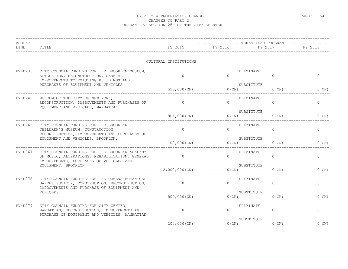| TITLE                                                                                                                                        | FY 2015                                                                                                                                                                          | FY 2016               | FY 2017               | FY 2018                                                                                                                                                                                                   |
|----------------------------------------------------------------------------------------------------------------------------------------------|----------------------------------------------------------------------------------------------------------------------------------------------------------------------------------|-----------------------|-----------------------|-----------------------------------------------------------------------------------------------------------------------------------------------------------------------------------------------------------|
|                                                                                                                                              |                                                                                                                                                                                  |                       |                       |                                                                                                                                                                                                           |
| CITY COUNCIL FUNDING FOR THE BROOKLYN MUSEUM,<br>ALTERATION, RECONSTRUCTION, GENERAL<br>IMPROVEMENTS TO EXISTING BUILDINGS AND               | $\bigcap$                                                                                                                                                                        | $\Omega$              | $\Omega$              | $\mathbf{0}$                                                                                                                                                                                              |
|                                                                                                                                              | 520,000 (CN)                                                                                                                                                                     | $0$ (CN)              | $0$ (CN)              | 0(CN)                                                                                                                                                                                                     |
| MUSEUM OF THE CITY OF NEW YORK,<br>PV-D241<br>RECONSTRUCTION, IMPROVEMENTS AND PURCHASES OF<br>EQUIPMENT AND VEHICLES, MANHATTAN.            | $\Omega$                                                                                                                                                                         | $\cap$                | $\Omega$              | $\Omega$                                                                                                                                                                                                  |
|                                                                                                                                              |                                                                                                                                                                                  |                       | $0$ (CN)              | 0(CN)                                                                                                                                                                                                     |
| CITY COUNCIL FUNDING FOR THE BROOKLYN<br>CHILDREN'S MUSEUM: CONSTRUCTION,                                                                    | $\Omega$                                                                                                                                                                         | $\Omega$              | $\circ$               | $\circ$                                                                                                                                                                                                   |
| EQUIPMENT AND VEHICLES, BROOKLYN.                                                                                                            | 100,000(CN)                                                                                                                                                                      |                       | $0$ (CN)              | 0(CN)                                                                                                                                                                                                     |
| $PV-D264$<br>CITY COUNCIL FUNDING FOR THE BROOKLYN ACADEMY<br>OF MUSIC, ALTERATIONS, REHABILITATION, GENERAL                                 | $\overline{0}$                                                                                                                                                                   | $\Omega$              | $\Omega$              | $\mathbf{0}$                                                                                                                                                                                              |
| EQUIPMENT, BROOKLYN                                                                                                                          | $2,000,000$ (CN)                                                                                                                                                                 | $0$ (CN)              | $0$ (CN)              | 0(CN)                                                                                                                                                                                                     |
| CITY COUNCIL FUNDING FOR THE OUEENS BOTANICAL<br>GARDEN SOCIETY, CONSTRUCTION, RECONSTRUCTION,<br>IMPROVEMENTS AND PURCHASE OF EOUIPMENT AND | $\circ$                                                                                                                                                                          | $\Omega$              | $\overline{0}$        | $\circ$                                                                                                                                                                                                   |
| VEHICLES                                                                                                                                     | 500,000(CN)                                                                                                                                                                      | $0$ (CN)              | $0$ (CN)              | $0$ (CN)                                                                                                                                                                                                  |
| PV-D279<br>CITY COUNCIL FUNDING FOR CITY CENTER,<br>MANHATTAN, RECONSTRUCTION, IMPROVEMENTS AND                                              | $\overline{0}$                                                                                                                                                                   | $\Omega$              | $\Omega$              | $\circ$                                                                                                                                                                                                   |
|                                                                                                                                              | $200,000$ (CN)                                                                                                                                                                   |                       | $0$ (CN)              | 0(CN)                                                                                                                                                                                                     |
|                                                                                                                                              | PURCHASES OF EQUIPMENT AND VEHICLES<br>RECONSTRUCTION, IMPROVEMENTS AND PURCHASES OF<br>IMPROVEMENTS, PURCHASES OF VEHICLES AND<br>PURCHASE OF EQUIPMENT AND VEHICLES, MANHATTAN | CULTURAL INSTITUTIONS | 804,000 (CN)<br>0(CN) | THREE YEAR PROGRAM<br>ELIMINATE<br>SUBSTITUTE<br>ELIMINATE<br>SUBSTITUTE<br>O(CN)<br>ELIMINATE<br>SUBSTITUTE<br>$0$ (CN)<br>ELIMINATE<br>SUBSTITUTE<br>ELIMINATE<br>SUBSTITUTE<br>ELIMINATE<br>SUBSTITUTE |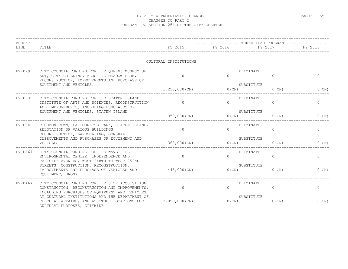| <b>BUDGET</b><br>LINE | TITLE                                                                                                                                                                             | FY 2015               | FY 2016 FY 2017 | $\ldots \ldots \ldots \ldots \ldots \ldots$ . THREE YEAR PROGRAM<br><u> - - - - - - - - - - - - - - -</u> | FY 2018      |
|-----------------------|-----------------------------------------------------------------------------------------------------------------------------------------------------------------------------------|-----------------------|-----------------|-----------------------------------------------------------------------------------------------------------|--------------|
|                       |                                                                                                                                                                                   | CULTURAL INSTITUTIONS |                 |                                                                                                           |              |
|                       | PV-D291 CITY COUNCIL FUNDING FOR THE QUEENS MUSEUM OF<br>ART, CITY BUILDING, FLUSHING MEADOW PARK,<br>RECONSTRUCTION, IMPROVEMENTS AND PURCHASE OF                                | $\Omega$              | $\Omega$        | ELIMINATE<br>$\Omega$                                                                                     | $\Omega$     |
|                       | EQUIPMENT AND VEHICLES.                                                                                                                                                           | 1,250,000(CN)         |                 | SUBSTITUTE<br>0(CN)<br>$0$ (CN)                                                                           | 0(CN)        |
| $PV-D302$             | CITY COUNCIL FUNDING FOR THE STATEN ISLAND<br>INSTITUTE OF ARTS AND SCIENCES, RECONSTRUCTION<br>AND IMPROVEMENTS, INCLUDING PURCHASES OF<br>EQUIPMENT AND VEHICLES, STATEN ISLAND | $\sim$ 0              | $\Omega$        | ELIMINATE<br>$\Omega$                                                                                     | $\circ$      |
|                       |                                                                                                                                                                                   | 350,000(CN)           | $0$ (CN)        | SUBSTITUTE<br>$0$ (CN)                                                                                    | $0$ (CN)     |
| PV-D341               | RICHMONDTOWN, LA TOURETTE PARK, STATEN ISLAND,<br>RELOCATION OF VARIOUS BUILDINGS,<br>RECONSTRUCTION, LANDSCAPING, GENERAL                                                        | $\Omega$              | $\Omega$        | ELIMINATE<br>$\circ$                                                                                      | $\circ$      |
|                       | IMPROVEMENTS AND PURCHASES OF EQUIPMENT AND<br>VEHICLES                                                                                                                           | 360,000(CN)           | 0(CN)           | SUBSTITUTE<br>$0$ (CN)                                                                                    | $0$ (CN)     |
| $PV-D464$             | CITY COUNCIL FUNDING FOR THE WAVE HILL<br>ENVIRONMENTAL CENTER, INDEPENDENCE AND<br>PALISADE AVENUES, WEST 248TH TO WEST 252ND                                                    | $\Omega$              | $\bigcap$       | ELIMINATE<br>$\Omega$                                                                                     | $\Omega$     |
|                       | STREETS, CONSTRUCTION, RECONSTRUCTION,<br>IMPROVEMENTS AND PURCHASE OF VEHICLES AND<br>EQUIPMENT, BRONX                                                                           | 445,000(CN)           | 0(CN)           | SUBSTITUTE<br>$0$ (CN)                                                                                    | 0(CN)        |
| PV-D467               | CITY COUNCIL FUNDING FOR THE SITE ACQUISITION,<br>CONSTRUCTION, RECONSTRUCTION AND IMPROVEMENTS,<br>INCLUDING PURCHASES OF EQUIPMENT AND VEHICLES,                                | $\overline{0}$        | $\Omega$        | ELIMINATE<br>$\Omega$                                                                                     | $\mathbf{0}$ |
|                       | AT CULTURAL INSTITUTIONS AND THE DEPARTMENT OF<br>CULTURAL AFFAIRS, AND AT OTHER LOCATIONS FOR 2,050,000 (CN)<br>CULTURAL PURPOSES, CITYWIDE                                      |                       | O(CN)           | SUBSTITUTE<br>$0$ (CN)                                                                                    | $0$ (CN)     |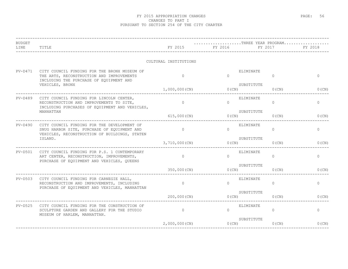| <b>BUDGET</b><br>LINE | TITLE                                                                                                                                       | FY 2015               | THREE YEAR PROGRAM<br>FY 2016 | FY 2017                     | FY 2018      |
|-----------------------|---------------------------------------------------------------------------------------------------------------------------------------------|-----------------------|-------------------------------|-----------------------------|--------------|
|                       |                                                                                                                                             | CULTURAL INSTITUTIONS |                               |                             |              |
| $PV-D471$             | CITY COUNCIL FUNDING FOR THE BRONX MUSEUM OF<br>THE ARTS, RECONSTRUCTION AND IMPROVEMENTS<br>INCLUDING THE PURCHASE OF EQUIPMENT AND        | $\Omega$              | $\Omega$                      | ELIMINATE<br>$\Omega$       | $\mathbf{0}$ |
|                       | VEHICLES, BRONX                                                                                                                             | 1,000,000(CN)         | $0$ (CN)                      | SUBSTITUTE<br>$0$ (CN)      | 0(CN)        |
| $PV-D489$             | CITY COUNCIL FUNDING FOR LINCOLN CENTER,<br>RECONSTRUCTION AND IMPROVEMENTS TO SITE,<br>INCLUDING PURCHASES OF EQUIPMENT AND VEHICLES,      | $\Omega$              | $\cap$                        | ELIMINATE<br>$\Omega$       | $\Omega$     |
|                       | MANHATTAN                                                                                                                                   | 615,000 (CN)          | O(CN)                         | SUBSTITUTE<br>$0$ (CN)      | 0(CN)        |
| $PV-D490$             | CITY COUNCIL FUNDING FOR THE DEVELOPMENT OF<br>SNUG HARBOR SITE, PURCHASE OF EQUIPMENT AND<br>VEHICLES, RECONSTRUCTION OF BUILDINGS, STATEN | $\overline{0}$        | $\Omega$                      | ELIMINATE<br>$\circ$        | $\circ$      |
|                       | ISLAND.                                                                                                                                     | 3,710,000 (CN)        | O(CN)                         | SUBSTITUTE<br>$0$ (CN)      | 0(CN)        |
| PV-D501               | CITY COUNCIL FUNDING FOR P.S. 1 CONTEMPORARY<br>ART CENTER, RECONSTRUCTION, IMPROVEMENTS,<br>PURCHASE OF EQUIPMENT AND VEHICLES, QUEENS     | $\circ$               | $\Omega$                      | ELIMINATE<br>$\Omega$       | $\mathbf{0}$ |
|                       |                                                                                                                                             | 350,000 (CN)          | $0$ (CN)                      | SUBSTITUTE<br>$0$ (CN)      | 0(CN)        |
| PV-D503               | CITY COUNCIL FUNDING FOR CARNEGIE HALL,<br>RECONSTRUCTION AND IMPROVEMENTS, INCLUDING<br>PURCHASE OF EQUIPMENT AND VEHICLES, MANHATTAN      | $\circ$               | $\Omega$                      | ELIMINATE<br>$\overline{0}$ | $\circ$      |
|                       |                                                                                                                                             | 200,000(CN)           | O(CN)                         | SUBSTITUTE<br>$0$ (CN)      | $0$ (CN)     |
| $PV-D525$             | CITY COUNCIL FUNDING FOR THE CONSTRUCTION OF<br>SCULPTURE GARDEN AND GALLERY FOR THE STUDIO<br>MUSEUM OF HARLEM, MANHATTAN.                 | $\overline{0}$        | $\cap$                        | ELIMINATE<br>$\Omega$       | 0            |
|                       |                                                                                                                                             | $2,000,000$ (CN)      | 0(CN)                         | SUBSTITUTE<br>$0$ (CN)      | 0(CN)        |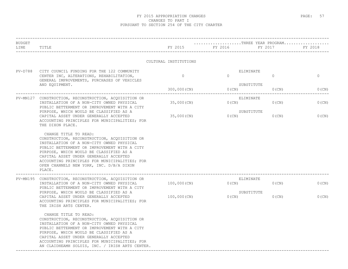| BUDGET<br>LINE | TITLE                                                                                                                                                                                                                                                                                                                                                          | FY 2015               | THREE YEAR PROGRAM<br>FY 2016<br>_____________________________________ | FY 2017                | FY 2018  |
|----------------|----------------------------------------------------------------------------------------------------------------------------------------------------------------------------------------------------------------------------------------------------------------------------------------------------------------------------------------------------------------|-----------------------|------------------------------------------------------------------------|------------------------|----------|
|                |                                                                                                                                                                                                                                                                                                                                                                | CULTURAL INSTITUTIONS |                                                                        |                        |          |
| $PV-D788$      | CITY COUNCIL FUNDING FOR THE 122 COMMUNITY<br>CENTER INC, ALTERATIONS, REHABILITATION,<br>GENERAL IMPROVEMENTS, PURCHASES OF VEHICLES                                                                                                                                                                                                                          | $\Omega$              | ELIMINATE<br>$\cap$                                                    | $\Omega$               | $\circ$  |
|                | AND EQUIPMENT.                                                                                                                                                                                                                                                                                                                                                 | 300,000 (CN)          | $0$ (CN)                                                               | SUBSTITUTE<br>$0$ (CN) | $0$ (CN) |
|                | PV-MN127 CONSTRUCTION, RECONSTRUCTION, ACQUISITION OR<br>INSTALLATION OF A NON-CITY OWNED PHYSICAL<br>PUBLIC BETTERMENT OR IMPROVEMENT WITH A CITY                                                                                                                                                                                                             | 35,000 (CN)           | $0$ (CN)                                                               | ELIMINATE<br>$0$ (CN)  | $0$ (CN) |
|                | PURPOSE, WHICH WOULD BE CLASSIFIED AS A<br>CAPITAL ASSET UNDER GENERALLY ACCEPTED<br>ACCOUNTING PRINCIPLES FOR MUNICIPALITIES; FOR<br>THE DIXON PLACE.                                                                                                                                                                                                         | 35,000 (CN)           | $0$ (CN)                                                               | SUBSTITUTE<br>$0$ (CN) | $0$ (CN) |
|                | CHANGE TITLE TO READ:<br>CONSTRUCTION, RECONSTRUCTION, ACQUISITION OR<br>INSTALLATION OF A NON-CITY OWNED PHYSICAL<br>PUBLIC BETTERMENT OR IMPROVEMENT WITH A CITY<br>PURPOSE, WHICH WOULD BE CLASSIFIED AS A<br>CAPITAL ASSET UNDER GENERALLY ACCEPTED<br>ACCOUNTING PRINCIPLES FOR MUNICIPALITIES; FOR<br>OPEN CHANNELS NEW YORK, INC. D/B/A DIXON<br>PLACE. |                       |                                                                        |                        |          |
| PV-MN195       | CONSTRUCTION, RECONSTRUCTION, ACQUISITION OR<br>INSTALLATION OF A NON-CITY OWNED PHYSICAL<br>PUBLIC BETTERMENT OR IMPROVEMENT WITH A CITY                                                                                                                                                                                                                      | 100,000(CN)           | $0$ (CN)                                                               | ELIMINATE<br>$0$ (CN)  | $0$ (CN) |
|                | PURPOSE, WHICH WOULD BE CLASSIFIED AS A<br>CAPITAL ASSET UNDER GENERALLY ACCEPTED<br>ACCOUNTING PRINCIPLES FOR MUNICIPALITIES; FOR<br>THE IRISH ARTS CENTER.                                                                                                                                                                                                   | 100,000(CN)           | $0$ (CN)                                                               | SUBSTITUTE<br>$0$ (CN) | 0(CN)    |
|                | CHANGE TITLE TO READ:<br>CONSTRUCTION, RECONSTRUCTION, ACQUISITION OR<br>INSTALLATION OF A NON-CITY OWNED PHYSICAL<br>PUBLIC BETTERMENT OR IMPROVEMENT WITH A CITY<br>PURPOSE, WHICH WOULD BE CLASSIFIED AS A<br>CAPITAL ASSET UNDER GENERALLY ACCEPTED<br>ACCOUNTING PRINCIPLES FOR MUNICIPALITIES; FOR<br>AN CLAIDHEAMH SOLUIS, INC. / IRISH ARTS CENTER.    |                       |                                                                        |                        |          |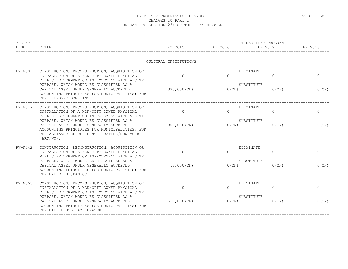| <b>BUDGET</b><br>LINE | TITLE                                                                                                                                                                                            | FY 2015               | THREE YEAR PROGRAM<br>FY 2016 | FY 2017  | FY 2018      |
|-----------------------|--------------------------------------------------------------------------------------------------------------------------------------------------------------------------------------------------|-----------------------|-------------------------------|----------|--------------|
|                       |                                                                                                                                                                                                  | CULTURAL INSTITUTIONS |                               |          |              |
| $PV-N001$             | CONSTRUCTION, RECONSTRUCTION, ACQUISITION OR<br>INSTALLATION OF A NON-CITY OWNED PHYSICAL<br>PUBLIC BETTERMENT OR IMPROVEMENT WITH A CITY                                                        | $\Omega$              | ELIMINATE<br>$\Omega$         | $\Omega$ | $\mathbf{0}$ |
|                       | PURPOSE, WHICH WOULD BE CLASSIFIED AS A<br>CAPITAL ASSET UNDER GENERALLY ACCEPTED<br>ACCOUNTING PRINCIPLES FOR MUNICIPALITIES; FOR<br>THE 3 LEGGED DOG, INC.                                     | 375,000 (CN)          | SUBSTITUTE<br>$0$ (CN)        | $0$ (CN) | $0$ (CN)     |
| $PV-N017$             | CONSTRUCTION, RECONSTRUCTION, ACQUISITION OR<br>INSTALLATION OF A NON-CITY OWNED PHYSICAL<br>PUBLIC BETTERMENT OR IMPROVEMENT WITH A CITY                                                        | $\Omega$              | ELIMINATE<br>$\Omega$         | $\Omega$ | $\circ$      |
|                       | PURPOSE, WHICH WOULD BE CLASSIFIED AS A<br>CAPITAL ASSET UNDER GENERALLY ACCEPTED<br>ACCOUNTING PRINCIPLES FOR MUNICIPALITIES; FOR<br>THE ALLIANCE OF RESIDENT THEATERS/NEW YORK<br>$(ART/NY)$ . | 300,000(CN)           | SUBSTITUTE<br>$0$ (CN)        | $0$ (CN) | $0$ (CN)     |
| $PV-N042$             | CONSTRUCTION, RECONSTRUCTION, ACQUISITION OR<br>INSTALLATION OF A NON-CITY OWNED PHYSICAL<br>PUBLIC BETTERMENT OR IMPROVEMENT WITH A CITY                                                        | $\overline{0}$        | ELIMINATE<br>$\Omega$         | $\circ$  | $\circ$      |
|                       | PURPOSE, WHICH WOULD BE CLASSIFIED AS A<br>CAPITAL ASSET UNDER GENERALLY ACCEPTED<br>ACCOUNTING PRINCIPLES FOR MUNICIPALITIES; FOR<br>THE BALLET HISPANICO.                                      | 68,000(CN)            | SUBSTITUTE<br>$0$ (CN)        | $0$ (CN) | 0(CN)        |
| $PV-N053$             | CONSTRUCTION, RECONSTRUCTION, ACQUISITION OR<br>INSTALLATION OF A NON-CITY OWNED PHYSICAL<br>PUBLIC BETTERMENT OR IMPROVEMENT WITH A CITY                                                        | $\Omega$              | ELIMINATE<br>$\Omega$         | $\Omega$ | $\circ$      |
|                       | PURPOSE, WHICH WOULD BE CLASSIFIED AS A<br>CAPITAL ASSET UNDER GENERALLY ACCEPTED<br>ACCOUNTING PRINCIPLES FOR MUNICIPALITIES; FOR<br>THE BILLIE HOLIDAY THEATER.                                | 550,000(CN)           | SUBSTITUTE<br>0(CN)           | $0$ (CN) | $0$ (CN)     |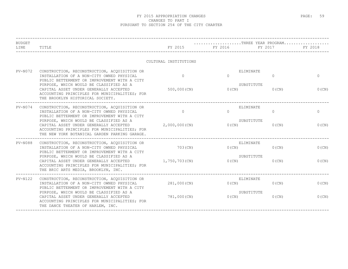| <b>BUDGET</b><br>LINE | TITLE                                                                                                                                                                               | FY 2015               | $\ldots \ldots \ldots \ldots \ldots \ldots \ldots$ . THREE YEAR PROGRAM<br>FY 2016 | FY 2017  | FY 2018      |
|-----------------------|-------------------------------------------------------------------------------------------------------------------------------------------------------------------------------------|-----------------------|------------------------------------------------------------------------------------|----------|--------------|
|                       |                                                                                                                                                                                     | CULTURAL INSTITUTIONS |                                                                                    |          |              |
| $PV-N072$             | CONSTRUCTION, RECONSTRUCTION, ACQUISITION OR<br>INSTALLATION OF A NON-CITY OWNED PHYSICAL<br>PUBLIC BETTERMENT OR IMPROVEMENT WITH A CITY                                           | $\Omega$              | ELIMINATE<br>$\Omega$                                                              | 0        | $\mathbf{0}$ |
|                       | PURPOSE, WHICH WOULD BE CLASSIFIED AS A<br>CAPITAL ASSET UNDER GENERALLY ACCEPTED<br>ACCOUNTING PRINCIPLES FOR MUNICIPALITIES; FOR<br>THE BROOKLYN HISTORICAL SOCIETY.              | $500,000$ (CN)        | SUBSTITUTE<br>$0$ (CN)                                                             | $0$ (CN) | 0(CN)        |
| $PV-N074$             | CONSTRUCTION, RECONSTRUCTION, ACQUISITION OR<br>INSTALLATION OF A NON-CITY OWNED PHYSICAL<br>PUBLIC BETTERMENT OR IMPROVEMENT WITH A CITY                                           | $\Omega$              | ELIMINATE<br>$\cap$                                                                | $\circ$  | $\circ$      |
|                       | PURPOSE, WHICH WOULD BE CLASSIFIED AS A<br>CAPITAL ASSET UNDER GENERALLY ACCEPTED<br>ACCOUNTING PRINCIPLES FOR MUNICIPALITIES; FOR<br>THE NEW YORK BOTANICAL GARDEN PARKING GARAGE. | $2,000,000$ (CN)      | SUBSTITUTE<br>$0$ (CN)                                                             | $0$ (CN) | $0$ (CN)     |
| $PV-N088$             | CONSTRUCTION, RECONSTRUCTION, ACQUISITION OR<br>INSTALLATION OF A NON-CITY OWNED PHYSICAL<br>PUBLIC BETTERMENT OR IMPROVEMENT WITH A CITY                                           | 703 (CN)              | ELIMINATE<br>$0$ (CN)                                                              | $0$ (CN) | $0$ (CN)     |
|                       | PURPOSE, WHICH WOULD BE CLASSIFIED AS A<br>CAPITAL ASSET UNDER GENERALLY ACCEPTED<br>ACCOUNTING PRINCIPLES FOR MUNICIPALITIES; FOR<br>THE BRIC ARTS MEDIA, BROOKLYN, INC.           | 1,750,703(CN)         | SUBSTITUTE<br>$0$ (CN)                                                             | $0$ (CN) | $0$ (CN)     |
| $PV-N122$             | CONSTRUCTION, RECONSTRUCTION, ACQUISITION OR<br>INSTALLATION OF A NON-CITY OWNED PHYSICAL<br>PUBLIC BETTERMENT OR IMPROVEMENT WITH A CITY                                           | 281,000(CN)           | ELIMINATE<br>0(CN)                                                                 | $0$ (CN) | $0$ (CN)     |
|                       | PURPOSE, WHICH WOULD BE CLASSIFIED AS A<br>CAPITAL ASSET UNDER GENERALLY ACCEPTED<br>ACCOUNTING PRINCIPLES FOR MUNICIPALITIES; FOR<br>THE DANCE THEATER OF HARLEM, INC.             | 781,000(CN)           | SUBSTITUTE<br>$0$ (CN)                                                             | $0$ (CN) | $0$ (CN)     |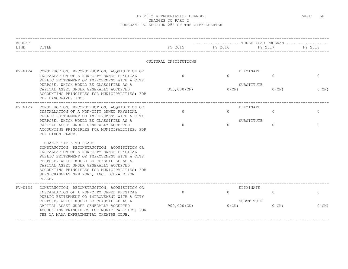| <b>BUDGET</b><br>LINE | TITLE                                                                                                                                                                                                                                                                                                                                                          | FY 2015                  | $\ldots \ldots \ldots \ldots \ldots \ldots \ldots$ . THREE YEAR PROGRAM<br>FY 2016 | FY 2017              | FY 2018                  |
|-----------------------|----------------------------------------------------------------------------------------------------------------------------------------------------------------------------------------------------------------------------------------------------------------------------------------------------------------------------------------------------------------|--------------------------|------------------------------------------------------------------------------------|----------------------|--------------------------|
|                       |                                                                                                                                                                                                                                                                                                                                                                | CULTURAL INSTITUTIONS    |                                                                                    |                      |                          |
| $PV-N124$             | CONSTRUCTION, RECONSTRUCTION, ACQUISITION OR<br>INSTALLATION OF A NON-CITY OWNED PHYSICAL<br>PUBLIC BETTERMENT OR IMPROVEMENT WITH A CITY<br>PURPOSE, WHICH WOULD BE CLASSIFIED AS A<br>CAPITAL ASSET UNDER GENERALLY ACCEPTED                                                                                                                                 | $\Omega$<br>350,000 (CN) | ELIMINATE<br>$\bigcap$<br>SUBSTITUTE<br>$0$ (CN)                                   | $\Omega$<br>$0$ (CN) | $\mathbf{0}$<br>$0$ (CN) |
|                       | ACCOUNTING PRINCIPLES FOR MUNICIPALITIES; FOR<br>THE DANCEWAVE, INC.                                                                                                                                                                                                                                                                                           |                          |                                                                                    |                      |                          |
| PV-N127               | CONSTRUCTION, RECONSTRUCTION, ACQUISITION OR<br>INSTALLATION OF A NON-CITY OWNED PHYSICAL<br>PUBLIC BETTERMENT OR IMPROVEMENT WITH A CITY                                                                                                                                                                                                                      | $\circ$                  | ELIMINATE<br>$\Omega$                                                              | 0                    | $\mathbf{0}$             |
|                       | PURPOSE, WHICH WOULD BE CLASSIFIED AS A<br>CAPITAL ASSET UNDER GENERALLY ACCEPTED<br>ACCOUNTING PRINCIPLES FOR MUNICIPALITIES; FOR<br>THE DIXON PLACE.                                                                                                                                                                                                         | $\Omega$                 | SUBSTITUTE<br>$\Omega$                                                             | $\mathbf{0}$         | $\mathbf{0}$             |
|                       | CHANGE TITLE TO READ:<br>CONSTRUCTION, RECONSTRUCTION, ACQUISITION OR<br>INSTALLATION OF A NON-CITY OWNED PHYSICAL<br>PUBLIC BETTERMENT OR IMPROVEMENT WITH A CITY<br>PURPOSE, WHICH WOULD BE CLASSIFIED AS A<br>CAPITAL ASSET UNDER GENERALLY ACCEPTED<br>ACCOUNTING PRINCIPLES FOR MUNICIPALITIES; FOR<br>OPEN CHANNELS NEW YORK, INC. D/B/A DIXON<br>PLACE. |                          |                                                                                    |                      |                          |
| $PV-N134$             | CONSTRUCTION, RECONSTRUCTION, ACQUISITION OR<br>INSTALLATION OF A NON-CITY OWNED PHYSICAL<br>PUBLIC BETTERMENT OR IMPROVEMENT WITH A CITY                                                                                                                                                                                                                      | $\Omega$                 | ELIMINATE<br>$\Omega$                                                              | $\Omega$             | $\circ$                  |
|                       | PURPOSE, WHICH WOULD BE CLASSIFIED AS A<br>CAPITAL ASSET UNDER GENERALLY ACCEPTED<br>ACCOUNTING PRINCIPLES FOR MUNICIPALITIES; FOR<br>THE LA MAMA EXPERIMENTAL THEATRE CLUB.                                                                                                                                                                                   | 900,000(CN)              | SUBSTITUTE<br>0(CN)                                                                | $0$ (CN)             | 0(CN)                    |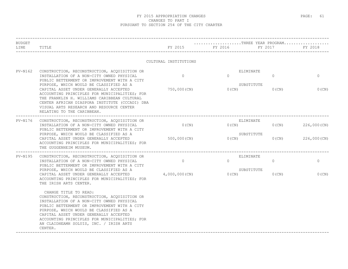| BUDGET         |                                                                                                                                                                                                                                                                                                                                                                |                       | THREE YEAR PROGRAM  |          |              |
|----------------|----------------------------------------------------------------------------------------------------------------------------------------------------------------------------------------------------------------------------------------------------------------------------------------------------------------------------------------------------------------|-----------------------|---------------------|----------|--------------|
| LINE           | TITLE                                                                                                                                                                                                                                                                                                                                                          | FY 2015               | FY 2016             | FY 2017  | FY 2018      |
|                |                                                                                                                                                                                                                                                                                                                                                                | CULTURAL INSTITUTIONS |                     |          |              |
| $PV-N162$      | CONSTRUCTION, RECONSTRUCTION, ACQUISITION OR                                                                                                                                                                                                                                                                                                                   |                       | ELIMINATE           |          |              |
|                | INSTALLATION OF A NON-CITY OWNED PHYSICAL<br>PUBLIC BETTERMENT OR IMPROVEMENT WITH A CITY                                                                                                                                                                                                                                                                      | $\circ$               | $\Omega$            | $\Omega$ | $\mathbf{0}$ |
|                | PURPOSE, WHICH WOULD BE CLASSIFIED AS A<br>CAPITAL ASSET UNDER GENERALLY ACCEPTED<br>ACCOUNTING PRINCIPLES FOR MUNICIPALITIES; FOR<br>THE FRANKLIN H. WILLIAMS CARIBBEAN CULTURAL<br>CENTER AFRICAN DIASPORA INSTITUTE (CCCADI) DBA<br>VISUAL ARTS RESEARCH AND RESOURCE CENTER<br>RELATING TO THE CARIBBEAN.                                                  | 750,000 (CN)          | SUBSTITUTE<br>0(CN) | $0$ (CN) | $0$ (CN)     |
| $PV-N176$      | CONSTRUCTION, RECONSTRUCTION, ACQUISITION OR<br>INSTALLATION OF A NON-CITY OWNED PHYSICAL<br>PUBLIC BETTERMENT OR IMPROVEMENT WITH A CITY<br>PURPOSE, WHICH WOULD BE CLASSIFIED AS A<br>CAPITAL ASSET UNDER GENERALLY ACCEPTED<br>ACCOUNTING PRINCIPLES FOR MUNICIPALITIES; FOR<br>THE GUGGENHEIM MUSEUM.                                                      | $0$ (CN)              | ELIMINATE<br>0(CN)  | $0$ (CN) | 226,000 (CN) |
|                |                                                                                                                                                                                                                                                                                                                                                                |                       | SUBSTITUTE          |          |              |
|                |                                                                                                                                                                                                                                                                                                                                                                | 500,000(CN)           | $0$ (CN)            | 0(CN)    | 226,000(CN)  |
| <b>PV-N195</b> | CONSTRUCTION, RECONSTRUCTION, ACQUISITION OR<br>INSTALLATION OF A NON-CITY OWNED PHYSICAL                                                                                                                                                                                                                                                                      | $\circ$               | ELIMINATE<br>$\cap$ | $\circ$  | $\mathbf 0$  |
|                | PUBLIC BETTERMENT OR IMPROVEMENT WITH A CITY                                                                                                                                                                                                                                                                                                                   |                       |                     |          |              |
|                | PURPOSE, WHICH WOULD BE CLASSIFIED AS A<br>CAPITAL ASSET UNDER GENERALLY ACCEPTED 4,000,000 (CN)<br>ACCOUNTING PRINCIPLES FOR MUNICIPALITIES; FOR<br>THE IRISH ARTS CENTER.                                                                                                                                                                                    |                       | SUBSTITUTE<br>O(CN) | $0$ (CN) | $0$ (CN)     |
|                | CHANGE TITLE TO READ:<br>CONSTRUCTION, RECONSTRUCTION, ACQUISITION OR<br>INSTALLATION OF A NON-CITY OWNED PHYSICAL<br>PUBLIC BETTERMENT OR IMPROVEMENT WITH A CITY<br>PURPOSE, WHICH WOULD BE CLASSIFIED AS A<br>CAPITAL ASSET UNDER GENERALLY ACCEPTED<br>ACCOUNTING PRINCIPLES FOR MUNICIPALITIES; FOR<br>AN CLAIDHEAMH SOLUIS, INC. / IRISH ARTS<br>CENTER. |                       |                     |          |              |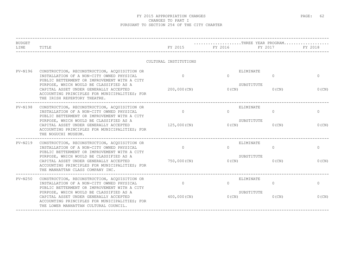| BUDGET         |                                                                                                                                                                                                                                                                                                                          |                            | THREE YEAR PROGRAM                              |                      |                          |
|----------------|--------------------------------------------------------------------------------------------------------------------------------------------------------------------------------------------------------------------------------------------------------------------------------------------------------------------------|----------------------------|-------------------------------------------------|----------------------|--------------------------|
| LINE           | TITLE                                                                                                                                                                                                                                                                                                                    | FY 2015                    | FY 2016                                         | FY 2017              | FY 2018                  |
|                |                                                                                                                                                                                                                                                                                                                          | CULTURAL INSTITUTIONS      |                                                 |                      |                          |
| <b>PV-N196</b> | CONSTRUCTION, RECONSTRUCTION, ACQUISITION OR<br>INSTALLATION OF A NON-CITY OWNED PHYSICAL<br>PUBLIC BETTERMENT OR IMPROVEMENT WITH A CITY<br>PURPOSE, WHICH WOULD BE CLASSIFIED AS A<br>CAPITAL ASSET UNDER GENERALLY ACCEPTED<br>ACCOUNTING PRINCIPLES FOR MUNICIPALITIES; FOR<br>THE IRISH REPERTORY THEATRE.          | $\Omega$<br>$200,000$ (CN) | ELIMINATE<br>$\Omega$<br>SUBSTITUTE<br>$0$ (CN) | $\Omega$<br>$0$ (CN) | $\Omega$<br>0(CN)        |
| PV-N198        | CONSTRUCTION, RECONSTRUCTION, ACOUISITION OR<br>INSTALLATION OF A NON-CITY OWNED PHYSICAL<br>PUBLIC BETTERMENT OR IMPROVEMENT WITH A CITY<br>PURPOSE, WHICH WOULD BE CLASSIFIED AS A<br>CAPITAL ASSET UNDER GENERALLY ACCEPTED<br>ACCOUNTING PRINCIPLES FOR MUNICIPALITIES; FOR<br>THE NOGUCHI MUSEUM.                   | $\Omega$<br>125,000(CN)    | ELIMINATE<br>$\Omega$<br>SUBSTITUTE<br>$0$ (CN) | $\circ$<br>$0$ (CN)  | $\mathbf{0}$<br>$0$ (CN) |
| $PV-N219$      | CONSTRUCTION, RECONSTRUCTION, ACQUISITION OR<br>INSTALLATION OF A NON-CITY OWNED PHYSICAL<br>PUBLIC BETTERMENT OR IMPROVEMENT WITH A CITY<br>PURPOSE, WHICH WOULD BE CLASSIFIED AS A<br>CAPITAL ASSET UNDER GENERALLY ACCEPTED<br>ACCOUNTING PRINCIPLES FOR MUNICIPALITIES; FOR<br>THE MANHATTAN CLASS COMPANY INC.      | $\Omega$<br>750,000 (CN)   | ELIMINATE<br>$\Omega$<br>SUBSTITUTE<br>$0$ (CN) | $\Omega$<br>$0$ (CN) | $\Omega$<br>$0$ (CN)     |
| $PV-N250$      | CONSTRUCTION, RECONSTRUCTION, ACQUISITION OR<br>INSTALLATION OF A NON-CITY OWNED PHYSICAL<br>PUBLIC BETTERMENT OR IMPROVEMENT WITH A CITY<br>PURPOSE, WHICH WOULD BE CLASSIFIED AS A<br>CAPITAL ASSET UNDER GENERALLY ACCEPTED<br>ACCOUNTING PRINCIPLES FOR MUNICIPALITIES; FOR<br>THE LOWER MANHATTAN CULTURAL COUNCIL. | $\circ$<br>$400,000$ (CN)  | ELIMINATE<br>$\Omega$<br>SUBSTITUTE<br>0(CN)    | $\Omega$<br>$0$ (CN) | $\mathbf{0}$<br>$0$ (CN) |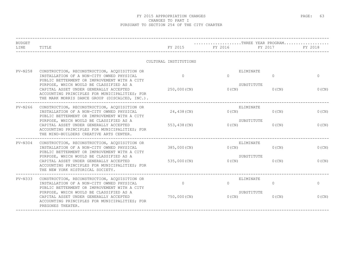| <b>BUDGET</b> |                                                                                                                                                                                      |                       | $\ldots \ldots \ldots \ldots \ldots \ldots \ldots$ . THREE YEAR PROGRAM |                        |              |
|---------------|--------------------------------------------------------------------------------------------------------------------------------------------------------------------------------------|-----------------------|-------------------------------------------------------------------------|------------------------|--------------|
| LINE          | TITLE                                                                                                                                                                                | FY 2015               | FY 2016                                                                 | FY 2017                | FY 2018      |
|               |                                                                                                                                                                                      | CULTURAL INSTITUTIONS |                                                                         |                        |              |
| $PV-N258$     | CONSTRUCTION, RECONSTRUCTION, ACQUISITION OR<br>INSTALLATION OF A NON-CITY OWNED PHYSICAL<br>PUBLIC BETTERMENT OR IMPROVEMENT WITH A CITY                                            | $\Omega$              | ELIMINATE<br>$\Omega$                                                   | $\mathbf{0}$           | $\mathbf{0}$ |
|               | PURPOSE, WHICH WOULD BE CLASSIFIED AS A<br>CAPITAL ASSET UNDER GENERALLY ACCEPTED<br>ACCOUNTING PRINCIPLES FOR MUNICIPALITIES; FOR<br>THE MARK MORRIS DANCE GROUP (DISCALCED, INC.). | 250,000 (CN)          | $0$ (CN)                                                                | SUBSTITUTE<br>$0$ (CN) | 0(CN)        |
| $PV-N266$     | -------------------------------<br>CONSTRUCTION, RECONSTRUCTION, ACQUISITION OR<br>INSTALLATION OF A NON-CITY OWNED PHYSICAL<br>PUBLIC BETTERMENT OR IMPROVEMENT WITH A CITY         | 24,438 (CN)           | ELIMINATE<br>$0$ (CN)                                                   | $0$ (CN)               | $0$ (CN)     |
|               | PURPOSE, WHICH WOULD BE CLASSIFIED AS A<br>CAPITAL ASSET UNDER GENERALLY ACCEPTED<br>ACCOUNTING PRINCIPLES FOR MUNICIPALITIES; FOR<br>THE MIND-BUILDERS CREATIVE ARTS CENTER.        | 553,438 (CN)          | SUBSTITUTE<br>$0$ (CN)                                                  | $0$ (CN)               | $0$ (CN)     |
| $PV-N304$     | CONSTRUCTION, RECONSTRUCTION, ACOUISITION OR<br>INSTALLATION OF A NON-CITY OWNED PHYSICAL<br>PUBLIC BETTERMENT OR IMPROVEMENT WITH A CITY                                            | 385,000 (CN)          | ELIMINATE<br>$0$ (CN)                                                   | $0$ (CN)               | $0$ (CN)     |
|               | PURPOSE, WHICH WOULD BE CLASSIFIED AS A<br>CAPITAL ASSET UNDER GENERALLY ACCEPTED<br>ACCOUNTING PRINCIPLES FOR MUNICIPALITIES; FOR<br>THE NEW YORK HISTORICAL SOCIETY.               | 535,000 (CN)          | $0$ (CN)                                                                | SUBSTITUTE<br>$0$ (CN) | $0$ (CN)     |
| $PV-N333$     | CONSTRUCTION, RECONSTRUCTION, ACQUISITION OR<br>INSTALLATION OF A NON-CITY OWNED PHYSICAL<br>PUBLIC BETTERMENT OR IMPROVEMENT WITH A CITY                                            | $\Omega$              | ELIMINATE<br>$\Omega$                                                   | $\Omega$               | $\mathbf{0}$ |
|               | PURPOSE, WHICH WOULD BE CLASSIFIED AS A<br>CAPITAL ASSET UNDER GENERALLY ACCEPTED<br>ACCOUNTING PRINCIPLES FOR MUNICIPALITIES; FOR<br>PREGONES THEATER.                              | 750,000 (CN)          | $0$ (CN)                                                                | SUBSTITUTE<br>$0$ (CN) | $0$ (CN)     |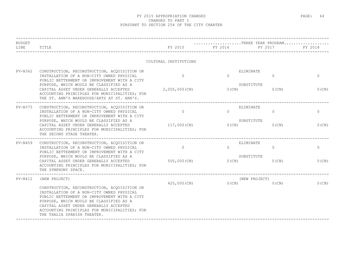| <b>BUDGET</b> |                                                                                                                                                                                                                                                                                                                |                       | THREE YEAR PROGRAM                  |                           |              |
|---------------|----------------------------------------------------------------------------------------------------------------------------------------------------------------------------------------------------------------------------------------------------------------------------------------------------------------|-----------------------|-------------------------------------|---------------------------|--------------|
| LINE          | TITLE                                                                                                                                                                                                                                                                                                          | FY 2015               | FY 2016                             | FY 2017                   | FY 2018      |
|               |                                                                                                                                                                                                                                                                                                                | CULTURAL INSTITUTIONS |                                     |                           |              |
| $PV-N362$     | CONSTRUCTION, RECONSTRUCTION, ACQUISITION OR<br>INSTALLATION OF A NON-CITY OWNED PHYSICAL<br>PUBLIC BETTERMENT OR IMPROVEMENT WITH A CITY<br>PURPOSE, WHICH WOULD BE CLASSIFIED AS A                                                                                                                           | $\Omega$              | ELIMINATE<br>$\Omega$<br>SUBSTITUTE | $\Omega$                  | $\mathbf{0}$ |
|               | CAPITAL ASSET UNDER GENERALLY ACCEPTED<br>ACCOUNTING PRINCIPLES FOR MUNICIPALITIES; FOR<br>THE ST. ANN'S WAREHOUSE/ARTS AT ST. ANN'S.                                                                                                                                                                          | 2,000,000(CN)         | $0$ (CN)                            | $0$ (CN)                  | 0(CN)        |
| PV-N375       | CONSTRUCTION, RECONSTRUCTION, ACQUISITION OR<br>INSTALLATION OF A NON-CITY OWNED PHYSICAL<br>PUBLIC BETTERMENT OR IMPROVEMENT WITH A CITY                                                                                                                                                                      | $\Omega$              | ELIMINATE<br>$\Omega$               | $\Omega$                  | $\circ$      |
|               | PURPOSE, WHICH WOULD BE CLASSIFIED AS A<br>CAPITAL ASSET UNDER GENERALLY ACCEPTED<br>ACCOUNTING PRINCIPLES FOR MUNICIPALITIES; FOR<br>THE SECOND STAGE THEATER.                                                                                                                                                | 117,000(CN)           | SUBSTITUTE<br>0(CN)                 | $0$ (CN)                  | 0(CN)        |
| $PV-N409$     | CONSTRUCTION, RECONSTRUCTION, ACQUISITION OR<br>INSTALLATION OF A NON-CITY OWNED PHYSICAL<br>PUBLIC BETTERMENT OR IMPROVEMENT WITH A CITY                                                                                                                                                                      | $\circ$               | ELIMINATE<br>$\Omega$               | $\circ$                   | $\circ$      |
|               | PURPOSE, WHICH WOULD BE CLASSIFIED AS A<br>CAPITAL ASSET UNDER GENERALLY ACCEPTED<br>ACCOUNTING PRINCIPLES FOR MUNICIPALITIES; FOR<br>THE SYMPHONY SPACE.                                                                                                                                                      | 500,000 (CN)          | SUBSTITUTE<br>0(CN)                 | $0$ (CN)                  | 0(CN)        |
| $PV-N412$     | (NEW PROJECT)                                                                                                                                                                                                                                                                                                  | $425,000$ (CN)        | $0$ (CN)                            | (NEW PROJECT)<br>$0$ (CN) | $0$ (CN)     |
|               | CONSTRUCTION, RECONSTRUCTION, ACQUISITION OR<br>INSTALLATION OF A NON-CITY OWNED PHYSICAL<br>PUBLIC BETTERMENT OR IMPROVEMENT WITH A CITY<br>PURPOSE, WHICH WOULD BE CLASSIFIED AS A<br>CAPITAL ASSET UNDER GENERALLY ACCEPTED<br>ACCOUNTING PRINCIPLES FOR MUNICIPALITIES; FOR<br>THE THALIA SPANISH THEATER. |                       |                                     |                           |              |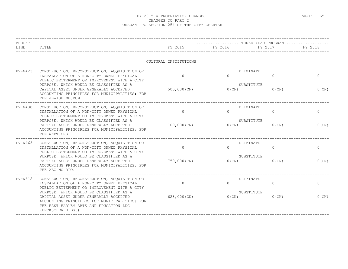| <b>BUDGET</b><br>LINE | TITLE                                                                                                                                                                                              | FY 2015               | $\ldots\ldots\ldots\ldots\ldots\ldots\ldots\text{THREE}$ YEAR PROGRAM $\ldots\ldots\ldots\ldots\ldots$<br>FY 2016 | FY 2017  | FY 2018  |
|-----------------------|----------------------------------------------------------------------------------------------------------------------------------------------------------------------------------------------------|-----------------------|-------------------------------------------------------------------------------------------------------------------|----------|----------|
|                       |                                                                                                                                                                                                    | CULTURAL INSTITUTIONS |                                                                                                                   |          |          |
| $PV-N423$             | CONSTRUCTION, RECONSTRUCTION, ACQUISITION OR<br>INSTALLATION OF A NON-CITY OWNED PHYSICAL<br>PUBLIC BETTERMENT OR IMPROVEMENT WITH A CITY                                                          | $\Omega$              | ELIMINATE<br>$\Omega$                                                                                             | $\Omega$ | $\Omega$ |
|                       | PURPOSE, WHICH WOULD BE CLASSIFIED AS A<br>CAPITAL ASSET UNDER GENERALLY ACCEPTED<br>ACCOUNTING PRINCIPLES FOR MUNICIPALITIES; FOR<br>THE JEWISH MUSEUM.                                           | $500,000$ (CN)        | SUBSTITUTE<br>$0$ (CN)                                                                                            | $0$ (CN) | 0(CN)    |
| $PV-N430$             | CONSTRUCTION, RECONSTRUCTION, ACQUISITION OR<br>INSTALLATION OF A NON-CITY OWNED PHYSICAL<br>PUBLIC BETTERMENT OR IMPROVEMENT WITH A CITY                                                          | $\Omega$              | ELIMINATE<br>$\bigcap$                                                                                            | $\Omega$ | $\Omega$ |
|                       | PURPOSE, WHICH WOULD BE CLASSIFIED AS A<br>CAPITAL ASSET UNDER GENERALLY ACCEPTED<br>ACCOUNTING PRINCIPLES FOR MUNICIPALITIES; FOR<br>THE WNET.ORG.                                                | 100,000 (CN)          | SUBSTITUTE<br>0(CN)                                                                                               | $0$ (CN) | $0$ (CN) |
| PV-N463               | CONSTRUCTION, RECONSTRUCTION, ACQUISITION OR<br>INSTALLATION OF A NON-CITY OWNED PHYSICAL<br>PUBLIC BETTERMENT OR IMPROVEMENT WITH A CITY                                                          | $\Omega$              | ELIMINATE<br>$\bigcap$                                                                                            | $\Omega$ | $\circ$  |
|                       | PURPOSE, WHICH WOULD BE CLASSIFIED AS A<br>CAPITAL ASSET UNDER GENERALLY ACCEPTED<br>ACCOUNTING PRINCIPLES FOR MUNICIPALITIES; FOR<br>THE ABC NO RIO.                                              | 750,000 (CN)          | SUBSTITUTE<br>$0$ (CN)                                                                                            | $0$ (CN) | 0(CN)    |
| $PV-N612$             | CONSTRUCTION, RECONSTRUCTION, ACQUISITION OR<br>INSTALLATION OF A NON-CITY OWNED PHYSICAL<br>PUBLIC BETTERMENT OR IMPROVEMENT WITH A CITY                                                          | $\Omega$              | ELIMINATE<br>$\Omega$                                                                                             | $\Omega$ | $\Omega$ |
|                       | PURPOSE, WHICH WOULD BE CLASSIFIED AS A<br>CAPITAL ASSET UNDER GENERALLY ACCEPTED<br>ACCOUNTING PRINCIPLES FOR MUNICIPALITIES; FOR<br>THE EAST HARLEM ARTS AND EDUCATION LDC<br>(HECKSCHER BLDG.). | 628,000 (CN)          | SUBSTITUTE<br>0(CN)                                                                                               | $0$ (CN) | $0$ (CN) |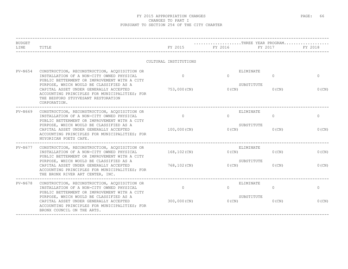| <b>BUDGET</b><br>LINE | TITLE                                                                                                                                                                                | FY 2015               | THREE YEAR PROGRAM<br>FY 2016       | FY 2017        | FY 2018      |
|-----------------------|--------------------------------------------------------------------------------------------------------------------------------------------------------------------------------------|-----------------------|-------------------------------------|----------------|--------------|
|                       |                                                                                                                                                                                      | CULTURAL INSTITUTIONS |                                     |                |              |
| $PV-N654$             | CONSTRUCTION, RECONSTRUCTION, ACQUISITION OR<br>INSTALLATION OF A NON-CITY OWNED PHYSICAL<br>PUBLIC BETTERMENT OR IMPROVEMENT WITH A CITY<br>PURPOSE, WHICH WOULD BE CLASSIFIED AS A | $\Omega$              | ELIMINATE<br>$\Omega$<br>SUBSTITUTE | $\Omega$       | $\mathbf{0}$ |
|                       | CAPITAL ASSET UNDER GENERALLY ACCEPTED<br>ACCOUNTING PRINCIPLES FOR MUNICIPALITIES; FOR<br>THE BEDFORD STUYVESANT RESTORATION<br>CORPORATION.                                        | 753,000 (CN)          | $0$ (CN)                            | 0(CN)          | $0$ (CN)     |
| $PV-N669$             | CONSTRUCTION, RECONSTRUCTION, ACQUISITION OR<br>INSTALLATION OF A NON-CITY OWNED PHYSICAL<br>PUBLIC BETTERMENT OR IMPROVEMENT WITH A CITY                                            | $\Omega$              | ELIMINATE<br>$\Omega$               | $\Omega$       | $\circ$      |
|                       | PURPOSE, WHICH WOULD BE CLASSIFIED AS A<br>CAPITAL ASSET UNDER GENERALLY ACCEPTED<br>ACCOUNTING PRINCIPLES FOR MUNICIPALITIES; FOR<br>NUYORICAN POETS CAFE.                          | 100,000(CN)           | SUBSTITUTE<br>0(CN)                 | $0$ (CN)       | 0(CN)        |
| PV-N677               | CONSTRUCTION, RECONSTRUCTION, ACQUISITION OR<br>INSTALLATION OF A NON-CITY OWNED PHYSICAL<br>PUBLIC BETTERMENT OR IMPROVEMENT WITH A CITY                                            | 168,102(CN)           | ELIMINATE<br>0(CN)                  | $0$ (CN)       | $0$ (CN)     |
|                       | PURPOSE, WHICH WOULD BE CLASSIFIED AS A<br>CAPITAL ASSET UNDER GENERALLY ACCEPTED<br>ACCOUNTING PRINCIPLES FOR MUNICIPALITIES; FOR<br>THE BRONX RIVER ART CENTER, INC.               | 768,102(CN)           | SUBSTITUTE<br>$0$ (CN)              | $0$ (CN)       | 0(CN)        |
| PV-N678               | CONSTRUCTION, RECONSTRUCTION, ACQUISITION OR<br>INSTALLATION OF A NON-CITY OWNED PHYSICAL<br>PUBLIC BETTERMENT OR IMPROVEMENT WITH A CITY                                            | $\circ$               | ELIMINATE<br>$\Omega$               | $\overline{0}$ | $\circ$      |
|                       | PURPOSE, WHICH WOULD BE CLASSIFIED AS A<br>CAPITAL ASSET UNDER GENERALLY ACCEPTED<br>ACCOUNTING PRINCIPLES FOR MUNICIPALITIES; FOR<br>BRONX COUNCIL ON THE ARTS.                     | 300,000 (CN)          | SUBSTITUTE<br>0(CN)                 | $0$ (CN)       | $0$ (CN)     |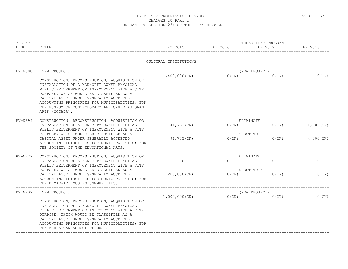| <b>BUDGET</b><br>LINE | TITLE                                                                                                                                                                                                                                                                                                                                             | FY 2015               | THREE YEAR PROGRAM<br>FY 2016 | FY 2017                   | FY 2018      |
|-----------------------|---------------------------------------------------------------------------------------------------------------------------------------------------------------------------------------------------------------------------------------------------------------------------------------------------------------------------------------------------|-----------------------|-------------------------------|---------------------------|--------------|
|                       |                                                                                                                                                                                                                                                                                                                                                   | CULTURAL INSTITUTIONS |                               |                           |              |
| <b>PV-N680</b>        | (NEW PROJECT)                                                                                                                                                                                                                                                                                                                                     |                       |                               | (NEW PROJECT)             |              |
|                       | CONSTRUCTION, RECONSTRUCTION, ACQUISITION OR<br>INSTALLATION OF A NON-CITY OWNED PHYSICAL<br>PUBLIC BETTERMENT OR IMPROVEMENT WITH A CITY<br>PURPOSE, WHICH WOULD BE CLASSIFIED AS A<br>CAPITAL ASSET UNDER GENERALLY ACCEPTED<br>ACCOUNTING PRINCIPLES FOR MUNICIPALITIES; FOR<br>THE MUSEUM OF CONTEMPORARY AFRICAN DIASPORAN<br>ARTS (MOCADA). | $1,400,000$ (CN)      | $0$ (CN)                      | $0$ (CN)                  | $0$ (CN)     |
| $PV-N694$             | CONSTRUCTION, RECONSTRUCTION, ACQUISITION OR<br>INSTALLATION OF A NON-CITY OWNED PHYSICAL<br>PUBLIC BETTERMENT OR IMPROVEMENT WITH A CITY                                                                                                                                                                                                         | 41,733(CN)            | $0$ (CN)                      | ELIMINATE<br>$0$ (CN)     | $4,000$ (CN) |
|                       | PURPOSE, WHICH WOULD BE CLASSIFIED AS A<br>CAPITAL ASSET UNDER GENERALLY ACCEPTED<br>ACCOUNTING PRINCIPLES FOR MUNICIPALITIES; FOR<br>THE SOCIETY OF THE EDUCATIONAL ARTS.                                                                                                                                                                        | 91,733(CN)            | $0$ (CN)                      | SUBSTITUTE<br>$0$ (CN)    | $4,000$ (CN) |
| PV-N729               | CONSTRUCTION, RECONSTRUCTION, ACQUISITION OR<br>INSTALLATION OF A NON-CITY OWNED PHYSICAL<br>PUBLIC BETTERMENT OR IMPROVEMENT WITH A CITY                                                                                                                                                                                                         | $\circ$               | $\Omega$                      | ELIMINATE<br>$\Omega$     | $\circ$      |
|                       | PURPOSE, WHICH WOULD BE CLASSIFIED AS A<br>CAPITAL ASSET UNDER GENERALLY ACCEPTED<br>ACCOUNTING PRINCIPLES FOR MUNICIPALITIES; FOR<br>THE BROADWAY HOUSING COMMUNITIES.                                                                                                                                                                           | 200,000 (CN)          | 0(CN)                         | SUBSTITUTE<br>$0$ (CN)    | 0(CN)        |
| PV-N737               | (NEW PROJECT)                                                                                                                                                                                                                                                                                                                                     | $1,000,000$ (CN)      | O(CN)                         | (NEW PROJECT)<br>$0$ (CN) | $0$ (CN)     |
|                       | CONSTRUCTION, RECONSTRUCTION, ACQUISITION OR<br>INSTALLATION OF A NON-CITY OWNED PHYSICAL<br>PUBLIC BETTERMENT OR IMPROVEMENT WITH A CITY<br>PURPOSE, WHICH WOULD BE CLASSIFIED AS A<br>CAPITAL ASSET UNDER GENERALLY ACCEPTED<br>ACCOUNTING PRINCIPLES FOR MUNICIPALITIES; FOR<br>THE MANHATTAN SCHOOL OF MUSIC.                                 |                       |                               |                           |              |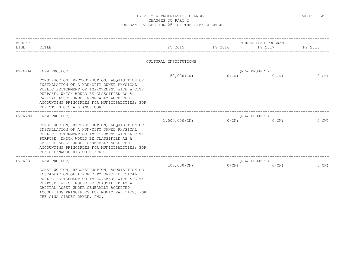| <b>BUDGET</b> |                                                                                                                                                                                                                                                                                                                 |                       | THREE YEAR PROGRAM |               |          |
|---------------|-----------------------------------------------------------------------------------------------------------------------------------------------------------------------------------------------------------------------------------------------------------------------------------------------------------------|-----------------------|--------------------|---------------|----------|
| LINE          | TITLE                                                                                                                                                                                                                                                                                                           | FY 2015               | FY 2016            | FY 2017       | FY 2018  |
|               |                                                                                                                                                                                                                                                                                                                 | CULTURAL INSTITUTIONS |                    |               |          |
| PV-N760       | (NEW PROJECT)                                                                                                                                                                                                                                                                                                   |                       |                    | (NEW PROJECT) |          |
|               | CONSTRUCTION, RECONSTRUCTION, ACQUISITION OR<br>INSTALLATION OF A NON-CITY OWNED PHYSICAL<br>PUBLIC BETTERMENT OR IMPROVEMENT WITH A CITY<br>PURPOSE, WHICH WOULD BE CLASSIFIED AS A<br>CAPITAL ASSET UNDER GENERALLY ACCEPTED<br>ACCOUNTING PRINCIPLES FOR MUNICIPALITIES; FOR<br>THE ST. NICKS ALLIANCE CORP. | $50,000$ (CN)         | $0$ (CN)           | $0$ (CN)      | $0$ (CN) |
| $PV-N784$     | (NEW PROJECT)                                                                                                                                                                                                                                                                                                   |                       |                    | (NEW PROJECT) |          |
|               | CONSTRUCTION, RECONSTRUCTION, ACQUISITION OR<br>INSTALLATION OF A NON-CITY OWNED PHYSICAL<br>PUBLIC BETTERMENT OR IMPROVEMENT WITH A CITY<br>PURPOSE, WHICH WOULD BE CLASSIFIED AS A<br>CAPITAL ASSET UNDER GENERALLY ACCEPTED<br>ACCOUNTING PRINCIPLES FOR MUNICIPALITIES; FOR<br>THE GREENWOOD HISTORIC FUND. | 1,000,000(CN)         | 0(CN)              | $0$ (CN)      | 0(CN)    |
| $PV-N831$     | (NEW PROJECT)                                                                                                                                                                                                                                                                                                   |                       |                    | (NEW PROJECT) |          |
|               | CONSTRUCTION, RECONSTRUCTION, ACQUISITION OR<br>INSTALLATION OF A NON-CITY OWNED PHYSICAL<br>PUBLIC BETTERMENT OR IMPROVEMENT WITH A CITY<br>PURPOSE, WHICH WOULD BE CLASSIFIED AS A<br>CAPITAL ASSET UNDER GENERALLY ACCEPTED<br>ACCOUNTING PRINCIPLES FOR MUNICIPALITIES; FOR<br>THE GINA GIBNEY DANCE, INC.  | $100,000$ (CN)        | $0$ (CN)           | $0$ (CN)      | $0$ (CN) |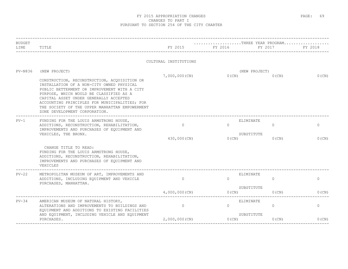| <b>BUDGET</b><br>LINE | TITLE                                                                                                                                                                                                                                                                                                                                                                               | FY 2015                  | THREE YEAR PROGRAM<br>FY 2016                   | FY 2017                   | FY 2018          |
|-----------------------|-------------------------------------------------------------------------------------------------------------------------------------------------------------------------------------------------------------------------------------------------------------------------------------------------------------------------------------------------------------------------------------|--------------------------|-------------------------------------------------|---------------------------|------------------|
|                       |                                                                                                                                                                                                                                                                                                                                                                                     | CULTURAL INSTITUTIONS    |                                                 |                           |                  |
| <b>PV-N836</b>        | (NEW PROJECT)<br>CONSTRUCTION, RECONSTRUCTION, ACQUISITION OR<br>INSTALLATION OF A NON-CITY OWNED PHYSICAL<br>PUBLIC BETTERMENT OR IMPROVEMENT WITH A CITY<br>PURPOSE, WHICH WOULD BE CLASSIFIED AS A<br>CAPITAL ASSET UNDER GENERALLY ACCEPTED<br>ACCOUNTING PRINCIPLES FOR MUNICIPALITIES; FOR<br>THE SOCIETY OF THE UPPER MANHATTAN EMPOWERMENT<br>ZONE DEVELOPMENT CORPORATION. | 7,000,000(CN)            | $0$ (CN)                                        | (NEW PROJECT)<br>$0$ (CN) | $0$ (CN)         |
| $PV-1$                | FUNDING FOR THE LOUIS ARMSTRONG HOUSE,<br>ADDITIONS, RECONSTRUCTION, REHABILITATION,<br>IMPROVEMENTS AND PURCHASES OF EQUIPMENT AND<br>VEHICLES, THE BRONX.                                                                                                                                                                                                                         | $\Omega$<br>430,000 (CN) | ELIMINATE<br>$\Omega$<br>SUBSTITUTE<br>$0$ (CN) | $\Omega$<br>$0$ (CN)      | $\circ$<br>0(CN) |
|                       | CHANGE TITLE TO READ:<br>FUNDING FOR THE LOUIS ARMSTRONG HOUSE,<br>ADDITIONS, RECONSTRUCTION, REHABILITATION,<br>IMPROVEMENTS AND PURCHASES OF EQUIPMENT AND<br>VEHICLES                                                                                                                                                                                                            |                          |                                                 |                           |                  |
| $PV-22$               | METROPOLITAN MUSEUM OF ART, IMPROVEMENTS AND<br>ADDITIONS, INCLUDING EQUIPMENT AND VEHICLE<br>PURCHASES, MANHATTAN.                                                                                                                                                                                                                                                                 | $\Omega$                 | ELIMINATE<br>$\Omega$                           | $\mathbf{0}$              | $\circ$          |
|                       |                                                                                                                                                                                                                                                                                                                                                                                     | $4,000,000$ (CN)         | SUBSTITUTE<br>$0$ (CN)                          | $0$ (CN)                  | 0(CN)            |
| $PV-34$               | AMERICAN MUSEUM OF NATURAL HISTORY,<br>ALTERATIONS AND IMPROVEMENTS TO BUILDINGS AND<br>EQUIPMENT AND ADDITIONS TO EXISTING FACILITIES                                                                                                                                                                                                                                              | $\Omega$                 | ELIMINATE<br>$\Omega$                           | $\Omega$                  | $\circ$          |
|                       | AND EQUIPMENT, INCLUDING VEHICLE AND EQUIPMENT<br>PURCHASES.                                                                                                                                                                                                                                                                                                                        | $2,000,000$ (CN)         | SUBSTITUTE<br>0(CN)                             | $0$ (CN)                  | $0$ (CN)         |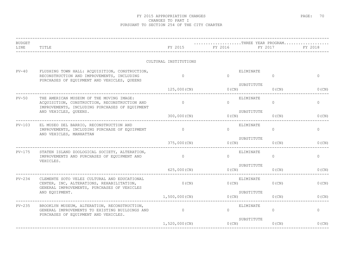| <b>BUDGET</b><br>LINE | TITLE                                                                                                                                       | FY 2015               | FY 2016   | THREE YEAR PROGRAM<br>FY 2017   | FY 2018        |
|-----------------------|---------------------------------------------------------------------------------------------------------------------------------------------|-----------------------|-----------|---------------------------------|----------------|
|                       |                                                                                                                                             | CULTURAL INSTITUTIONS |           |                                 |                |
| $PV-40$               | FLUSHING TOWN HALL: ACQUISITION, CONSTRUCTION,<br>RECONSTRUCTION AND IMPROVEMENTS, INCLUDING<br>PURCHASES OF EQUIPMENT AND VEHICLES, QUEENS | $\cap$                | $\bigcap$ | ELIMINATE<br>$\Omega$           | $\overline{0}$ |
|                       |                                                                                                                                             | 125,000 (CN)          | $0$ (CN)  | SUBSTITUTE<br>$0$ (CN)          | 0(CN)          |
| $PV-50$               | THE AMERICAN MUSEUM OF THE MOVING IMAGE:<br>ACQUISITION, CONSTRUCTION, RECONSTRUCTION AND<br>IMPROVEMENTS, INCLUDING PURCHASES OF EQUIPMENT | $\Omega$              | $\Omega$  | ELIMINATE<br>$\Omega$           | $\circ$        |
|                       | AND VEHICLES, QUEENS.<br>-------------------------                                                                                          | 300,000(CN)           |           | SUBSTITUTE<br>O(CN)<br>$0$ (CN) | $0$ (CN)       |
| PV-103                | EL MUSEO DEL BARRIO, RECONSTRUCTION AND<br>IMPROVEMENTS, INCLUDING PURCHASE OF EQUIPMENT<br>AND VEHICLES, MANHATTAN                         | $\sim$ 0              | $\Omega$  | ELIMINATE<br>$\circ$            | $\circ$        |
|                       |                                                                                                                                             | 375,000 (CN)          | $0$ (CN)  | SUBSTITUTE<br>$0$ (CN)          | $0$ (CN)       |
| PV-175                | STATEN ISLAND ZOOLOGICAL SOCIETY, ALTERATION,<br>IMPROVEMENTS AND PURCHASES OF EOUIPMENT AND<br>VEHICLES.                                   | $\Omega$              | $\Omega$  | ELIMINATE<br>$\Omega$           | $\circ$        |
|                       |                                                                                                                                             | 625,000(CN)           | $0$ (CN)  | SUBSTITUTE<br>$0$ (CN)          | $0$ (CN)       |
| $PV-234$              | CLEMENTE SOTO VELEZ CULTURAL AND EDUCATIONAL<br>CENTER, INC, ALTERATIONS, REHABILITATION,<br>GENERAL IMPROVEMENTS, PURCHASES OF VEHICLES    | $0$ (CN)              | 0(CN)     | ELIMINATE<br>$0$ (CN)           | $0$ (CN)       |
|                       | AND EQUIPMENT.                                                                                                                              | 1,500,000(CN)         | $0$ (CN)  | SUBSTITUTE<br>$0$ (CN)          | $0$ (CN)       |
| $PV-235$              | BROOKLYN MUSEUM, ALTERATION, RECONSTRUCTION,<br>GENERAL IMPROVEMENTS TO EXISTING BUILDINGS AND<br>PURCHASES OF EQUIPMENT AND VEHICLES.      | $\sim$ 0              | $\Omega$  | ELIMINATE<br>$\Omega$           | $\circ$        |
|                       |                                                                                                                                             | $1,520,000$ (CN)      | $0$ (CN)  | SUBSTITUTE<br>$0$ (CN)          | 0(CN)          |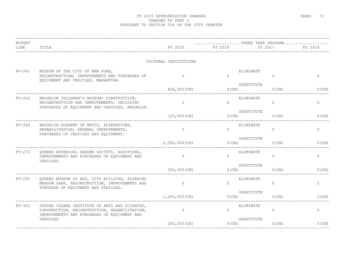| $\mathbf{0}$<br>0(CN) |
|-----------------------|
|                       |
|                       |
|                       |
| $\circ$               |
| $0$ (CN)              |
| $\circ$               |
| $0$ (CN)              |
| $\circ$               |
| $0$ (CN)              |
| $\circ$               |
| 0(CN)                 |
| 0                     |
| 0(CN)                 |
|                       |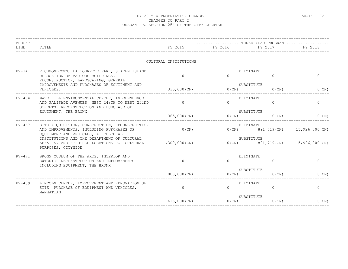| <b>BUDGET</b> |                                                                                                                                                                                                                                                        |                       | THREE YEAR PROGRAM     |                 |                                         |
|---------------|--------------------------------------------------------------------------------------------------------------------------------------------------------------------------------------------------------------------------------------------------------|-----------------------|------------------------|-----------------|-----------------------------------------|
| LINE          | TITLE                                                                                                                                                                                                                                                  |                       | FY 2015 FY 2016 F      | FY 2017         | <b>EY 2018</b>                          |
|               |                                                                                                                                                                                                                                                        | CULTURAL INSTITUTIONS |                        |                 |                                         |
| $PV-341$      | RICHMONDTOWN, LA TOURETTE PARK, STATEN ISLAND,<br>RELOCATION OF VARIOUS BUILDINGS,<br>RECONSTRUCTION, LANDSCAPING, GENERAL                                                                                                                             | $\cap$                | ELIMINATE<br>$\cap$    | $\Omega$        | $\Omega$                                |
|               | IMPROVEMENTS AND PURCHASES OF EOUIPMENT AND<br>VEHICLES.                                                                                                                                                                                               | 335,000 (CN)          | SUBSTITUTE<br>O(CN)    | 0(CN)           | 0(CN)                                   |
| $PV - 464$    | WAVE HILL ENVIRONMENTAL CENTER, INDEPENDENCE<br>AND PALISADE AVENUES, WEST 248TH TO WEST 252ND<br>STREETS, RECONSTRUCTION AND PURCHASE OF<br>EQUIPMENT, THE BRONX                                                                                      | $\Omega$              | ELIMINATE<br>$\Omega$  | $\Omega$        | $\circ$                                 |
|               |                                                                                                                                                                                                                                                        | 365,000(CN)           | SUBSTITUTE             | $0(CN)$ $0(CN)$ | $0$ (CN)                                |
| $PV-467$      | SITE ACQUISITION, CONSTRUCTION, RECONSTRUCTION<br>AND IMPROVEMENTS, INCLUDING PURCHASES OF<br>EQUIPMENT AND VEHICLES, AT CULTURAL<br>INSTITUTIONS AND THE DEPARTMENT OF CULTURAL<br>AFFAIRS, AND AT OTHER LOCATIONS FOR CULTURAL<br>PURPOSES, CITYWIDE | $0$ (CN)              | ELIMINATE<br>$0$ (CN)  |                 | 891,719(CN) 15,926,000(CN)              |
|               |                                                                                                                                                                                                                                                        | 1,300,000 (CN)        | SUBSTITUTE             |                 | $0(CN)$ 891, 719 (CN) 15, 926, 000 (CN) |
| PV-471        | BRONX MUSEUM OF THE ARTS, INTERIOR AND<br>EXTERIOR RECONSTRUCTION AND IMPROVEMENTS<br>INCLUDING EQUIPMENT, THE BRONX                                                                                                                                   | $\Omega$              | ELIMINATE<br>$\cap$    | $\Omega$        | $\mathbf 0$                             |
|               |                                                                                                                                                                                                                                                        | $1,000,000$ (CN)      | SUBSTITUTE<br>O(CN)    | $0$ (CN)        | 0(CN)                                   |
| PV-489        | LINCOLN CENTER, IMPROVEMENT AND RENOVATION OF<br>SITE, PURCHASE OF EQUIPMENT AND VEHICLES,<br>MANHATTAN.                                                                                                                                               | $\overline{0}$        | ELIMINATE<br>$\Omega$  | $\circ$         | $\circ$                                 |
|               |                                                                                                                                                                                                                                                        | 615,000(CN)           | SUBSTITUTE<br>$0$ (CN) | $0$ (CN)        | $0$ (CN)                                |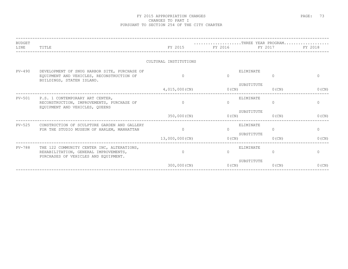| <b>BUDGET</b><br>LINE | TITLE                                                                                                                       |                       | THREE YEAR PROGRAM<br>FY 2015 FY 2016 FY 2017 |                                    | FY 2018      |
|-----------------------|-----------------------------------------------------------------------------------------------------------------------------|-----------------------|-----------------------------------------------|------------------------------------|--------------|
|                       |                                                                                                                             | CULTURAL INSTITUTIONS |                                               |                                    |              |
| PV-490                | DEVELOPMENT OF SNUG HARBOR SITE, PURCHASE OF<br>EQUIPMENT AND VEHICLES, RECONSTRUCTION OF<br>BUILDINGS, STATEN ISLAND.      | $\Omega$              | $\Omega$                                      | ELIMINATE<br>0                     | $\Omega$     |
|                       |                                                                                                                             | 4,015,000(CN)         | O(CN)                                         | SUBSTITUTE<br>$0$ (CN)             | $0$ (CN)     |
| PV-501                | P.S. 1 CONTEMPORARY ART CENTER,<br>RECONSTRUCTION, IMPROVEMENTS, PURCHASE OF<br>EQUIPMENT AND VEHICLES, QUEENS              | $\bigcap$             | $\Omega$                                      | ELIMINATE<br>$\Omega$              | $\circ$      |
|                       |                                                                                                                             | 350,000(CN)           | 0(CN)                                         | SUBSTITUTE<br>$0$ (CN)             | $0$ (CN)     |
| $PV-525$              | CONSTRUCTION OF SCULPTURE GARDEN AND GALLERY<br>FOR THE STUDIO MUSEUM OF HARLEM, MANHATTAN                                  | $\mathbf{0}$          | $\Omega$                                      | ELIMINATE<br>$\circ$<br>SUBSTITUTE | $\circ$      |
|                       |                                                                                                                             | 13,000,000(CN)        | 0(CN)                                         | $0$ (CN)                           | $0$ (CN)     |
| PV-788                | THE 122 COMMUNITY CENTER INC, ALTERATIONS,<br>REHABILITATION, GENERAL IMPROVEMENTS,<br>PURCHASES OF VEHICLES AND EQUIPMENT. | $\Omega$              | $\Omega$                                      | ELIMINATE<br>$\circ$               | $\mathbf{0}$ |
|                       |                                                                                                                             | 300,000(CN)           | $0$ (CN)                                      | SUBSTITUTE<br>$0$ (CN)             | $0$ (CN)     |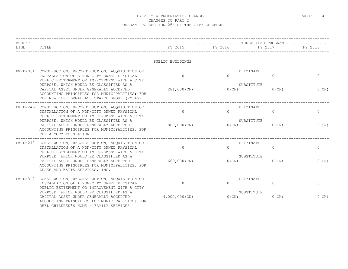| <b>BUDGET</b> |                                                                                                                                                                                    |                  | $\ldots \ldots \ldots \ldots \ldots \ldots \ldots$ . THREE YEAR PROGRAM |                             |              |
|---------------|------------------------------------------------------------------------------------------------------------------------------------------------------------------------------------|------------------|-------------------------------------------------------------------------|-----------------------------|--------------|
| LINE          | TITLE                                                                                                                                                                              | FY 2015          | FY 2016 FY 2016                                                         | FY 2017                     | FY 2018      |
|               |                                                                                                                                                                                    | PUBLIC BUILDINGS |                                                                         |                             |              |
|               | PW-DN061 CONSTRUCTION, RECONSTRUCTION, ACQUISITION OR<br>INSTALLATION OF A NON-CITY OWNED PHYSICAL<br>PUBLIC BETTERMENT OR IMPROVEMENT WITH A CITY                                 | $\Omega$         | $\Omega$                                                                | ELIMINATE<br>$\Omega$       | $\mathbf{0}$ |
|               | PURPOSE, WHICH WOULD BE CLASSIFIED AS A<br>CAPITAL ASSET UNDER GENERALLY ACCEPTED<br>ACCOUNTING PRINCIPLES FOR MUNICIPALITIES; FOR<br>THE NEW YORK LEGAL ASSISTANCE GROUP (NYLAG). | 281,000 (CN)     | $0$ (CN)                                                                | SUBSTITUTE<br>$0$ (CN)      | 0(CN)        |
|               | PW-DN246 CONSTRUCTION, RECONSTRUCTION, ACQUISITION OR<br>INSTALLATION OF A NON-CITY OWNED PHYSICAL<br>PUBLIC BETTERMENT OR IMPROVEMENT WITH A CITY                                 | $\Omega$         | $\Omega$                                                                | ELIMINATE<br>$\overline{0}$ | $\mathbf 0$  |
|               | PURPOSE, WHICH WOULD BE CLASSIFIED AS A<br>CAPITAL ASSET UNDER GENERALLY ACCEPTED<br>ACCOUNTING PRINCIPLES FOR MUNICIPALITIES; FOR<br>THE ARMORY FOUNDATION.                       | 800,000 (CN)     | $0$ (CN)                                                                | SUBSTITUTE<br>$0$ (CN)      | $0$ (CN)     |
| $PW-DN248$    | CONSTRUCTION, RECONSTRUCTION, ACOUISITION OR<br>INSTALLATION OF A NON-CITY OWNED PHYSICAL<br>PUBLIC BETTERMENT OR IMPROVEMENT WITH A CITY                                          | $\Omega$         | $\Omega$                                                                | ELIMINATE<br>$\Omega$       | $\mathbf{0}$ |
|               | PURPOSE, WHICH WOULD BE CLASSIFIED AS A<br>CAPITAL ASSET UNDER GENERALLY ACCEPTED<br>ACCOUNTING PRINCIPLES FOR MUNICIPALITIES; FOR<br>LEAKE AND WATTS SERVICES, INC.               | 669,000(CN)      | $0$ (CN)                                                                | SUBSTITUTE<br>$0$ (CN)      | $0$ (CN)     |
|               | PW-DN317 CONSTRUCTION, RECONSTRUCTION, ACQUISITION OR<br>INSTALLATION OF A NON-CITY OWNED PHYSICAL<br>PUBLIC BETTERMENT OR IMPROVEMENT WITH A CITY                                 | $\Omega$         | $\Omega$                                                                | ELIMINATE<br>$\Omega$       | $\mathbf 0$  |
|               | PURPOSE, WHICH WOULD BE CLASSIFIED AS A<br>CAPITAL ASSET UNDER GENERALLY ACCEPTED<br>ACCOUNTING PRINCIPLES FOR MUNICIPALITIES; FOR<br>OHEL CHILDREN'S HOME & FAMILY SERVICES.      | 4,000,000(CN)    | $0$ (CN)                                                                | SUBSTITUTE<br>$0$ (CN)      | 0(CN)        |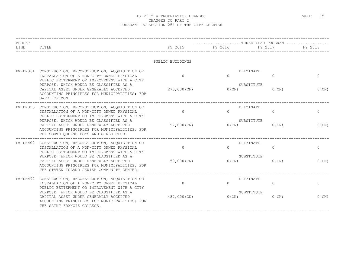| <b>BUDGET</b><br>LINE | TITLE                                                                                                                                                                            | FY 2015          | FY 2016  | THREE YEAR PROGRAM<br>FY 2017 | FY 2018      |
|-----------------------|----------------------------------------------------------------------------------------------------------------------------------------------------------------------------------|------------------|----------|-------------------------------|--------------|
|                       |                                                                                                                                                                                  | PUBLIC BUILDINGS |          |                               |              |
|                       | PW-DN361 CONSTRUCTION, RECONSTRUCTION, ACQUISITION OR<br>INSTALLATION OF A NON-CITY OWNED PHYSICAL<br>PUBLIC BETTERMENT OR IMPROVEMENT WITH A CITY                               | $\Omega$         | $\Omega$ | ELIMINATE<br>$\Omega$         | $\Omega$     |
|                       | PURPOSE, WHICH WOULD BE CLASSIFIED AS A<br>CAPITAL ASSET UNDER GENERALLY ACCEPTED<br>ACCOUNTING PRINCIPLES FOR MUNICIPALITIES; FOR<br>SAFE HORIZON.                              | 273,000 (CN)     | $0$ (CN) | SUBSTITUTE<br>$0$ (CN)        | 0(CN)        |
|                       | PW-DN393 CONSTRUCTION, RECONSTRUCTION, ACQUISITION OR<br>INSTALLATION OF A NON-CITY OWNED PHYSICAL<br>PUBLIC BETTERMENT OR IMPROVEMENT WITH A CITY                               | $\Omega$         | $\Omega$ | ELIMINATE<br>$\Omega$         | $\mathbf{0}$ |
|                       | PURPOSE, WHICH WOULD BE CLASSIFIED AS A<br>CAPITAL ASSET UNDER GENERALLY ACCEPTED<br>ACCOUNTING PRINCIPLES FOR MUNICIPALITIES; FOR<br>THE SOUTH OUEENS BOYS AND GIRLS CLUB.      | 97,000 (CN)      | $0$ (CN) | SUBSTITUTE<br>$0$ (CN)        | $0$ (CN)     |
| $PW-DN402$            | CONSTRUCTION, RECONSTRUCTION, ACQUISITION OR<br>INSTALLATION OF A NON-CITY OWNED PHYSICAL<br>PUBLIC BETTERMENT OR IMPROVEMENT WITH A CITY                                        | $\Omega$         | $\Omega$ | ELIMINATE<br>$\Omega$         | $\mathbf{0}$ |
|                       | PURPOSE, WHICH WOULD BE CLASSIFIED AS A<br>CAPITAL ASSET UNDER GENERALLY ACCEPTED<br>ACCOUNTING PRINCIPLES FOR MUNICIPALITIES; FOR<br>THE STATEN ISLAND JEWISH COMMUNITY CENTER. | 50,000 (CN)      | $0$ (CN) | SUBSTITUTE<br>$0$ (CN)        | $0$ (CN)     |
|                       | PW-DN497 CONSTRUCTION, RECONSTRUCTION, ACQUISITION OR<br>INSTALLATION OF A NON-CITY OWNED PHYSICAL<br>PUBLIC BETTERMENT OR IMPROVEMENT WITH A CITY                               | $\Omega$         | $\Omega$ | ELIMINATE<br>$\Omega$         | $\mathbf 0$  |
|                       | PURPOSE, WHICH WOULD BE CLASSIFIED AS A<br>CAPITAL ASSET UNDER GENERALLY ACCEPTED<br>ACCOUNTING PRINCIPLES FOR MUNICIPALITIES; FOR<br>THE SAINT FRANCIS COLLEGE.                 | 487,000(CN)      | 0(CN)    | SUBSTITUTE<br>$0$ (CN)        | 0(CN)        |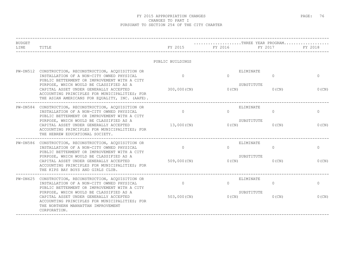| TITLE<br>PW-DN512 CONSTRUCTION, RECONSTRUCTION, ACQUISITION OR<br>INSTALLATION OF A NON-CITY OWNED PHYSICAL<br>PUBLIC BETTERMENT OR IMPROVEMENT WITH A CITY<br>PURPOSE, WHICH WOULD BE CLASSIFIED AS A<br>CAPITAL ASSET UNDER GENERALLY ACCEPTED<br>ACCOUNTING PRINCIPLES FOR MUNICIPALITIES; FOR<br>THE ASIAN AMERICANS FOR EOUALITY, INC. (AAFE). | FY 2015<br>PUBLIC BUILDINGS<br>$\Omega$<br>300,000 (CN)                                                                                                                                                                                                                                          | FY 2016<br>ELIMINATE<br>$\Omega$<br>SUBSTITUTE | FY 2017<br>$\Omega$ | FY 2018<br>$\Omega$                                                           |
|-----------------------------------------------------------------------------------------------------------------------------------------------------------------------------------------------------------------------------------------------------------------------------------------------------------------------------------------------------|--------------------------------------------------------------------------------------------------------------------------------------------------------------------------------------------------------------------------------------------------------------------------------------------------|------------------------------------------------|---------------------|-------------------------------------------------------------------------------|
|                                                                                                                                                                                                                                                                                                                                                     |                                                                                                                                                                                                                                                                                                  |                                                |                     |                                                                               |
|                                                                                                                                                                                                                                                                                                                                                     |                                                                                                                                                                                                                                                                                                  |                                                |                     |                                                                               |
|                                                                                                                                                                                                                                                                                                                                                     |                                                                                                                                                                                                                                                                                                  |                                                |                     |                                                                               |
|                                                                                                                                                                                                                                                                                                                                                     |                                                                                                                                                                                                                                                                                                  | $0$ (CN)                                       | $0$ (CN)            | 0(CN)                                                                         |
| CONSTRUCTION, RECONSTRUCTION, ACOUISITION OR<br>INSTALLATION OF A NON-CITY OWNED PHYSICAL<br>PUBLIC BETTERMENT OR IMPROVEMENT WITH A CITY                                                                                                                                                                                                           | $\Omega$                                                                                                                                                                                                                                                                                         | $\Omega$                                       | $\Omega$            | $\mathbf{0}$                                                                  |
| CAPITAL ASSET UNDER GENERALLY ACCEPTED<br>ACCOUNTING PRINCIPLES FOR MUNICIPALITIES; FOR<br>THE HEBREW EDUCATIONAL SOCIETY.                                                                                                                                                                                                                          | 13,000 (CN)                                                                                                                                                                                                                                                                                      | 0(CN)                                          | $0$ (CN)            | $0$ (CN)                                                                      |
| INSTALLATION OF A NON-CITY OWNED PHYSICAL                                                                                                                                                                                                                                                                                                           | $\overline{0}$                                                                                                                                                                                                                                                                                   | $\bigcap$                                      | $\Omega$            | $\mathbf{0}$                                                                  |
| PURPOSE, WHICH WOULD BE CLASSIFIED AS A<br>CAPITAL ASSET UNDER GENERALLY ACCEPTED<br>ACCOUNTING PRINCIPLES FOR MUNICIPALITIES; FOR<br>THE KIPS BAY BOYS AND GIRLS CLUB.                                                                                                                                                                             | 509,000 (CN)                                                                                                                                                                                                                                                                                     | $0$ (CN)                                       | $0$ (CN)            | $0$ (CN)                                                                      |
| INSTALLATION OF A NON-CITY OWNED PHYSICAL                                                                                                                                                                                                                                                                                                           | $\circ$                                                                                                                                                                                                                                                                                          | $\Omega$                                       | $\circ$             | $\circ$                                                                       |
| PURPOSE, WHICH WOULD BE CLASSIFIED AS A<br>CAPITAL ASSET UNDER GENERALLY ACCEPTED<br>ACCOUNTING PRINCIPLES FOR MUNICIPALITIES; FOR<br>THE NORTHERN MANHATTAN IMPROVEMENT<br>CORPORATION.                                                                                                                                                            | 503,000 (CN)                                                                                                                                                                                                                                                                                     | $0$ (CN)                                       | $0$ (CN)            | 0(CN)                                                                         |
|                                                                                                                                                                                                                                                                                                                                                     | ___________________________________<br>PURPOSE, WHICH WOULD BE CLASSIFIED AS A<br>PW-DN586 CONSTRUCTION, RECONSTRUCTION, ACQUISITION OR<br>PUBLIC BETTERMENT OR IMPROVEMENT WITH A CITY<br>PW-DN625 CONSTRUCTION, RECONSTRUCTION, ACQUISITION OR<br>PUBLIC BETTERMENT OR IMPROVEMENT WITH A CITY |                                                |                     | ELIMINATE<br>SUBSTITUTE<br>ELIMINATE<br>SUBSTITUTE<br>ELIMINATE<br>SUBSTITUTE |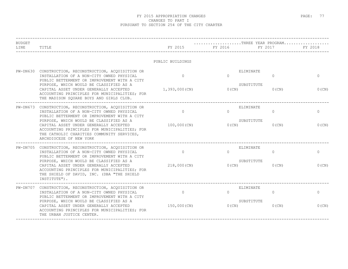| <b>BUDGET</b> |                                                                                                                                                                                                                                                                                                                                        |                           | THREE YEAR PROGRAM   |                                                       |                          |
|---------------|----------------------------------------------------------------------------------------------------------------------------------------------------------------------------------------------------------------------------------------------------------------------------------------------------------------------------------------|---------------------------|----------------------|-------------------------------------------------------|--------------------------|
| LINE          | TITLE                                                                                                                                                                                                                                                                                                                                  | FY 2015                   | FY 2016              | FY 2017                                               | FY 2018                  |
|               |                                                                                                                                                                                                                                                                                                                                        | PUBLIC BUILDINGS          |                      |                                                       |                          |
| PW-DN630      | CONSTRUCTION, RECONSTRUCTION, ACQUISITION OR<br>INSTALLATION OF A NON-CITY OWNED PHYSICAL<br>PUBLIC BETTERMENT OR IMPROVEMENT WITH A CITY<br>PURPOSE, WHICH WOULD BE CLASSIFIED AS A<br>CAPITAL ASSET UNDER GENERALLY ACCEPTED<br>ACCOUNTING PRINCIPLES FOR MUNICIPALITIES; FOR<br>THE MADISON SOUARE BOYS AND GIRLS CLUB.             | $\Omega$<br>1,393,000(CN) | $\Omega$<br>$0$ (CN) | ELIMINATE<br>$\overline{0}$<br>SUBSTITUTE<br>$0$ (CN) | $\mathbf 0$<br>$0$ (CN)  |
|               | PW-DN673 CONSTRUCTION, RECONSTRUCTION, ACQUISITION OR<br>INSTALLATION OF A NON-CITY OWNED PHYSICAL<br>PUBLIC BETTERMENT OR IMPROVEMENT WITH A CITY<br>PURPOSE, WHICH WOULD BE CLASSIFIED AS A<br>CAPITAL ASSET UNDER GENERALLY ACCEPTED                                                                                                | $\circ$<br>100,000(CN)    | $\Omega$<br>O(CN)    | ELIMINATE<br>$\Omega$<br>SUBSTITUTE<br>$0$ (CN)       | $\mathbf{0}$<br>$0$ (CN) |
|               | ACCOUNTING PRINCIPLES FOR MUNICIPALITIES; FOR<br>THE CATHOLIC CHARITIES COMMUNITY SERVICES,<br>ARCHDIOCESE OF NEW YORK                                                                                                                                                                                                                 |                           |                      |                                                       |                          |
|               | PW-DN705 CONSTRUCTION, RECONSTRUCTION, ACQUISITION OR<br>INSTALLATION OF A NON-CITY OWNED PHYSICAL<br>PUBLIC BETTERMENT OR IMPROVEMENT WITH A CITY<br>PURPOSE, WHICH WOULD BE CLASSIFIED AS A<br>CAPITAL ASSET UNDER GENERALLY ACCEPTED<br>ACCOUNTING PRINCIPLES FOR MUNICIPALITIES; FOR<br>THE SHIELD OF DAVID, INC. (DBA "THE SHIELD | $\Omega$<br>218,000 (CN)  | $\Omega$<br>0(CN)    | ELIMINATE<br>$\Omega$<br>SUBSTITUTE<br>$0$ (CN)       | $\circ$<br>0(CN)         |
|               | INSTITUTE").<br>PW-DN707 CONSTRUCTION, RECONSTRUCTION, ACQUISITION OR<br>INSTALLATION OF A NON-CITY OWNED PHYSICAL<br>PUBLIC BETTERMENT OR IMPROVEMENT WITH A CITY<br>PURPOSE, WHICH WOULD BE CLASSIFIED AS A<br>CAPITAL ASSET UNDER GENERALLY ACCEPTED<br>ACCOUNTING PRINCIPLES FOR MUNICIPALITIES; FOR<br>THE URBAN JUSTICE CENTER.  | $\Omega$<br>150,000(CN)   | $\Omega$<br>$0$ (CN) | ELIMINATE<br>$\Omega$<br>SUBSTITUTE<br>$0$ (CN)       | $\circ$<br>0(CN)         |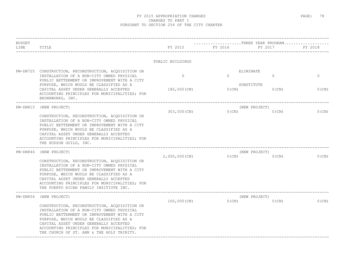| <b>BUDGET</b><br>LINE | TITLE                                                                                                                                                                                                                                                                                                                                         | FY 2015          | THREE YEAR PROGRAM<br>FY 2016 | FY 2017                   | FY 2018     |
|-----------------------|-----------------------------------------------------------------------------------------------------------------------------------------------------------------------------------------------------------------------------------------------------------------------------------------------------------------------------------------------|------------------|-------------------------------|---------------------------|-------------|
|                       |                                                                                                                                                                                                                                                                                                                                               | PUBLIC BUILDINGS |                               |                           |             |
|                       | PW-DN725 CONSTRUCTION, RECONSTRUCTION, ACQUISITION OR                                                                                                                                                                                                                                                                                         |                  |                               | ELIMINATE                 |             |
|                       | INSTALLATION OF A NON-CITY OWNED PHYSICAL<br>PUBLIC BETTERMENT OR IMPROVEMENT WITH A CITY                                                                                                                                                                                                                                                     | $\circ$          | $\Omega$                      | $\mathbf{0}$              | $\mathbf 0$ |
|                       | PURPOSE, WHICH WOULD BE CLASSIFIED AS A<br>CAPITAL ASSET UNDER GENERALLY ACCEPTED<br>ACCOUNTING PRINCIPLES FOR MUNICIPALITIES; FOR<br>BRONXWORKS, INC.                                                                                                                                                                                        | 180,000 (CN)     | $0$ (CN)                      | SUBSTITUTE<br>$0$ (CN)    | 0(CN)       |
| $PW-DN815$            | (NEW PROJECT)                                                                                                                                                                                                                                                                                                                                 |                  |                               | (NEW PROJECT)             |             |
|                       | CONSTRUCTION, RECONSTRUCTION, ACQUISITION OR<br>INSTALLATION OF A NON-CITY OWNED PHYSICAL<br>PUBLIC BETTERMENT OR IMPROVEMENT WITH A CITY<br>PURPOSE, WHICH WOULD BE CLASSIFIED AS A<br>CAPITAL ASSET UNDER GENERALLY ACCEPTED<br>ACCOUNTING PRINCIPLES FOR MUNICIPALITIES; FOR<br>THE HUDSON GUILD, INC.                                     | $303,000$ (CN)   | $0$ (CN)                      | $0$ (CN)                  | $0$ (CN)    |
| $PW-DNS46$            | (NEW PROJECT)<br>CONSTRUCTION, RECONSTRUCTION, ACQUISITION OR<br>INSTALLATION OF A NON-CITY OWNED PHYSICAL<br>PUBLIC BETTERMENT OR IMPROVEMENT WITH A CITY<br>PURPOSE, WHICH WOULD BE CLASSIFIED AS A<br>CAPITAL ASSET UNDER GENERALLY ACCEPTED<br>ACCOUNTING PRINCIPLES FOR MUNICIPALITIES; FOR<br>THE PUERTO RICAN FAMILY INSITIUTE INC.    | $2,000,000$ (CN) | 0(CN)                         | (NEW PROJECT)<br>$0$ (CN) | $0$ (CN)    |
| $PW-DN854$            | (NEW PROJECT)<br>CONSTRUCTION, RECONSTRUCTION, ACQUISITION OR<br>INSTALLATION OF A NON-CITY OWNED PHYSICAL<br>PUBLIC BETTERMENT OR IMPROVEMENT WITH A CITY<br>PURPOSE, WHICH WOULD BE CLASSIFIED AS A<br>CAPITAL ASSET UNDER GENERALLY ACCEPTED<br>ACCOUNTING PRINCIPLES FOR MUNICIPALITIES; FOR<br>THE CHURCH OF ST. ANN & THE HOLY TRINITY. | 100,000(CN)      | $0$ (CN)                      | (NEW PROJECT)<br>$0$ (CN) | $0$ (CN)    |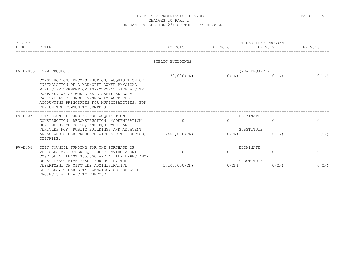| <b>BUDGET</b><br>LINE | TITLE                                                                                                                                                                                                                                                                                                                                      | FY 2015                   | FY 2016            | THREE YEAR PROGRAM<br>FY 2017                   | FY 2018                    |
|-----------------------|--------------------------------------------------------------------------------------------------------------------------------------------------------------------------------------------------------------------------------------------------------------------------------------------------------------------------------------------|---------------------------|--------------------|-------------------------------------------------|----------------------------|
|                       |                                                                                                                                                                                                                                                                                                                                            | PUBLIC BUILDINGS          |                    |                                                 |                            |
|                       | PW-DN855 (NEW PROJECT)<br>CONSTRUCTION, RECONSTRUCTION, ACQUISITION OR<br>INSTALLATION OF A NON-CITY OWNED PHYSICAL<br>PUBLIC BETTERMENT OR IMPROVEMENT WITH A CITY<br>PURPOSE, WHICH WOULD BE CLASSIFIED AS A<br>CAPITAL ASSET UNDER GENERALLY ACCEPTED<br>ACCOUNTING PRINCIPLES FOR MUNICIPALITIES; FOR<br>THE UNITED COMMUNITY CENTERS. | 38,000 (CN)               | $0$ (CN)           | (NEW PROJECT)<br>$0$ (CN)                       | $0$ (CN)                   |
| $PW-D005$             | CITY COUNCIL FUNDING FOR ACOUISITION,<br>CONSTRUCTION, RECONSTRUCTION, MODERNIZATION<br>OF, IMPROVEMENTS TO, AND EQUIPMENT AND<br>VEHICLES FOR, PUBLIC BUILDINGS AND ADJACENT<br>AREAS AND OTHER PROJECTS WITH A CITY PURPOSE, 1,400,000 (CN)<br>CITYWIDE.                                                                                 | $\Omega$                  | $\bigcap$<br>0(CN) | ELIMINATE<br>$\Omega$<br>SUBSTITUTE<br>$0$ (CN) | $\overline{0}$<br>$0$ (CN) |
| $PW-D308$             | CITY COUNCIL FUNDING FOR THE PURCHASE OF<br>VEHICLES AND OTHER EQUIPMENT HAVING A UNIT<br>COST OF AT LEAST \$35,000 AND A LIFE EXPECTANCY<br>OF AT LEAST FIVE YEARS FOR USE BY THE<br>DEPARTMENT OF CITYWIDE ADMINISTRATIVE<br>SERVICES, OTHER CITY AGENCIES, OR FOR OTHER<br>PROJECTS WITH A CITY PURPOSE.                                | $\Omega$<br>1,100,000(CN) | $\bigcap$<br>0(CN) | ELIMINATE<br>$\Omega$<br>SUBSTITUTE<br>$0$ (CN) | $\mathbf{0}$<br>$0$ (CN)   |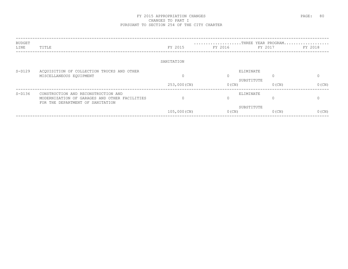| <b>BUDGET</b> |                                               |              | THREE YEAR PROGRAM |            |          |
|---------------|-----------------------------------------------|--------------|--------------------|------------|----------|
| LINE          | TITLE                                         | FY 2015      | FY 2016            | FY 2017    | FY 2018  |
|               |                                               |              |                    |            |          |
|               |                                               | SANITATION   |                    |            |          |
| $S-D129$      | ACQUISITION OF COLLECTION TRUCKS AND OTHER    |              | ELIMINATE          |            |          |
|               | MISCELLANEOUS EQUIPMENT                       | $\Omega$     | $\Omega$           | $\cap$     | $\Omega$ |
|               |                                               |              |                    | SUBSTITUTE |          |
|               |                                               | 253,000 (CN) | $0$ (CN)           | $0$ (CN)   | $0$ (CN) |
| $S-D136$      | CONSTRUCTION AND RECONSTRUCTION AND           |              | ELIMINATE          |            |          |
|               | MODERNIZATION OF GARAGES AND OTHER FACILITIES | $\Omega$     | $\Omega$           |            |          |
|               | FOR THE DEPARTMENT OF SANITATION              |              |                    | SUBSTITUTE |          |
|               |                                               | 105,000 (CN) | $0$ (CN)           | $0$ (CN)   | $0$ (CN) |
|               |                                               |              |                    |            |          |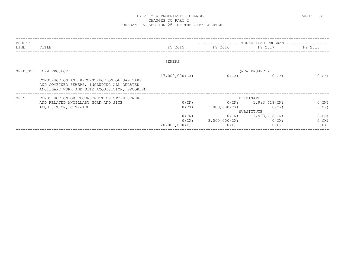| BUDGET   |                                                                                                                                            |                   |               | THREE YEAR PROGRAM                |                   |
|----------|--------------------------------------------------------------------------------------------------------------------------------------------|-------------------|---------------|-----------------------------------|-------------------|
| LINE     | TITLE                                                                                                                                      | FY 2015           | FY 2016       | FY 2017                           | FY 2018           |
|          |                                                                                                                                            | SEWERS            |               |                                   |                   |
| SE-D002K | (NEW PROJECT)                                                                                                                              |                   |               | (NEW PROJECT)                     |                   |
|          | CONSTRUCTION AND RECONSTRUCTION OF SANITARY<br>AND COMBINED SEWERS, INCLUDING ALL RELATED<br>ANCILLARY WORK AND SITE ACQUISITION, BROOKLYN | 17,000,000(CX)    | 0(CX)         | 0(CX)                             | 0(CX)             |
| $SE-5$   | CONSTRUCTION OR RECONSTRUCTION STORM SEWERS                                                                                                | ELIMINATE         |               |                                   |                   |
|          | AND RELATED ANCILLARY WORK AND SITE<br>ACQUISITION, CITYWIDE                                                                               | $0$ (CN)<br>0(CX) | 3,000,000(CX) | $0(CN)$ 1, 993, 418 (CN)<br>0(CX) | $0$ (CN)<br>0(CX) |
|          |                                                                                                                                            |                   |               | SUBSTITUTE                        |                   |
|          |                                                                                                                                            | $0$ (CN)          |               | $0(CN)$ 1,993,418(CN)             | $0$ (CN)          |
|          |                                                                                                                                            | 0(CX)             | 3,000,000(CX) | 0(CX)                             | 0(CX)             |
|          |                                                                                                                                            | 20,000,000(F)     | 0(F)          | 0(F)                              | 0(F)              |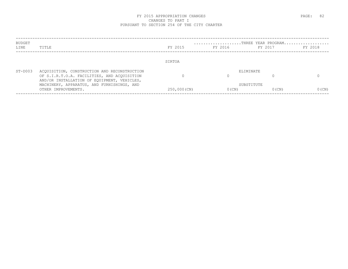| BUDGET<br>LINE | TITLE                                                                                                                                      | FY 2015     | THREE YEAR PROGRAM<br>FY 2016 | FY 2017  | FY 2018  |
|----------------|--------------------------------------------------------------------------------------------------------------------------------------------|-------------|-------------------------------|----------|----------|
|                |                                                                                                                                            | SIRTOA      |                               |          |          |
| $ST-D003$      | ACQUISITION, CONSTRUCTION AND RECONSTRUCTION<br>OF S.I.R.T.O.A. FACILITIES, AND ACQUISITION<br>AND/OR INSTALLATION OF EQUIPMENT, VEHICLES, |             | ELIMINATE                     |          |          |
|                | MACHINERY, APPARATUS, AND FURNISHINGS, AND<br>OTHER IMPROVEMENTS.                                                                          | 250,000(CN) | SUBSTITUTE<br>$0$ (CN)        | $0$ (CN) | $0$ (CN) |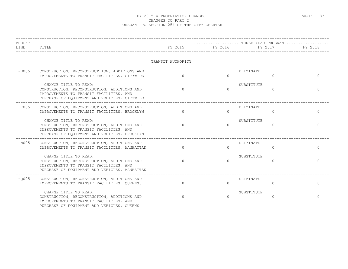| <b>BUDGET</b><br>LINE | TITLE                                                                                                                                                            |                   | THREE YEAR PROGRAM<br>FY 2015 FY 2016 FY 2017 FY 2018 | . _ _ _ _ _ _ _ _ _ _ _ _ _ _ _ |          |          |
|-----------------------|------------------------------------------------------------------------------------------------------------------------------------------------------------------|-------------------|-------------------------------------------------------|---------------------------------|----------|----------|
|                       |                                                                                                                                                                  | TRANSIT AUTHORITY |                                                       |                                 |          |          |
| $T-D005$              | CONSTRUCTION, RECONSTRUCTIION, ADDITIONS AND<br>IMPROVEMENTS TO TRANSIT FACILITIES, CITYWIDE                                                                     | $\Omega$          | $\cap$                                                | ELIMINATE                       | $\Omega$ |          |
|                       | CHANGE TITLE TO READ:<br>CONSTRUCTION, RECONSTRUCTION, ADDITIONS AND<br>IMPROVEMENTS TO TRANSIT FACILITIES, AND<br>PURCHASE OF EOUIPMENT AND VEHICLES, CITYWIDE  | $\bigcap$         | $\Omega$                                              | SUBSTITUTE                      | $\Omega$ | $\Omega$ |
| $T-K005$              | CONSTRUCTION, RECONSTRUCTION, ADDITIONS AND<br>IMPROVEMENTS TO TRANSIT FACILITIES, BROOKLYN                                                                      | $\Omega$          | $\Omega$                                              | ELIMINATE                       | $\Omega$ | $\Omega$ |
|                       | CHANGE TITLE TO READ:<br>CONSTRUCTION, RECONSTRUCTION, ADDITIONS AND<br>IMPROVEMENTS TO TRANSIT FACILITIES, AND<br>PURCHASE OF EQUIPMENT AND VEHICLES, BROOKLYN  | $\Omega$          | $\Omega$                                              | SUBSTITUTE                      | $\Omega$ | $\Omega$ |
| $T-M005$              | _____________________________<br>CONSTRUCTION, RECONSTRUCTION, ADDITIONS AND<br>IMPROVEMENTS TO TRANSIT FACILITIES, MANHATTAN                                    | $\Omega$          | $\cap$                                                | ELIMINATE                       | $\Omega$ | $\cap$   |
|                       | CHANGE TITLE TO READ:<br>CONSTRUCTION, RECONSTRUCTION, ADDITIONS AND<br>IMPROVEMENTS TO TRANSIT FACILITIES, AND<br>PURCHASE OF EQUIPMENT AND VEHICLES, MANHATTAN | $\Omega$          | $\Omega$                                              | SUBSTITUTE                      | 0        | $\Omega$ |
| $T-0005$              | CONSTRUCTION, RECONSTRUCTION, ADDITIONS AND<br>IMPROVEMENTS TO TRANSIT FACILITIES, QUEENS.                                                                       | $\Omega$          | $\cap$                                                | ELIMINATE                       | $\Omega$ | $\cap$   |
|                       | CHANGE TITLE TO READ:<br>CONSTRUCTION, RECONSTRUCTION, ADDITIONS AND<br>IMPROVEMENTS TO TRANSIT FACILITIES, AND<br>PURCHASE OF EOUIPMENT AND VEHICLES, OUEENS    | $\cap$            | $\cap$                                                | SUBSTITUTE                      | $\Omega$ | ∩        |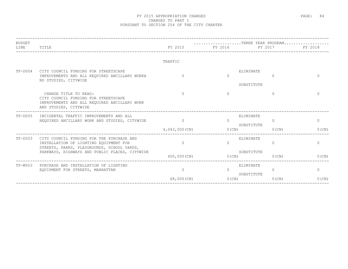| <b>BUDGET</b><br>LINE | TITLE                                                                                                                                  | FY 2015 FY 2016 | $\ldots \ldots \ldots \ldots \ldots \ldots \ldots$ . THREE YEAR PROGRAM | FY 2017                                   | FY 2018  |
|-----------------------|----------------------------------------------------------------------------------------------------------------------------------------|-----------------|-------------------------------------------------------------------------|-------------------------------------------|----------|
|                       |                                                                                                                                        | TRAFFIC         |                                                                         |                                           |          |
| TF-D004               | CITY COUNCIL FUNDING FOR STREETSCAPE<br>IMPROVEMENTS AND ALL REQUIRED ANCILLARY WORKA<br>ND STUDIES, CITYWIDE                          | $\Omega$        | $\Omega$                                                                | ELIMINATE<br>$\overline{0}$<br>SUBSTITUTE | $\Omega$ |
|                       | CHANGE TITLE TO READ:<br>CITY COUNCIL FUNDING FOR STREETSCAPE<br>IMPROVEMENTS AND ALL REQUIRED ANCILLARY WORK<br>AND STUDIES, CITYWIDE |                 | $\Omega$                                                                | $\Omega$                                  | $\cap$   |
| TF-D005               | INCIDENTAL TRAFFIC IMPROVEMENTS AND ALL<br>REQUIRED ANCILLARY WORK AND STUDIES, CITYWIDE                                               | $\Omega$        | $\Omega$                                                                | ELIMINATE<br>$\Omega$<br>SUBSTITUTE       | $\circ$  |
|                       |                                                                                                                                        | 4,043,000(CN)   | O(CN)                                                                   | $0$ (CN)                                  | $0$ (CN) |
| $TF-D503$             | CITY COUNCIL FUNDING FOR THE PURCHASE AND<br>INSTALLATION OF LIGHTING EQUIPMENT FOR<br>STREETS, PARKS, PLAYGROUNDS, SCHOOL YARDS,      | $\Omega$        | $\cap$                                                                  | ELIMINATE<br>$\Omega$                     | $\Omega$ |
|                       | PARKWAYS, HIGHWAYS AND PUBLIC PLACES, CITYWIDE                                                                                         | $600,000$ (CN)  | O(CN)                                                                   | SUBSTITUTE<br>$0$ (CN)                    | $0$ (CN) |
| TF-M503               | PURCHASE AND INSTALLATION OF LIGHTING<br>EQUIPMENT FOR STREETS, MANHATTAN                                                              | $\Omega$        | $\Omega$                                                                | ELIMINATE<br>$\Omega$                     | $\circ$  |
|                       |                                                                                                                                        | 68,000 (CN)     | $0$ (CN)                                                                | SUBSTITUTE<br>$0$ (CN)                    | 0(CN)    |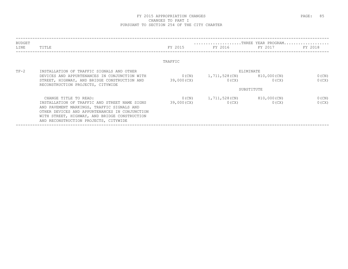| BUDGET<br>LINE | TITLE                                                                                           | FY 2015     | FY 2016       | FY 2017     | FY 2018  |
|----------------|-------------------------------------------------------------------------------------------------|-------------|---------------|-------------|----------|
|                |                                                                                                 | TRAFFIC     |               |             |          |
| $TF-2$         | INSTALLATION OF TRAFFIC SIGNALS AND OTHER                                                       |             |               | ELIMINATE   |          |
|                | DEVICES AND APPURTENANCES IN CONJUNCTION WITH                                                   | $0$ (CN)    | 1,711,528(CN) | 810,000(CN) | $0$ (CN) |
|                | STREET, HIGHWAY, AND BRIDGE CONSTRUCTION AND<br>RECONSTRUCTION PROJECTS, CITYWIDE               | 39,000(CX)  | 0(CX)         | 0(CX)       | 0(CX)    |
|                |                                                                                                 |             |               | SUBSTITUTE  |          |
|                | CHANGE TITLE TO READ:                                                                           | $0$ (CN)    | 1,711,528(CN) | 810,000(CN) | $0$ (CN) |
|                | INSTALLATION OF TRAFFIC AND STREET NAME SIGNS                                                   | 39,000 (CX) | 0(CX)         | 0(CX)       | 0(CX)    |
|                | AND PAVEMENT MARKINGS, TRAFFIC SIGNALS AND                                                      |             |               |             |          |
|                | OTHER DEVICES AND APPURTENANCES IN CONJUNCTION<br>WITH STREET, HIGHWAY, AND BRIDGE CONSTRUCTION |             |               |             |          |
|                | AND RECONSTRUCTION PROJECTS, CITYWIDE                                                           |             |               |             |          |
|                |                                                                                                 |             |               |             |          |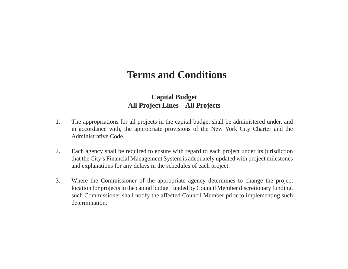# **Terms and Conditions**

# **Capital Budget All Project Lines – All Projects**

- 1. The appropriations for all projects in the capital budget shall be administered under, and in accordance with, the appropriate provisions of the New York City Charter and the Administrative Code.
- 2. Each agency shall be required to ensure with regard to each project under its jurisdiction that the City's Financial Management System is adequately updated with project milestones and explanations for any delays in the schedules of each project.
- 3. Where the Commissioner of the appropriate agency determines to change the project location for projects in the capital budget funded by Council Member discretionary funding, such Commissioner shall notify the affected Council Member prior to implementing such determination.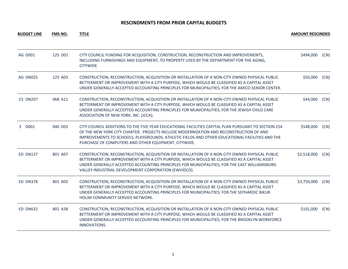| <b>BUDGET LINE</b> | <b>FMS NO.</b> | <b>TITLE</b>                                                                                                                                                                                                                                                                                                                                            | <b>AMOUNT RESCINDED</b> |      |
|--------------------|----------------|---------------------------------------------------------------------------------------------------------------------------------------------------------------------------------------------------------------------------------------------------------------------------------------------------------------------------------------------------------|-------------------------|------|
| AG D001            | 125 D01        | CITY COUNCIL FUNDING FOR ACQUISITION, CONSTRUCTION, RECONSTRUCTION AND IMPROVEMENTS,<br>INCLUDING FURNISHINGS AND EQUIPMENT, TO PROPERTY USED BY THE DEPARTMENT FOR THE AGING,<br><b>CITYWIDE</b>                                                                                                                                                       | \$494,000               | (CN) |
| AG DN025           | 125 A03        | CONSTRUCTION, RECONSTRUCTION, ACQUISITION OR INSTALLATION OF A NON-CITY OWNED PHYSICAL PUBLIC<br>BETTERMENT OR IMPROVEMENT WITH A CITY PURPOSE, WHICH WOULD BE CLASSIFIED AS A CAPITAL ASSET<br>UNDER GENERALLY ACCEPTED ACCOUNTING PRINCIPLES FOR MUNICIPALITIES; FOR THE AMICO SENIOR CENTER.                                                         | \$50,000                | (CN) |
| <b>CS DN207</b>    | 068 A11        | CONSTRUCTION, RECONSTRUCTION, ACQUISITION OR INSTALLATION OF A NON-CITY OWNED PHYSICAL PUBLIC<br>BETTERMENT OR IMPROVEMENT WITH A CITY PURPOSE, WHICH WOULD BE CLASSIFIED AS A CAPITAL ASSET<br>UNDER GENERALLY ACCEPTED ACCOUNTING PRINCIPLES FOR MUNICIPALITIES; FOR THE JEWISH CHILD CARE<br>ASSOCIATION OF NEW YORK, INC. (JCCA).                   | \$44,000                | (CN) |
| E D001             | 040 D01        | CITY COUNCIL ADDITIONS TO THE FIVE YEAR EDUCATIONAL FACILITIES CAPITAL PLAN PURSUANT TO SECTION 254<br>OF THE NEW YORK CITY CHARTER. PROJECTS INCLUDE MODERNIZATION AND RECONSTRUCTION OF AND<br>IMPROVEMENTS TO SCHOOLS, PLAYGROUNDS, ATHLETIC FIELDS AND OTHER EDUCATIONAL FACILITIES AND THE<br>PURCHASE OF COMPUTERS AND OTHER EQUIPMENT, CITYWIDE. | \$548,000               | (CN) |
| <b>ED DN137</b>    | 801 A07        | CONSTRUCTION, RECONSTRUCTION, ACQUISITION OR INSTALLATION OF A NON-CITY OWNED PHYSICAL PUBLIC<br>BETTERMENT OR IMPROVEMENT WITH A CITY PURPOSE, WHICH WOULD BE CLASSIFIED AS A CAPITAL ASSET<br>UNDER GENERALLY ACCEPTED ACCOUNTING PRINCIPLES FOR MUNICIPALITIES; FOR THE EAST WILLIAMSBURG<br>VALLEY INDUSTRIAL DEVELOPMENT CORPORATION (EWVIDCO).    | \$2,518,000             | (CN) |
| <b>ED DN378</b>    | 801 A02        | CONSTRUCTION, RECONSTRUCTION, ACQUISITION OR INSTALLATION OF A NON-CITY OWNED PHYSICAL PUBLIC<br>BETTERMENT OR IMPROVEMENT WITH A CITY PURPOSE, WHICH WOULD BE CLASSIFIED AS A CAPITAL ASSET<br>UNDER GENERALLY ACCEPTED ACCOUNTING PRINCIPLES FOR MUNICIPALITIES; FOR THE SEPHARDIC BIKUR<br>HOLIM COMMUNITY SERVICE NETWORK.                          | \$3,750,000             | (CN) |
| <b>ED DN632</b>    | 801 A38        | CONSTRUCTION, RECONSTRUCTION, ACQUISITION OR INSTALLATION OF A NON-CITY OWNED PHYSICAL PUBLIC<br>BETTERMENT OR IMPROVEMENT WITH A CITY PURPOSE, WHICH WOULD BE CLASSIFIED AS A CAPITAL ASSET<br>UNDER GENERALLY ACCEPTED ACCOUNTING PRINCIPLES FOR MUNICIPALITIES; FOR THE BROOKLYN WORKFORCE<br>INNOVATIONS.                                           | \$101,000               | (CN) |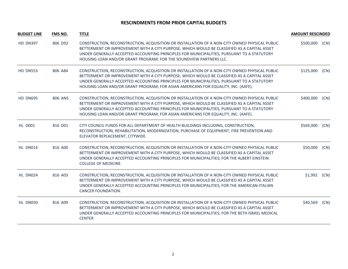| <b>BUDGET LINE</b> | <b>FMS NO.</b> | <b>TITLE</b>                                                                                                                                                                                                                                                                                                                                                                    | <b>AMOUNT RESCINDED</b> |      |
|--------------------|----------------|---------------------------------------------------------------------------------------------------------------------------------------------------------------------------------------------------------------------------------------------------------------------------------------------------------------------------------------------------------------------------------|-------------------------|------|
| <b>HD DN397</b>    | 806 D92        | CONSTRUCTION, RECONSTRUCTION, ACQUISITION OR INSTALLATION OF A NON-CITY OWNED PHYSICAL PUBLIC<br>BETTERMENT OR IMPROVEMENT WITH A CITY PURPOSE, WHICH WOULD BE CLASSIFIED AS A CAPITAL ASSET<br>UNDER GENERALLY ACCEPTED ACCOUNTING PRINCIPLES FOR MUNICIPALITIES, PURSUANT TO A STATUTORY<br>HOUSING LOAN AND/OR GRANT PROGRAM; FOR THE SOUNDVIEW PARTNERS LLC.                | \$500,000               | (CN) |
| <b>HD DN553</b>    | 806 A84        | CONSTRUCTION, RECONSTRUCTION, ACQUISITION OR INSTALLATION OF A NON-CITY OWNED PHYSICAL PUBLIC<br>BETTERMENT OR IMPROVEMENT WITH A CITY PURPOSE, WHICH WOULD BE CLASSIFIED AS A CAPITAL ASSET<br>UNDER GENERALLY ACCEPTED ACCOUNTING PRINCIPLES FOR MUNICIPALITIES, PURSUANT TO A STATUTORY<br>HOUSING LOAN AND/OR GRANT PROGRAM; FOR ASIAN AMERICANS FOR EQUALITY, INC. (AAFE). | \$125,000               | (CN) |
| <b>HD DN695</b>    | 806 AN5        | CONSTRUCTION, RECONSTRUCTION, ACQUISITION OR INSTALLATION OF A NON-CITY OWNED PHYSICAL PUBLIC<br>BETTERMENT OR IMPROVEMENT WITH A CITY PURPOSE, WHICH WOULD BE CLASSIFIED AS A CAPITAL ASSET<br>UNDER GENERALLY ACCEPTED ACCOUNTING PRINCIPLES FOR MUNICIPALITIES, PURSUANT TO A STATUTORY<br>HOUSING LOAN AND/OR GRANT PROGRAM; FOR ASIAN AMERICANS FOR EQUALITY, INC. (AAFE). | \$400,000               | (CN) |
| <b>HL D001</b>     | 816 D01        | CITY COUNCIL FUNDS FOR ALL DEPARTMENT OF HEALTH BUILDINGS INCLUDING, CONSTRUCTION,<br>RECONSTRUCTION, REHABILITATION, MODERNIZATION, PURCHASE OF EQUIPMENT, FIRE PREVENTION AND<br>ELEVATOR REPLACEMENT, CITYWIDE.                                                                                                                                                              | \$569,000               | (CN) |
| HL DN014           | 816 A00        | CONSTRUCTION, RECONSTRUCTION, ACQUISITION OR INSTALLATION OF A NON-CITY OWNED PHYSICAL PUBLIC<br>BETTERMENT OR IMPROVEMENT WITH A CITY PURPOSE, WHICH WOULD BE CLASSIFIED AS A CAPITAL ASSET<br>UNDER GENERALLY ACCEPTED ACCOUNTING PRINCIPLES FOR MUNICIPALITIES; FOR THE ALBERT EINSTEIN<br><b>COLLEGE OF MEDICINE.</b>                                                       | \$50,000                | (CN) |
| HL DN024           | 816 A03        | CONSTRUCTION, RECONSTRUCTION, ACQUISITION OR INSTALLATION OF A NON-CITY OWNED PHYSICAL PUBLIC<br>BETTERMENT OR IMPROVEMENT WITH A CITY PURPOSE, WHICH WOULD BE CLASSIFIED AS A CAPITAL ASSET<br>UNDER GENERALLY ACCEPTED ACCOUNTING PRINCIPLES FOR MUNICIPALITIES; FOR THE AMERICAN-ITALIAN<br>CANCER FOUNDATION.                                                               | \$1,992                 | (CN) |
| HL DN050           | 816 A09        | CONSTRUCTION, RECONSTRUCTION, ACQUISITION OR INSTALLATION OF A NON-CITY OWNED PHYSICAL PUBLIC<br>BETTERMENT OR IMPROVEMENT WITH A CITY PURPOSE, WHICH WOULD BE CLASSIFIED AS A CAPITAL ASSET<br>UNDER GENERALLY ACCEPTED ACCOUNTING PRINCIPLES FOR MUNICIPALITIES; FOR THE BETH ISRAEL MEDICAL<br><b>CENTER</b>                                                                 | \$40,569                | (CN) |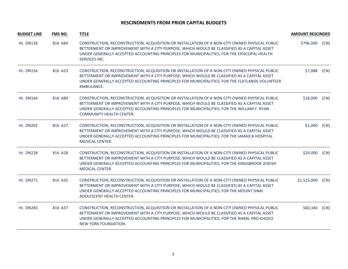| <b>BUDGET LINE</b> | <b>FMS NO.</b> | <b>TITLE</b>                                                                                                                                                                                                                                                                                                           | <b>AMOUNT RESCINDED</b> |      |
|--------------------|----------------|------------------------------------------------------------------------------------------------------------------------------------------------------------------------------------------------------------------------------------------------------------------------------------------------------------------------|-------------------------|------|
| <b>HL DN136</b>    | 816 A84        | CONSTRUCTION, RECONSTRUCTION, ACQUISITION OR INSTALLATION OF A NON-CITY OWNED PHYSICAL PUBLIC<br>BETTERMENT OR IMPROVEMENT WITH A CITY PURPOSE, WHICH WOULD BE CLASSIFIED AS A CAPITAL ASSET<br>UNDER GENERALLY ACCEPTED ACCOUNTING PRINCIPLES FOR MUNICIPALITIES; FOR THE EPISCOPAL HEALTH<br>SERVICES INC.           | \$796,000               | (CN) |
| <b>HL DN156</b>    | 816 A23        | CONSTRUCTION, RECONSTRUCTION, ACQUISITION OR INSTALLATION OF A NON-CITY OWNED PHYSICAL PUBLIC<br>BETTERMENT OR IMPROVEMENT WITH A CITY PURPOSE, WHICH WOULD BE CLASSIFIED AS A CAPITAL ASSET<br>UNDER GENERALLY ACCEPTED ACCOUNTING PRINCIPLES FOR MUNICIPALITIES; FOR THE FLATLANDS VOLUNTEER<br>AMBULANCE.           | \$7,088                 | (CN) |
| <b>HL DN164</b>    | 816 A89        | CONSTRUCTION, RECONSTRUCTION, ACQUISITION OR INSTALLATION OF A NON-CITY OWNED PHYSICAL PUBLIC<br>BETTERMENT OR IMPROVEMENT WITH A CITY PURPOSE, WHICH WOULD BE CLASSIFIED AS A CAPITAL ASSET<br>UNDER GENERALLY ACCEPTED ACCOUNTING PRINCIPLES FOR MUNICIPALITIES; FOR THE WILLIAM F. RYAN<br>COMMUNITY HEALTH CENTER. | \$18,000                | (CN) |
| <b>HL DN202</b>    | 816 A27        | CONSTRUCTION, RECONSTRUCTION, ACQUISITION OR INSTALLATION OF A NON-CITY OWNED PHYSICAL PUBLIC<br>BETTERMENT OR IMPROVEMENT WITH A CITY PURPOSE, WHICH WOULD BE CLASSIFIED AS A CAPITAL ASSET<br>UNDER GENERALLY ACCEPTED ACCOUNTING PRINCIPLES FOR MUNICIPALITIES; FOR THE JAMAICA HOSPITAL<br><b>MEDICAL CENTER.</b>  | \$1,000                 | (CN) |
| HL DN228           | 816 A28        | CONSTRUCTION, RECONSTRUCTION, ACQUISITION OR INSTALLATION OF A NON-CITY OWNED PHYSICAL PUBLIC<br>BETTERMENT OR IMPROVEMENT WITH A CITY PURPOSE, WHICH WOULD BE CLASSIFIED AS A CAPITAL ASSET<br>UNDER GENERALLY ACCEPTED ACCOUNTING PRINCIPLES FOR MUNICIPALITIES; FOR THE KINGSBROOK JEWISH<br>MEDICAL CENTER.        | \$29,000                | (CN) |
| <b>HL DN271</b>    | 816 A35        | CONSTRUCTION, RECONSTRUCTION, ACQUISITION OR INSTALLATION OF A NON-CITY OWNED PHYSICAL PUBLIC<br>BETTERMENT OR IMPROVEMENT WITH A CITY PURPOSE, WHICH WOULD BE CLASSIFIED AS A CAPITAL ASSET<br>UNDER GENERALLY ACCEPTED ACCOUNTING PRINCIPLES FOR MUNICIPALITIES; FOR THE MOUNT SINAI<br>ADOLESCENT HEALTH CENTER.    | \$1,525,000             | (CN) |
| <b>HL DN283</b>    | 816 A37        | CONSTRUCTION, RECONSTRUCTION, ACQUISITION OR INSTALLATION OF A NON-CITY OWNED PHYSICAL PUBLIC<br>BETTERMENT OR IMPROVEMENT WITH A CITY PURPOSE, WHICH WOULD BE CLASSIFIED AS A CAPITAL ASSET<br>UNDER GENERALLY ACCEPTED ACCOUNTING PRINCIPLES FOR MUNICIPALITIES; FOR THE NARAL PRO-CHOICE<br>NEW YORK FOUNDATION.    | \$60,340                | (CN) |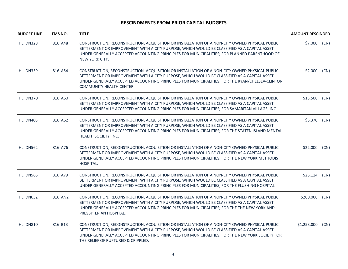| <b>BUDGET LINE</b> | <b>FMS NO.</b> | <b>TITLE</b>                                                                                                                                                                                                                                                                                                                          | <b>AMOUNT RESCINDED</b> |      |
|--------------------|----------------|---------------------------------------------------------------------------------------------------------------------------------------------------------------------------------------------------------------------------------------------------------------------------------------------------------------------------------------|-------------------------|------|
| <b>HL DN328</b>    | 816 A48        | CONSTRUCTION, RECONSTRUCTION, ACQUISITION OR INSTALLATION OF A NON-CITY OWNED PHYSICAL PUBLIC<br>BETTERMENT OR IMPROVEMENT WITH A CITY PURPOSE, WHICH WOULD BE CLASSIFIED AS A CAPITAL ASSET<br>UNDER GENERALLY ACCEPTED ACCOUNTING PRINCIPLES FOR MUNICIPALITIES; FOR PLANNED PARENTHOOD OF<br>NEW YORK CITY.                        | \$7,000                 | (CN) |
| <b>HL DN359</b>    | 816 A54        | CONSTRUCTION, RECONSTRUCTION, ACQUISITION OR INSTALLATION OF A NON-CITY OWNED PHYSICAL PUBLIC<br>BETTERMENT OR IMPROVEMENT WITH A CITY PURPOSE, WHICH WOULD BE CLASSIFIED AS A CAPITAL ASSET<br>UNDER GENERALLY ACCEPTED ACCOUNTING PRINCIPLES FOR MUNICIPALITIES; FOR THE RYAN/CHELSEA-CLINTON<br><b>COMMUNITY HEALTH CENTER.</b>    | \$2,000                 | (CN) |
| <b>HL DN370</b>    | 816 A60        | CONSTRUCTION, RECONSTRUCTION, ACQUISITION OR INSTALLATION OF A NON-CITY OWNED PHYSICAL PUBLIC<br>BETTERMENT OR IMPROVEMENT WITH A CITY PURPOSE, WHICH WOULD BE CLASSIFIED AS A CAPITAL ASSET<br>UNDER GENERALLY ACCEPTED ACCOUNTING PRINCIPLES FOR MUNICIPALITIES; FOR SAMARITAN VILLAGE, INC.                                        | \$13,500                | (CN) |
| <b>HL DN403</b>    | 816 A62        | CONSTRUCTION, RECONSTRUCTION, ACQUISITION OR INSTALLATION OF A NON-CITY OWNED PHYSICAL PUBLIC<br>BETTERMENT OR IMPROVEMENT WITH A CITY PURPOSE, WHICH WOULD BE CLASSIFIED AS A CAPITAL ASSET<br>UNDER GENERALLY ACCEPTED ACCOUNTING PRINCIPLES FOR MUNICIPALITIES; FOR THE STATEN ISLAND MENTAL<br>HEALTH SOCIETY, INC.               | \$5,370                 | (CN) |
| <b>HL DN562</b>    | 816 A76        | CONSTRUCTION, RECONSTRUCTION, ACQUISITION OR INSTALLATION OF A NON-CITY OWNED PHYSICAL PUBLIC<br>BETTERMENT OR IMPROVEMENT WITH A CITY PURPOSE, WHICH WOULD BE CLASSIFIED AS A CAPITAL ASSET<br>UNDER GENERALLY ACCEPTED ACCOUNTING PRINCIPLES FOR MUNICIPALITIES; FOR THE NEW YORK METHODIST<br>HOSPITAL.                            | \$22,000                | (CN) |
| <b>HL DN565</b>    | 816 A79        | CONSTRUCTION, RECONSTRUCTION, ACQUISITION OR INSTALLATION OF A NON-CITY OWNED PHYSICAL PUBLIC<br>BETTERMENT OR IMPROVEMENT WITH A CITY PURPOSE, WHICH WOULD BE CLASSIFIED AS A CAPITAL ASSET<br>UNDER GENERALLY ACCEPTED ACCOUNTING PRINCIPLES FOR MUNICIPALITIES; FOR THE FLUSHING HOSPITAL.                                         | \$25,114                | (CN) |
| <b>HL DN652</b>    | 816 AN2        | CONSTRUCTION, RECONSTRUCTION, ACQUISITION OR INSTALLATION OF A NON-CITY OWNED PHYSICAL PUBLIC<br>BETTERMENT OR IMPROVEMENT WITH A CITY PURPOSE, WHICH WOULD BE CLASSIFIED AS A CAPITAL ASSET<br>UNDER GENERALLY ACCEPTED ACCOUNTING PRINCIPLES FOR MUNICIPALITIES; FOR THE THE NEW YORK AND<br>PRESBYTERIAN HOSPITAL.                 | \$200,000               | (CN) |
| <b>HL DN810</b>    | 816 B13        | CONSTRUCTION, RECONSTRUCTION, ACQUISITION OR INSTALLATION OF A NON-CITY OWNED PHYSICAL PUBLIC<br>BETTERMENT OR IMPROVEMENT WITH A CITY PURPOSE, WHICH WOULD BE CLASSIFIED AS A CAPITAL ASSET<br>UNDER GENERALLY ACCEPTED ACCOUNTING PRINCIPLES FOR MUNICIPALITIES; FOR THE NEW YORK SOCIETY FOR<br>THE RELIEF OF RUPTURED & CRIPPLED. | \$1,253,000             | (CN) |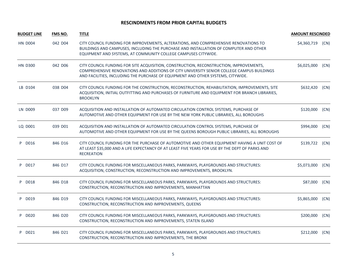| <b>BUDGET LINE</b> | <b>FMS NO.</b> | <b>TITLE</b>                                                                                                                                                                                                                                                             | <b>AMOUNT RESCINDED</b> |      |
|--------------------|----------------|--------------------------------------------------------------------------------------------------------------------------------------------------------------------------------------------------------------------------------------------------------------------------|-------------------------|------|
| <b>HN D004</b>     | 042 D04        | CITY COUNCIL FUNDING FOR IMPROVEMENTS, ALTERATIONS, AND COMPREHENSIVE RENOVATIONS TO<br>BUILDINGS AND CAMPUSES, INCLUDING THE PURCHASE AND INSTALLATION OF COMPUTER AND OTHER<br>EQUIPMENT AND SYSTEMS, AT COMMUNITY COLLEGE CAMPUSES CITYWIDE.                          | \$4,360,719             | (CN) |
| <b>HN D300</b>     | 042 D06        | CITY COUNCIL FUNDING FOR SITE ACQUISITION, CONSTRUCTION, RECONSTRUCTION, IMPROVEMENTS,<br>COMPREHENSIVE RENOVATIONS AND ADDITIONS OF CITY UNIVERSITY SENIOR COLLEGE CAMPUS BUILDINGS<br>AND FACILITIES, INCLUDING THE PURCHASE OF EQUIPMENT AND OTHER SYSTEMS, CITYWIDE. | \$6,025,000             | (CN) |
| LB D104            | 038 D04        | CITY COUNCIL FUNDING FOR THE CONSTRUCTION, RECONSTRUCTION, REHABILITATION, IMPROVEMENTS, SITE<br>ACQUISITION, INITIAL OUTFITTING AND PURCHASES OF FURNITURE AND EQUIPMENT FOR BRANCH LIBRARIES,<br><b>BROOKLYN</b>                                                       | \$632,420               | (CN) |
| <b>LN D009</b>     | 037 D09        | ACQUISITION AND INSTALLATION OF AUTOMATED CIRCULATION CONTROL SYSTEMS, PURCHASE OF<br>AUTOMOTIVE AND OTHER EQUIPMENT FOR USE BY THE NEW YORK PUBLIC LIBRARIES, ALL BOROUGHS                                                                                              | \$120,000               | (CN) |
| LQ D001            | 039 D01        | ACQUISITION AND INSTALLATION OF AUTOMATED CIRCULATION CONTROL SYSTEMS, PURCHASE OF<br>AUTOMOTIVE AND OTHER EQUIPMENT FOR USE BY THE QUEENS BOROUGH PUBLIC LIBRARIES, ALL BOROUGHS                                                                                        | \$994,000               | (CN) |
| P D016             | 846 D16        | CITY COUNCIL FUNDING FOR THE PURCHASE OF AUTOMOTIVE AND OTHER EQUIPMENT HAVING A UNIT COST OF<br>AT LEAST \$35,000 AND A LIFE EXPECTANCY OF AT LEAST FIVE YEARS FOR USE BY THE DEPT OF PARKS AND<br><b>RECREATION</b>                                                    | \$139,722               | (CN) |
| P D017             | 846 D17        | CITY COUNCIL FUNDING FOR MISCELLANEOUS PARKS, PARKWAYS, PLAYGROUNDS AND STRUCTURES:<br>ACQUISITION, CONSTRUCTION, RECONSTRUCTION AND IMPROVEMENTS, BROOKLYN.                                                                                                             | \$5,073,000             | (CN) |
| P D018             | 846 D18        | CITY COUNCIL FUNDING FOR MISCELLANEOUS PARKS, PARKWAYS, PLAYGROUNDS AND STRUCTURES:<br>CONSTRUCTION, RECONSTRUCTION AND IMPROVEMENTS, MANHATTAN                                                                                                                          | \$87,000                | (CN) |
| P D019             | 846 D19        | CITY COUNCIL FUNDING FOR MISCELLANEOUS PARKS, PARKWAYS, PLAYGROUNDS AND STRUCTURES:<br>CONSTRUCTION, RECONSTRUCTION AND IMPROVEMENTS, QUEENS                                                                                                                             | \$5,865,000             | (CN) |
| P D020             | 846 D20        | CITY COUNCIL FUNDING FOR MISCELLANEOUS PARKS, PARKWAYS, PLAYGROUNDS AND STRUCTURES:<br>CONSTRUCTION, RECONSTRUCTION AND IMPROVEMENTS, STATEN ISLAND                                                                                                                      | \$200,000               | (CN) |
| P D021             | 846 D21        | CITY COUNCIL FUNDING FOR MISCELLANEOUS PARKS, PARKWAYS, PLAYGROUNDS AND STRUCTURES:<br>CONSTRUCTION, RECONSTRUCTION AND IMPROVEMENTS, THE BRONX                                                                                                                          | \$212,000               | (CN) |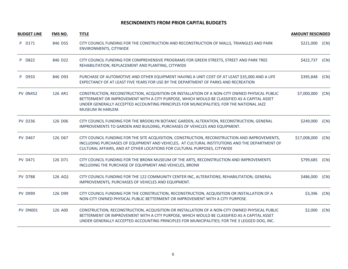| <b>BUDGET LINE</b> | <b>FMS NO.</b> | <b>TITLE</b>                                                                                                                                                                                                                                                                                                  | <b>AMOUNT RESCINDED</b> |      |
|--------------------|----------------|---------------------------------------------------------------------------------------------------------------------------------------------------------------------------------------------------------------------------------------------------------------------------------------------------------------|-------------------------|------|
| P D171             | 846 D55        | CITY COUNCIL FUNDING FOR THE CONSTRUCTION AND RECONSTRUCTION OF MALLS, TRIANGLES AND PARK<br>ENVIRONMENTS, CITYWIDE                                                                                                                                                                                           | \$221,000               | (CN) |
| P D822             | 846 D22        | CITY COUNCIL FUNDING FOR COMPREHENSIVE PROGRAMS FOR GREEN STREETS, STREET AND PARK TREE<br>REHABILITATION, REPLACEMENT AND PLANTING, CITYWIDE                                                                                                                                                                 | \$422,737               | (CN) |
| P D933             | 846 D93        | PURCHASE OF AUTOMOTIVE AND OTHER EQUIPMENT HAVING A UNIT COST OF AT LEAST \$35,000 AND A LIFE<br>EXPECTANCY OF AT LEAST FIVE YEARS FOR USE BY THE DEPARTMENT OF PARKS AND RECREATION                                                                                                                          | \$395,848               | (CN) |
| <b>PV 0N452</b>    | 126 AR1        | CONSTRUCTION, RECONSTRUCTION, ACQUISITION OR INSTALLATION OF A NON-CITY OWNED PHYSICAL PUBLIC<br>BETTERMENT OR IMPROVEMENT WITH A CITY PURPOSE, WHICH WOULD BE CLASSIFIED AS A CAPITAL ASSET<br>UNDER GENERALLY ACCEPTED ACCOUNTING PRINCIPLES FOR MUNICIPALITIES; FOR THE NATIONAL JAZZ<br>MUSEUM IN HARLEM. | \$7,000,000             | (CN) |
| <b>PV D236</b>     | 126 D06        | CITY COUNCIL FUNDING FOR THE BROOKLYN BOTANIC GARDEN, ALTERATION, RECONSTRUCTION, GENERAL<br>IMPROVEMENTS TO GARDEN AND BUILDING, PURCHASES OF VEHICLES AND EQUIPMENT.                                                                                                                                        | \$249,000               | (CN) |
| <b>PV D467</b>     | 126 D67        | CITY COUNCIL FUNDING FOR THE SITE ACQUISITION, CONSTRUCTION, RECONSTRUCTION AND IMPROVEMENTS,<br>INCLUDING PURCHASES OF EQUIPMENT AND VEHICLES, AT CULTURAL INSTITUTIONS AND THE DEPARTMENT OF<br>CULTURAL AFFAIRS, AND AT OTHER LOCATIONS FOR CULTURAL PURPOSES, CITYWIDE                                    | \$17,008,000            | (CN) |
| <b>PV D471</b>     | 126 D71        | CITY COUNCIL FUNDING FOR THE BRONX MUSEUM OF THE ARTS, RECONSTRUCTION AND IMPROVEMENTS<br>INCLUDING THE PURCHASE OF EQUIPMENT AND VEHICLES, BRONX                                                                                                                                                             | \$799,685               | (CN) |
| <b>PV D788</b>     | 126 AQ1        | CITY COUNCIL FUNDING FOR THE 122 COMMUNITY CENTER INC, ALTERATIONS, REHABILITATION, GENERAL<br>IMPROVEMENTS, PURCHASES OF VEHICLES AND EQUIPMENT.                                                                                                                                                             | \$486,000               | (CN) |
| <b>PV D999</b>     | 126 D99        | CITY COUNCIL FUNDING FOR THE CONSTRUCTION, RECONSTRUCTION, ACQUISITION OR INSTALLATION OF A<br>NON-CITY OWNED PHYSICAL PUBLIC BETTERMENT OR IMPROVEMENT WITH A CITY PURPOSE.                                                                                                                                  | \$3,396                 | (CN) |
| PV DN001           | 126 A00        | CONSTRUCTION, RECONSTRUCTION, ACQUISITION OR INSTALLATION OF A NON-CITY OWNED PHYSICAL PUBLIC<br>BETTERMENT OR IMPROVEMENT WITH A CITY PURPOSE, WHICH WOULD BE CLASSIFIED AS A CAPITAL ASSET<br>UNDER GENERALLY ACCEPTED ACCOUNTING PRINCIPLES FOR MUNICIPALITIES; FOR THE 3 LEGGED DOG, INC.                 | \$2,000                 | (CN) |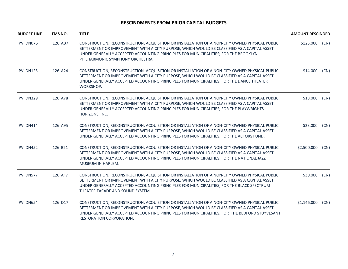| <b>BUDGET LINE</b> | <b>FMS NO.</b> | <b>TITLE</b>                                                                                                                                                                                                                                                                                                                  | <b>AMOUNT RESCINDED</b> |      |
|--------------------|----------------|-------------------------------------------------------------------------------------------------------------------------------------------------------------------------------------------------------------------------------------------------------------------------------------------------------------------------------|-------------------------|------|
| PV DN076           | 126 AB7        | CONSTRUCTION, RECONSTRUCTION, ACQUISITION OR INSTALLATION OF A NON-CITY OWNED PHYSICAL PUBLIC<br>BETTERMENT OR IMPROVEMENT WITH A CITY PURPOSE, WHICH WOULD BE CLASSIFIED AS A CAPITAL ASSET<br>UNDER GENERALLY ACCEPTED ACCOUNTING PRINCIPLES FOR MUNICIPALITIES; FOR THE BROOKLYN<br>PHILHARMONIC SYMPHONY ORCHESTRA.       | \$125,000               | (CN) |
| <b>PV DN123</b>    | 126 A24        | CONSTRUCTION, RECONSTRUCTION, ACQUISITION OR INSTALLATION OF A NON-CITY OWNED PHYSICAL PUBLIC<br>BETTERMENT OR IMPROVEMENT WITH A CITY PURPOSE, WHICH WOULD BE CLASSIFIED AS A CAPITAL ASSET<br>UNDER GENERALLY ACCEPTED ACCOUNTING PRINCIPLES FOR MUNICIPALITIES; FOR THE DANCE THEATER<br>WORKSHOP.                         | \$14,000                | (CN) |
| <b>PV DN329</b>    | 126 A78        | CONSTRUCTION, RECONSTRUCTION, ACQUISITION OR INSTALLATION OF A NON-CITY OWNED PHYSICAL PUBLIC<br>BETTERMENT OR IMPROVEMENT WITH A CITY PURPOSE, WHICH WOULD BE CLASSIFIED AS A CAPITAL ASSET<br>UNDER GENERALLY ACCEPTED ACCOUNTING PRINCIPLES FOR MUNICIPALITIES; FOR THE PLAYWRIGHTS<br>HORIZONS, INC.                      | \$18,000                | (CN) |
| <b>PV DN414</b>    | 126 A95        | CONSTRUCTION, RECONSTRUCTION, ACQUISITION OR INSTALLATION OF A NON-CITY OWNED PHYSICAL PUBLIC<br>BETTERMENT OR IMPROVEMENT WITH A CITY PURPOSE, WHICH WOULD BE CLASSIFIED AS A CAPITAL ASSET<br>UNDER GENERALLY ACCEPTED ACCOUNTING PRINCIPLES FOR MUNICIPALITIES; FOR THE ACTORS FUND.                                       | \$23,000                | (CN) |
| <b>PV DN452</b>    | 126 B21        | CONSTRUCTION, RECONSTRUCTION, ACQUISITION OR INSTALLATION OF A NON-CITY OWNED PHYSICAL PUBLIC<br>BETTERMENT OR IMPROVEMENT WITH A CITY PURPOSE, WHICH WOULD BE CLASSIFIED AS A CAPITAL ASSET<br>UNDER GENERALLY ACCEPTED ACCOUNTING PRINCIPLES FOR MUNICIPALITIES; FOR THE NATIONAL JAZZ<br><b>MUSEUM IN HARLEM.</b>          | \$2,500,000             | (CN) |
| <b>PV DN577</b>    | 126 AF7        | CONSTRUCTION, RECONSTRUCTION, ACQUISITION OR INSTALLATION OF A NON-CITY OWNED PHYSICAL PUBLIC<br>BETTERMENT OR IMPROVEMENT WITH A CITY PURPOSE, WHICH WOULD BE CLASSIFIED AS A CAPITAL ASSET<br>UNDER GENERALLY ACCEPTED ACCOUNTING PRINCIPLES FOR MUNICIPALITIES; FOR THE BLACK SPECTRUM<br>THEATER FACADE AND SOUND SYSTEM. | \$30,000                | (CN) |
| <b>PV DN654</b>    | 126 D17        | CONSTRUCTION, RECONSTRUCTION, ACQUISITION OR INSTALLATION OF A NON-CITY OWNED PHYSICAL PUBLIC<br>BETTERMENT OR IMPROVEMENT WITH A CITY PURPOSE, WHICH WOULD BE CLASSIFIED AS A CAPITAL ASSET<br>UNDER GENERALLY ACCEPTED ACCOUNTING PRINCIPLES FOR MUNICIPALITIES; FOR THE BEDFORD STUYVESANT<br>RESTORATION CORPORATION.     | \$1,146,000             | (CN) |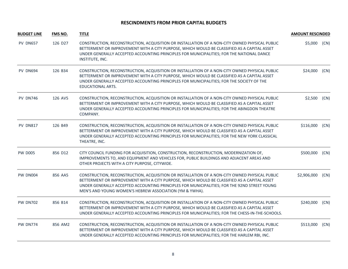| <b>BUDGET LINE</b> | <b>FMS NO.</b> | <b>TITLE</b>                                                                                                                                                                                                                                                                                                                                            | <b>AMOUNT RESCINDED</b> |      |
|--------------------|----------------|---------------------------------------------------------------------------------------------------------------------------------------------------------------------------------------------------------------------------------------------------------------------------------------------------------------------------------------------------------|-------------------------|------|
| <b>PV DN657</b>    | 126 D27        | CONSTRUCTION, RECONSTRUCTION, ACQUISITION OR INSTALLATION OF A NON-CITY OWNED PHYSICAL PUBLIC<br>BETTERMENT OR IMPROVEMENT WITH A CITY PURPOSE, WHICH WOULD BE CLASSIFIED AS A CAPITAL ASSET<br>UNDER GENERALLY ACCEPTED ACCOUNTING PRINCIPLES FOR MUNICIPALITIES; FOR THE NATIONAL DANCE<br>INSTITUTE, INC.                                            | \$5,000                 | (CN) |
| <b>PV DN694</b>    | 126 B34        | CONSTRUCTION, RECONSTRUCTION, ACQUISITION OR INSTALLATION OF A NON-CITY OWNED PHYSICAL PUBLIC<br>BETTERMENT OR IMPROVEMENT WITH A CITY PURPOSE, WHICH WOULD BE CLASSIFIED AS A CAPITAL ASSET<br>UNDER GENERALLY ACCEPTED ACCOUNTING PRINCIPLES FOR MUNICIPALITIES; FOR THE SOCIETY OF THE<br>EDUCATIONAL ARTS.                                          | \$24,000                | (CN) |
| <b>PV DN746</b>    | 126 AV5        | CONSTRUCTION, RECONSTRUCTION, ACQUISITION OR INSTALLATION OF A NON-CITY OWNED PHYSICAL PUBLIC<br>BETTERMENT OR IMPROVEMENT WITH A CITY PURPOSE, WHICH WOULD BE CLASSIFIED AS A CAPITAL ASSET<br>UNDER GENERALLY ACCEPTED ACCOUNTING PRINCIPLES FOR MUNICIPALITIES; FOR THE ABINGDON THEATRE<br>COMPANY.                                                 | \$2,500                 | (CN) |
| <b>PV DN817</b>    | 126 B49        | CONSTRUCTION, RECONSTRUCTION, ACQUISITION OR INSTALLATION OF A NON-CITY OWNED PHYSICAL PUBLIC<br>BETTERMENT OR IMPROVEMENT WITH A CITY PURPOSE, WHICH WOULD BE CLASSIFIED AS A CAPITAL ASSET<br>UNDER GENERALLY ACCEPTED ACCOUNTING PRINCIPLES FOR MUNICIPALITIES; FOR THE NEW YORK CLASSICAL<br>THEATRE, INC.                                          | \$116,000               | (CN) |
| <b>PW D005</b>     | 856 D12        | CITY COUNCIL FUNDING FOR ACQUISITION, CONSTRUCTION, RECONSTRUCTION, MODERNIZATION OF,<br>IMPROVEMENTS TO, AND EQUIPMENT AND VEHICLES FOR, PUBLIC BUILDINGS AND ADJACENT AREAS AND<br>OTHER PROJECTS WITH A CITY PURPOSE, CITYWIDE.                                                                                                                      | \$500,000               | (CN) |
| <b>PW DN004</b>    | 856 AA5        | CONSTRUCTION, RECONSTRUCTION, ACQUISITION OR INSTALLATION OF A NON-CITY OWNED PHYSICAL PUBLIC<br>BETTERMENT OR IMPROVEMENT WITH A CITY PURPOSE, WHICH WOULD BE CLASSIFIED AS A CAPITAL ASSET<br>UNDER GENERALLY ACCEPTED ACCOUNTING PRINCIPLES FOR MUNICIPALITIES; FOR THE 92ND STREET YOUNG<br>MEN'S AND YOUNG WOMEN'S HEBREW ASSOCIATION (YM & YWHA). | \$2,906,000             | (CN) |
| <b>PW DN702</b>    | 856 B14        | CONSTRUCTION, RECONSTRUCTION, ACQUISITION OR INSTALLATION OF A NON-CITY OWNED PHYSICAL PUBLIC<br>BETTERMENT OR IMPROVEMENT WITH A CITY PURPOSE, WHICH WOULD BE CLASSIFIED AS A CAPITAL ASSET<br>UNDER GENERALLY ACCEPTED ACCOUNTING PRINCIPLES FOR MUNICIPALITIES; FOR THE CHESS-IN-THE-SCHOOLS.                                                        | \$240,000               | (CN) |
| <b>PW DN774</b>    | 856 AM2        | CONSTRUCTION, RECONSTRUCTION, ACQUISITION OR INSTALLATION OF A NON-CITY OWNED PHYSICAL PUBLIC<br>BETTERMENT OR IMPROVEMENT WITH A CITY PURPOSE, WHICH WOULD BE CLASSIFIED AS A CAPITAL ASSET<br>UNDER GENERALLY ACCEPTED ACCOUNTING PRINCIPLES FOR MUNICIPALITIES; FOR THE HARLEM RBI, INC.                                                             | \$513,000               | (CN) |